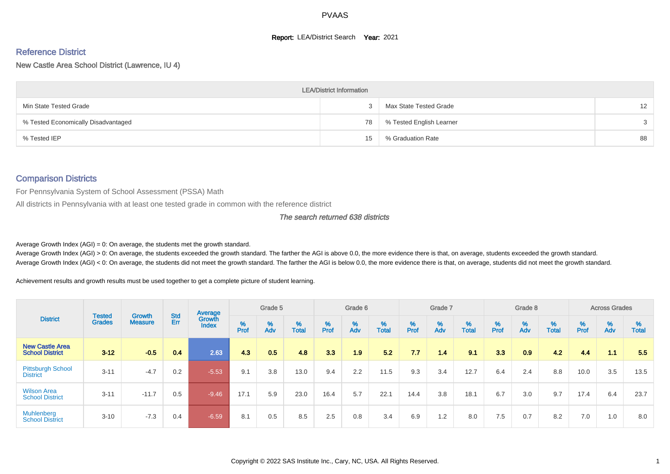#### **Report: LEA/District Search Year: 2021**

# Reference District

New Castle Area School District (Lawrence, IU 4)

|                                     | <b>LEA/District Information</b> |                          |    |
|-------------------------------------|---------------------------------|--------------------------|----|
| Min State Tested Grade              |                                 | Max State Tested Grade   | 12 |
| % Tested Economically Disadvantaged | 78                              | % Tested English Learner |    |
| % Tested IEP                        | 15                              | % Graduation Rate        | 88 |

#### Comparison Districts

For Pennsylvania System of School Assessment (PSSA) Math

All districts in Pennsylvania with at least one tested grade in common with the reference district

The search returned 638 districts

Average Growth Index  $(AGI) = 0$ : On average, the students met the growth standard.

Average Growth Index (AGI) > 0: On average, the students exceeded the growth standard. The farther the AGI is above 0.0, the more evidence there is that, on average, students exceeded the growth standard. Average Growth Index (AGI) < 0: On average, the students did not meet the growth standard. The farther the AGI is below 0.0, the more evidence there is that, on average, students did not meet the growth standard.

Achievement results and growth results must be used together to get a complete picture of student learning.

|                                                  |                                |                                 |            | Average                |        | Grade 5  |                   |        | Grade 6  |                   |           | Grade 7  |                   |           | Grade 8                       |                   |          | <b>Across Grades</b> |                   |
|--------------------------------------------------|--------------------------------|---------------------------------|------------|------------------------|--------|----------|-------------------|--------|----------|-------------------|-----------|----------|-------------------|-----------|-------------------------------|-------------------|----------|----------------------|-------------------|
| <b>District</b>                                  | <b>Tested</b><br><b>Grades</b> | <b>Growth</b><br><b>Measure</b> | Std<br>Err | Growth<br><b>Index</b> | % Pref | %<br>Adv | %<br><b>Total</b> | % Pref | %<br>Adv | %<br><b>Total</b> | %<br>Prof | %<br>Adv | %<br><b>Total</b> | %<br>Prof | $\stackrel{\%}{\mathsf{Adv}}$ | %<br><b>Total</b> | $%$ Prof | %<br>Adv             | %<br><b>Total</b> |
| <b>New Castle Area</b><br><b>School District</b> | $3 - 12$                       | $-0.5$                          | 0.4        | 2.63                   | 4.3    | 0.5      | 4.8               | 3.3    | 1.9      | 5.2               | 7.7       | 1.4      | 9.1               | 3.3       | 0.9                           | 4.2               | 4.4      | 1.1                  | 5.5               |
| <b>Pittsburgh School</b><br><b>District</b>      | $3 - 11$                       | $-4.7$                          | 0.2        | $-5.53$                | 9.1    | 3.8      | 13.0              | 9.4    | 2.2      | 11.5              | 9.3       | 3.4      | 12.7              | 6.4       | 2.4                           | 8.8               | 10.0     | 3.5                  | 13.5              |
| <b>Wilson Area</b><br><b>School District</b>     | $3 - 11$                       | $-11.7$                         | 0.5        | $-9.46$                | 17.1   | 5.9      | 23.0              | 16.4   | 5.7      | 22.1              | 14.4      | 3.8      | 18.1              | 6.7       | 3.0                           | 9.7               | 17.4     | 6.4                  | 23.7              |
| Muhlenberg<br><b>School District</b>             | $3 - 10$                       | $-7.3$                          | 0.4        | $-6.59$                | 8.1    | 0.5      | 8.5               | 2.5    | 0.8      | 3.4               | 6.9       | 1.2      | 8.0               | 7.5       | 0.7                           | 8.2               | 7.0      | 1.0                  | 8.0               |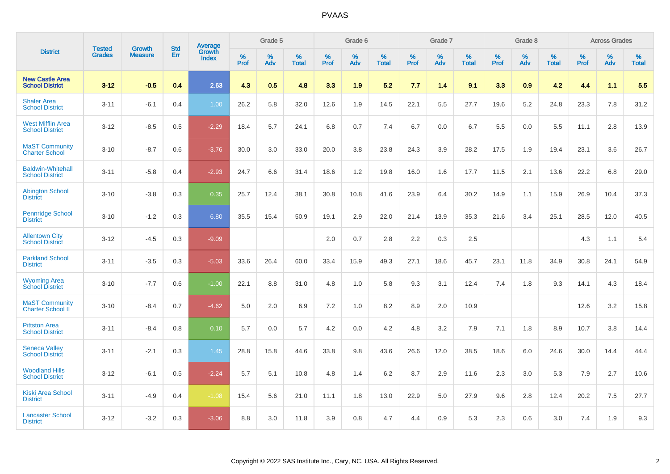|                                                    |                                |                                 | <b>Std</b> | Average         |           | Grade 5  |                   |           | Grade 6  |                   |           | Grade 7  |                   |           | Grade 8  |                   |           | <b>Across Grades</b> |            |
|----------------------------------------------------|--------------------------------|---------------------------------|------------|-----------------|-----------|----------|-------------------|-----------|----------|-------------------|-----------|----------|-------------------|-----------|----------|-------------------|-----------|----------------------|------------|
| <b>District</b>                                    | <b>Tested</b><br><b>Grades</b> | <b>Growth</b><br><b>Measure</b> | Err        | Growth<br>Index | %<br>Prof | %<br>Adv | %<br><b>Total</b> | %<br>Prof | %<br>Adv | %<br><b>Total</b> | %<br>Prof | %<br>Adv | %<br><b>Total</b> | %<br>Prof | %<br>Adv | %<br><b>Total</b> | %<br>Prof | %<br>Adv             | %<br>Total |
| <b>New Castle Area</b><br><b>School District</b>   | $3 - 12$                       | $-0.5$                          | 0.4        | 2.63            | 4.3       | 0.5      | 4.8               | 3.3       | 1.9      | 5.2               | 7.7       | 1.4      | 9.1               | 3.3       | 0.9      | 4.2               | 4.4       | 1.1                  | 5.5        |
| <b>Shaler Area</b><br><b>School District</b>       | $3 - 11$                       | $-6.1$                          | 0.4        | 1.00            | 26.2      | 5.8      | 32.0              | 12.6      | 1.9      | 14.5              | 22.1      | 5.5      | 27.7              | 19.6      | 5.2      | 24.8              | 23.3      | 7.8                  | 31.2       |
| <b>West Mifflin Area</b><br><b>School District</b> | $3 - 12$                       | $-8.5$                          | 0.5        | $-2.29$         | 18.4      | 5.7      | 24.1              | 6.8       | 0.7      | 7.4               | 6.7       | 0.0      | 6.7               | 5.5       | 0.0      | 5.5               | 11.1      | 2.8                  | 13.9       |
| <b>MaST Community</b><br><b>Charter School</b>     | $3 - 10$                       | $-8.7$                          | 0.6        | $-3.76$         | 30.0      | 3.0      | 33.0              | 20.0      | 3.8      | 23.8              | 24.3      | 3.9      | 28.2              | 17.5      | 1.9      | 19.4              | 23.1      | 3.6                  | 26.7       |
| <b>Baldwin-Whitehall</b><br><b>School District</b> | $3 - 11$                       | $-5.8$                          | 0.4        | $-2.93$         | 24.7      | 6.6      | 31.4              | 18.6      | 1.2      | 19.8              | 16.0      | 1.6      | 17.7              | 11.5      | 2.1      | 13.6              | 22.2      | 6.8                  | 29.0       |
| <b>Abington School</b><br><b>District</b>          | $3 - 10$                       | $-3.8$                          | 0.3        | 0.35            | 25.7      | 12.4     | 38.1              | 30.8      | 10.8     | 41.6              | 23.9      | 6.4      | 30.2              | 14.9      | 1.1      | 15.9              | 26.9      | 10.4                 | 37.3       |
| <b>Pennridge School</b><br><b>District</b>         | $3 - 10$                       | $-1.2$                          | 0.3        | 6.80            | 35.5      | 15.4     | 50.9              | 19.1      | 2.9      | 22.0              | 21.4      | 13.9     | 35.3              | 21.6      | 3.4      | 25.1              | 28.5      | 12.0                 | 40.5       |
| <b>Allentown City</b><br><b>School District</b>    | $3 - 12$                       | $-4.5$                          | 0.3        | $-9.09$         |           |          |                   | 2.0       | 0.7      | 2.8               | 2.2       | 0.3      | 2.5               |           |          |                   | 4.3       | 1.1                  | 5.4        |
| <b>Parkland School</b><br><b>District</b>          | $3 - 11$                       | $-3.5$                          | 0.3        | $-5.03$         | 33.6      | 26.4     | 60.0              | 33.4      | 15.9     | 49.3              | 27.1      | 18.6     | 45.7              | 23.1      | 11.8     | 34.9              | 30.8      | 24.1                 | 54.9       |
| <b>Wyoming Area</b><br><b>School District</b>      | $3 - 10$                       | $-7.7$                          | 0.6        | $-1.00$         | 22.1      | 8.8      | 31.0              | 4.8       | 1.0      | 5.8               | 9.3       | 3.1      | 12.4              | 7.4       | 1.8      | 9.3               | 14.1      | 4.3                  | 18.4       |
| <b>MaST Community</b><br>Charter School II         | $3 - 10$                       | $-8.4$                          | 0.7        | $-4.62$         | 5.0       | 2.0      | 6.9               | 7.2       | 1.0      | 8.2               | 8.9       | 2.0      | 10.9              |           |          |                   | 12.6      | 3.2                  | 15.8       |
| <b>Pittston Area</b><br><b>School District</b>     | $3 - 11$                       | $-8.4$                          | 0.8        | 0.10            | 5.7       | 0.0      | 5.7               | 4.2       | 0.0      | 4.2               | 4.8       | 3.2      | 7.9               | 7.1       | 1.8      | 8.9               | 10.7      | 3.8                  | 14.4       |
| <b>Seneca Valley</b><br><b>School District</b>     | $3 - 11$                       | $-2.1$                          | 0.3        | 1.45            | 28.8      | 15.8     | 44.6              | 33.8      | 9.8      | 43.6              | 26.6      | 12.0     | 38.5              | 18.6      | 6.0      | 24.6              | 30.0      | 14.4                 | 44.4       |
| <b>Woodland Hills</b><br><b>School District</b>    | $3 - 12$                       | $-6.1$                          | 0.5        | $-2.24$         | 5.7       | 5.1      | 10.8              | 4.8       | 1.4      | 6.2               | 8.7       | 2.9      | 11.6              | 2.3       | 3.0      | 5.3               | 7.9       | 2.7                  | 10.6       |
| <b>Kiski Area School</b><br><b>District</b>        | $3 - 11$                       | $-4.9$                          | 0.4        | $-1.08$         | 15.4      | 5.6      | 21.0              | 11.1      | 1.8      | 13.0              | 22.9      | 5.0      | 27.9              | 9.6       | 2.8      | 12.4              | 20.2      | 7.5                  | 27.7       |
| <b>Lancaster School</b><br><b>District</b>         | $3 - 12$                       | $-3.2$                          | 0.3        | $-3.06$         | 8.8       | 3.0      | 11.8              | 3.9       | 0.8      | 4.7               | 4.4       | 0.9      | 5.3               | 2.3       | 0.6      | 3.0               | 7.4       | 1.9                  | 9.3        |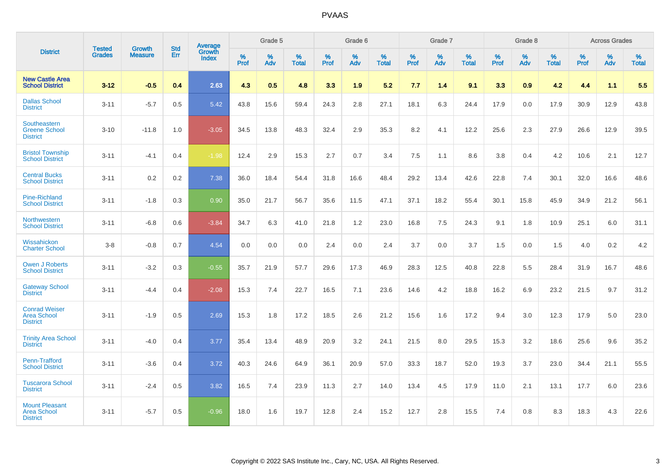|                                                                | <b>Tested</b> |                          | <b>Std</b> | Average         |           | Grade 5  |                   |           | Grade 6  |                   |           | Grade 7  |                   |           | Grade 8  |                   |           | <b>Across Grades</b> |                   |
|----------------------------------------------------------------|---------------|--------------------------|------------|-----------------|-----------|----------|-------------------|-----------|----------|-------------------|-----------|----------|-------------------|-----------|----------|-------------------|-----------|----------------------|-------------------|
| <b>District</b>                                                | <b>Grades</b> | Growth<br><b>Measure</b> | Err        | Growth<br>Index | %<br>Prof | %<br>Adv | %<br><b>Total</b> | %<br>Prof | %<br>Adv | %<br><b>Total</b> | %<br>Prof | %<br>Adv | %<br><b>Total</b> | %<br>Prof | %<br>Adv | %<br><b>Total</b> | %<br>Prof | %<br>Adv             | %<br><b>Total</b> |
| <b>New Castle Area</b><br><b>School District</b>               | $3 - 12$      | $-0.5$                   | 0.4        | 2.63            | 4.3       | 0.5      | 4.8               | 3.3       | 1.9      | 5.2               | 7.7       | 1.4      | 9.1               | 3.3       | 0.9      | 4.2               | 4.4       | 1.1                  | 5.5               |
| <b>Dallas School</b><br><b>District</b>                        | $3 - 11$      | $-5.7$                   | 0.5        | 5.42            | 43.8      | 15.6     | 59.4              | 24.3      | 2.8      | 27.1              | 18.1      | 6.3      | 24.4              | 17.9      | 0.0      | 17.9              | 30.9      | 12.9                 | 43.8              |
| Southeastern<br><b>Greene School</b><br><b>District</b>        | $3 - 10$      | $-11.8$                  | 1.0        | $-3.05$         | 34.5      | 13.8     | 48.3              | 32.4      | 2.9      | 35.3              | 8.2       | 4.1      | 12.2              | 25.6      | 2.3      | 27.9              | 26.6      | 12.9                 | 39.5              |
| <b>Bristol Township</b><br><b>School District</b>              | $3 - 11$      | $-4.1$                   | 0.4        | $-1.98$         | 12.4      | 2.9      | 15.3              | 2.7       | 0.7      | 3.4               | 7.5       | 1.1      | 8.6               | 3.8       | 0.4      | 4.2               | 10.6      | 2.1                  | 12.7              |
| <b>Central Bucks</b><br><b>School District</b>                 | $3 - 11$      | 0.2                      | 0.2        | 7.38            | 36.0      | 18.4     | 54.4              | 31.8      | 16.6     | 48.4              | 29.2      | 13.4     | 42.6              | 22.8      | 7.4      | 30.1              | 32.0      | 16.6                 | 48.6              |
| <b>Pine-Richland</b><br><b>School District</b>                 | $3 - 11$      | $-1.8$                   | 0.3        | 0.90            | 35.0      | 21.7     | 56.7              | 35.6      | 11.5     | 47.1              | 37.1      | 18.2     | 55.4              | 30.1      | 15.8     | 45.9              | 34.9      | 21.2                 | 56.1              |
| Northwestern<br><b>School District</b>                         | $3 - 11$      | $-6.8$                   | 0.6        | $-3.84$         | 34.7      | 6.3      | 41.0              | 21.8      | 1.2      | 23.0              | 16.8      | 7.5      | 24.3              | 9.1       | 1.8      | 10.9              | 25.1      | 6.0                  | 31.1              |
| Wissahickon<br><b>Charter School</b>                           | $3-8$         | $-0.8$                   | 0.7        | 4.54            | 0.0       | 0.0      | 0.0               | 2.4       | 0.0      | 2.4               | 3.7       | 0.0      | 3.7               | 1.5       | 0.0      | 1.5               | 4.0       | 0.2                  | 4.2               |
| <b>Owen J Roberts</b><br><b>School District</b>                | $3 - 11$      | $-3.2$                   | 0.3        | $-0.55$         | 35.7      | 21.9     | 57.7              | 29.6      | 17.3     | 46.9              | 28.3      | 12.5     | 40.8              | 22.8      | 5.5      | 28.4              | 31.9      | 16.7                 | 48.6              |
| <b>Gateway School</b><br><b>District</b>                       | $3 - 11$      | $-4.4$                   | 0.4        | $-2.08$         | 15.3      | 7.4      | 22.7              | 16.5      | 7.1      | 23.6              | 14.6      | 4.2      | 18.8              | 16.2      | 6.9      | 23.2              | 21.5      | 9.7                  | 31.2              |
| <b>Conrad Weiser</b><br><b>Area School</b><br><b>District</b>  | $3 - 11$      | $-1.9$                   | 0.5        | 2.69            | 15.3      | 1.8      | 17.2              | 18.5      | 2.6      | 21.2              | 15.6      | 1.6      | 17.2              | 9.4       | 3.0      | 12.3              | 17.9      | 5.0                  | 23.0              |
| <b>Trinity Area School</b><br><b>District</b>                  | $3 - 11$      | $-4.0$                   | 0.4        | 3.77            | 35.4      | 13.4     | 48.9              | 20.9      | 3.2      | 24.1              | 21.5      | 8.0      | 29.5              | 15.3      | 3.2      | 18.6              | 25.6      | 9.6                  | 35.2              |
| Penn-Trafford<br><b>School District</b>                        | $3 - 11$      | $-3.6$                   | 0.4        | 3.72            | 40.3      | 24.6     | 64.9              | 36.1      | 20.9     | 57.0              | 33.3      | 18.7     | 52.0              | 19.3      | 3.7      | 23.0              | 34.4      | 21.1                 | 55.5              |
| <b>Tuscarora School</b><br><b>District</b>                     | $3 - 11$      | $-2.4$                   | 0.5        | 3.82            | 16.5      | 7.4      | 23.9              | 11.3      | 2.7      | 14.0              | 13.4      | 4.5      | 17.9              | 11.0      | 2.1      | 13.1              | 17.7      | 6.0                  | 23.6              |
| <b>Mount Pleasant</b><br><b>Area School</b><br><b>District</b> | $3 - 11$      | $-5.7$                   | 0.5        | $-0.96$         | 18.0      | 1.6      | 19.7              | 12.8      | 2.4      | 15.2              | 12.7      | 2.8      | 15.5              | 7.4       | 0.8      | 8.3               | 18.3      | 4.3                  | 22.6              |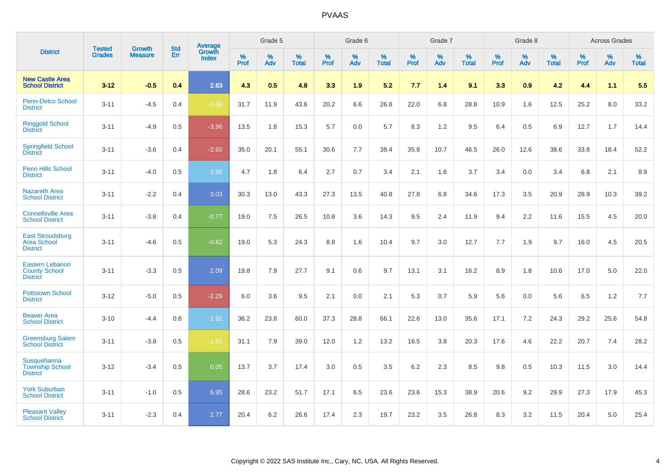|                                                                   |                                |                                 | <b>Std</b> | Average                       |           | Grade 5  |                   |           | Grade 6  |                   |           | Grade 7  |                   |           | Grade 8  |                   |           | <b>Across Grades</b> |                   |
|-------------------------------------------------------------------|--------------------------------|---------------------------------|------------|-------------------------------|-----------|----------|-------------------|-----------|----------|-------------------|-----------|----------|-------------------|-----------|----------|-------------------|-----------|----------------------|-------------------|
| <b>District</b>                                                   | <b>Tested</b><br><b>Grades</b> | <b>Growth</b><br><b>Measure</b> | Err        | <b>Growth</b><br><b>Index</b> | %<br>Prof | %<br>Adv | %<br><b>Total</b> | %<br>Prof | %<br>Adv | %<br><b>Total</b> | %<br>Prof | %<br>Adv | %<br><b>Total</b> | %<br>Prof | %<br>Adv | %<br><b>Total</b> | %<br>Prof | %<br>Adv             | %<br><b>Total</b> |
| <b>New Castle Area</b><br><b>School District</b>                  | $3 - 12$                       | $-0.5$                          | 0.4        | 2.63                          | 4.3       | 0.5      | 4.8               | 3.3       | 1.9      | 5.2               | 7.7       | 1.4      | 9.1               | 3.3       | 0.9      | 4.2               | 4.4       | 1.1                  | 5.5               |
| Penn-Delco School<br><b>District</b>                              | $3 - 11$                       | $-4.5$                          | 0.4        | $-1.99$                       | 31.7      | 11.9     | 43.6              | 20.2      | 6.6      | 26.8              | 22.0      | 6.8      | 28.8              | 10.9      | 1.6      | 12.5              | 25.2      | 8.0                  | 33.2              |
| <b>Ringgold School</b><br><b>District</b>                         | $3 - 11$                       | $-4.9$                          | 0.5        | $-3.96$                       | 13.5      | 1.8      | 15.3              | 5.7       | 0.0      | 5.7               | 8.3       | 1.2      | 9.5               | 6.4       | 0.5      | 6.9               | 12.7      | 1.7                  | 14.4              |
| <b>Springfield School</b><br><b>District</b>                      | $3 - 11$                       | $-3.6$                          | 0.4        | $-2.60$                       | 35.0      | 20.1     | 55.1              | 30.6      | 7.7      | 38.4              | 35.8      | 10.7     | 46.5              | 26.0      | 12.6     | 38.6              | 33.8      | 18.4                 | 52.2              |
| Penn Hills School<br><b>District</b>                              | $3 - 11$                       | $-4.0$                          | 0.5        | 1.96                          | 4.7       | 1.8      | 6.4               | 2.7       | 0.7      | 3.4               | 2.1       | 1.6      | 3.7               | 3.4       | 0.0      | 3.4               | 6.8       | 2.1                  | 8.9               |
| <b>Nazareth Area</b><br><b>School District</b>                    | $3 - 11$                       | $-2.2$                          | 0.4        | 3.03                          | 30.3      | 13.0     | 43.3              | 27.3      | 13.5     | 40.8              | 27.8      | 6.8      | 34.6              | 17.3      | 3.5      | 20.9              | 28.9      | 10.3                 | 39.2              |
| <b>Connellsville Area</b><br><b>School District</b>               | $3 - 11$                       | $-3.8$                          | 0.4        | $-0.77$                       | 19.0      | 7.5      | 26.5              | 10.8      | 3.6      | 14.3              | 9.5       | 2.4      | 11.9              | 9.4       | 2.2      | 11.6              | 15.5      | 4.5                  | 20.0              |
| <b>East Stroudsburg</b><br><b>Area School</b><br><b>District</b>  | $3 - 11$                       | $-4.6$                          | 0.5        | $-0.82$                       | 19.0      | 5.3      | 24.3              | 8.8       | 1.6      | 10.4              | 9.7       | 3.0      | 12.7              | 7.7       | 1.9      | 9.7               | 16.0      | 4.5                  | 20.5              |
| <b>Eastern Lebanon</b><br><b>County School</b><br><b>District</b> | $3 - 11$                       | $-3.3$                          | 0.5        | 2.09                          | 19.8      | 7.9      | 27.7              | 9.1       | 0.6      | 9.7               | 13.1      | 3.1      | 16.2              | 8.9       | 1.8      | 10.6              | 17.0      | 5.0                  | 22.0              |
| <b>Pottstown School</b><br><b>District</b>                        | $3 - 12$                       | $-5.0$                          | 0.5        | $-2.29$                       | 6.0       | 3.6      | 9.5               | 2.1       | 0.0      | 2.1               | 5.3       | 0.7      | 5.9               | 5.6       | 0.0      | 5.6               | 6.5       | 1.2                  | 7.7               |
| <b>Beaver Area</b><br><b>School District</b>                      | $3 - 10$                       | $-4.4$                          | 0.6        | 1.92                          | 36.2      | 23.8     | 60.0              | 37.3      | 28.8     | 66.1              | 22.6      | 13.0     | 35.6              | 17.1      | 7.2      | 24.3              | 29.2      | 25.6                 | 54.8              |
| <b>Greensburg Salem</b><br><b>School District</b>                 | $3 - 11$                       | $-3.8$                          | 0.5        | $-1.81$                       | 31.1      | 7.9      | 39.0              | 12.0      | 1.2      | 13.2              | 16.5      | 3.8      | 20.3              | 17.6      | 4.6      | 22.2              | 20.7      | 7.4                  | 28.2              |
| Susquehanna<br><b>Township School</b><br><b>District</b>          | $3 - 12$                       | $-3.4$                          | 0.5        | 0.05                          | 13.7      | 3.7      | 17.4              | 3.0       | 0.5      | 3.5               | 6.2       | 2.3      | 8.5               | 9.8       | 0.5      | 10.3              | 11.5      | 3.0                  | 14.4              |
| <b>York Suburban</b><br><b>School District</b>                    | $3 - 11$                       | $-1.0$                          | 0.5        | 6.95                          | 28.6      | 23.2     | 51.7              | 17.1      | 6.5      | 23.6              | 23.6      | 15.3     | 38.9              | 20.6      | 9.2      | 29.9              | 27.3      | 17.9                 | 45.3              |
| <b>Pleasant Valley</b><br><b>School District</b>                  | $3 - 11$                       | $-2.3$                          | 0.4        | 2.77                          | 20.4      | 6.2      | 26.6              | 17.4      | 2.3      | 19.7              | 23.2      | 3.5      | 26.8              | 8.3       | 3.2      | 11.5              | 20.4      | 5.0                  | 25.4              |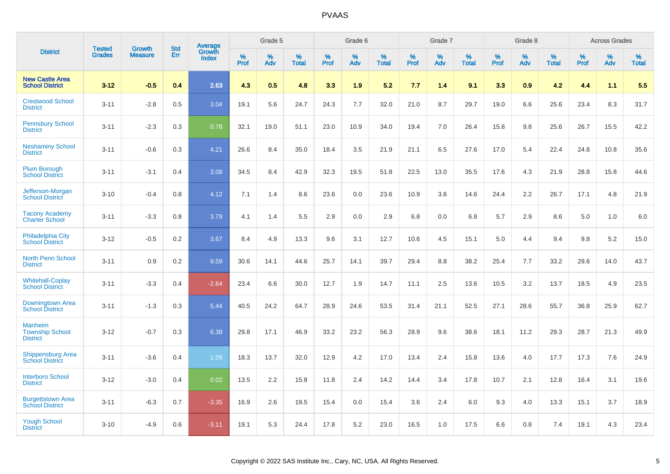|                                                      |                                | <b>Growth</b>  | <b>Std</b> | Average                |              | Grade 5  |                      |              | Grade 6     |                      |              | Grade 7  |                      |              | Grade 8     |                      |              | <b>Across Grades</b> |                      |
|------------------------------------------------------|--------------------------------|----------------|------------|------------------------|--------------|----------|----------------------|--------------|-------------|----------------------|--------------|----------|----------------------|--------------|-------------|----------------------|--------------|----------------------|----------------------|
| <b>District</b>                                      | <b>Tested</b><br><b>Grades</b> | <b>Measure</b> | Err        | Growth<br><b>Index</b> | $\%$<br>Prof | %<br>Adv | $\%$<br><b>Total</b> | $\%$<br>Prof | $\%$<br>Adv | $\%$<br><b>Total</b> | $\%$<br>Prof | %<br>Adv | $\%$<br><b>Total</b> | $\%$<br>Prof | $\%$<br>Adv | $\%$<br><b>Total</b> | $\%$<br>Prof | $\%$<br>Adv          | $\%$<br><b>Total</b> |
| <b>New Castle Area</b><br><b>School District</b>     | $3 - 12$                       | $-0.5$         | 0.4        | 2.63                   | 4.3          | 0.5      | 4.8                  | 3.3          | 1.9         | 5.2                  | 7.7          | 1.4      | 9.1                  | 3.3          | 0.9         | 4.2                  | 4.4          | 1.1                  | 5.5                  |
| <b>Crestwood School</b><br><b>District</b>           | $3 - 11$                       | $-2.8$         | 0.5        | 3.04                   | 19.1         | 5.6      | 24.7                 | 24.3         | 7.7         | 32.0                 | 21.0         | 8.7      | 29.7                 | 19.0         | 6.6         | 25.6                 | 23.4         | 8.3                  | 31.7                 |
| <b>Pennsbury School</b><br><b>District</b>           | $3 - 11$                       | $-2.3$         | 0.3        | 0.78                   | 32.1         | 19.0     | 51.1                 | 23.0         | 10.9        | 34.0                 | 19.4         | 7.0      | 26.4                 | 15.8         | 9.8         | 25.6                 | 26.7         | 15.5                 | 42.2                 |
| <b>Neshaminy School</b><br><b>District</b>           | $3 - 11$                       | $-0.6$         | 0.3        | 4.21                   | 26.6         | 8.4      | 35.0                 | 18.4         | 3.5         | 21.9                 | 21.1         | 6.5      | 27.6                 | 17.0         | 5.4         | 22.4                 | 24.8         | 10.8                 | 35.6                 |
| <b>Plum Borough</b><br><b>School District</b>        | $3 - 11$                       | $-3.1$         | 0.4        | 3.08                   | 34.5         | 8.4      | 42.9                 | 32.3         | 19.5        | 51.8                 | 22.5         | 13.0     | 35.5                 | 17.6         | 4.3         | 21.9                 | 28.8         | 15.8                 | 44.6                 |
| Jefferson-Morgan<br><b>School District</b>           | $3 - 10$                       | $-0.4$         | 0.8        | 4.12                   | 7.1          | 1.4      | 8.6                  | 23.6         | 0.0         | 23.6                 | 10.9         | 3.6      | 14.6                 | 24.4         | 2.2         | 26.7                 | 17.1         | 4.8                  | 21.9                 |
| <b>Tacony Academy</b><br><b>Charter School</b>       | $3 - 11$                       | $-3.3$         | 0.8        | 3.79                   | 4.1          | 1.4      | 5.5                  | 2.9          | 0.0         | 2.9                  | 6.8          | 0.0      | 6.8                  | 5.7          | 2.9         | 8.6                  | 5.0          | 1.0                  | 6.0                  |
| <b>Philadelphia City</b><br><b>School District</b>   | $3 - 12$                       | $-0.5$         | 0.2        | 3.67                   | 8.4          | 4.9      | 13.3                 | 9.6          | 3.1         | 12.7                 | 10.6         | 4.5      | 15.1                 | 5.0          | 4.4         | 9.4                  | 9.8          | 5.2                  | 15.0                 |
| <b>North Penn School</b><br><b>District</b>          | $3 - 11$                       | 0.9            | 0.2        | 9.59                   | 30.6         | 14.1     | 44.6                 | 25.7         | 14.1        | 39.7                 | 29.4         | 8.8      | 38.2                 | 25.4         | 7.7         | 33.2                 | 29.6         | 14.0                 | 43.7                 |
| <b>Whitehall-Coplay</b><br><b>School District</b>    | $3 - 11$                       | $-3.3$         | 0.4        | $-2.64$                | 23.4         | 6.6      | 30.0                 | 12.7         | 1.9         | 14.7                 | 11.1         | 2.5      | 13.6                 | 10.5         | 3.2         | 13.7                 | 18.5         | 4.9                  | 23.5                 |
| Downingtown Area<br><b>School District</b>           | $3 - 11$                       | $-1.3$         | 0.3        | 5.44                   | 40.5         | 24.2     | 64.7                 | 28.9         | 24.6        | 53.5                 | 31.4         | 21.1     | 52.5                 | 27.1         | 28.6        | 55.7                 | 36.8         | 25.9                 | 62.7                 |
| Manheim<br><b>Township School</b><br><b>District</b> | $3 - 12$                       | $-0.7$         | 0.3        | 6.38                   | 29.8         | 17.1     | 46.9                 | 33.2         | 23.2        | 56.3                 | 28.9         | 9.6      | 38.6                 | 18.1         | 11.2        | 29.3                 | 28.7         | 21.3                 | 49.9                 |
| <b>Shippensburg Area</b><br><b>School District</b>   | $3 - 11$                       | $-3.6$         | 0.4        | 1.09                   | 18.3         | 13.7     | 32.0                 | 12.9         | 4.2         | 17.0                 | 13.4         | 2.4      | 15.8                 | 13.6         | 4.0         | 17.7                 | 17.3         | 7.6                  | 24.9                 |
| <b>Interboro School</b><br><b>District</b>           | $3 - 12$                       | $-3.0$         | 0.4        | 0.02                   | 13.5         | 2.2      | 15.8                 | 11.8         | 2.4         | 14.2                 | 14.4         | 3.4      | 17.8                 | 10.7         | 2.1         | 12.8                 | 16.4         | 3.1                  | 19.6                 |
| <b>Burgettstown Area</b><br><b>School District</b>   | $3 - 11$                       | $-6.3$         | 0.7        | $-3.35$                | 16.9         | 2.6      | 19.5                 | 15.4         | 0.0         | 15.4                 | 3.6          | 2.4      | 6.0                  | 9.3          | 4.0         | 13.3                 | 15.1         | 3.7                  | 18.9                 |
| <b>Yough School</b><br><b>District</b>               | $3 - 10$                       | $-4.9$         | 0.6        | $-3.11$                | 19.1         | 5.3      | 24.4                 | 17.8         | 5.2         | 23.0                 | 16.5         | 1.0      | 17.5                 | 6.6          | 0.8         | 7.4                  | 19.1         | 4.3                  | 23.4                 |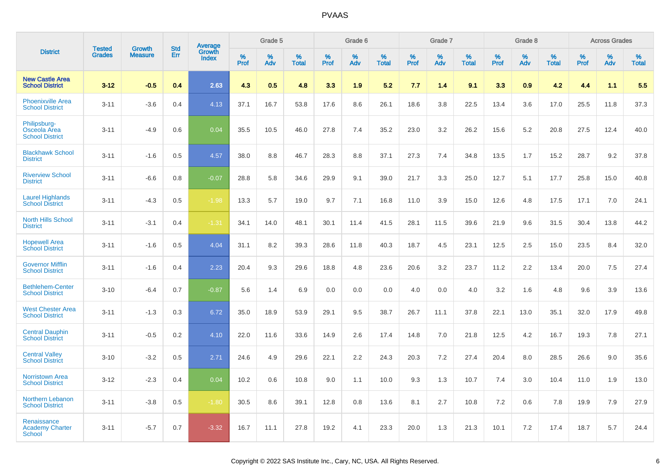|                                                        | <b>Tested</b> | <b>Growth</b>  | <b>Std</b> | Average                |              | Grade 5  |                   |              | Grade 6  |                   |              | Grade 7  |                   |              | Grade 8  |                   |              | <b>Across Grades</b> |                   |
|--------------------------------------------------------|---------------|----------------|------------|------------------------|--------------|----------|-------------------|--------------|----------|-------------------|--------------|----------|-------------------|--------------|----------|-------------------|--------------|----------------------|-------------------|
| <b>District</b>                                        | <b>Grades</b> | <b>Measure</b> | Err        | Growth<br><b>Index</b> | $\%$<br>Prof | %<br>Adv | %<br><b>Total</b> | $\%$<br>Prof | %<br>Adv | %<br><b>Total</b> | $\%$<br>Prof | %<br>Adv | %<br><b>Total</b> | $\%$<br>Prof | %<br>Adv | %<br><b>Total</b> | $\%$<br>Prof | %<br>Adv             | %<br><b>Total</b> |
| <b>New Castle Area</b><br><b>School District</b>       | $3 - 12$      | $-0.5$         | 0.4        | 2.63                   | 4.3          | 0.5      | 4.8               | 3.3          | 1.9      | 5.2               | 7.7          | 1.4      | 9.1               | 3.3          | 0.9      | 4.2               | 4.4          | 1.1                  | 5.5               |
| <b>Phoenixville Area</b><br><b>School District</b>     | $3 - 11$      | $-3.6$         | 0.4        | 4.13                   | 37.1         | 16.7     | 53.8              | 17.6         | 8.6      | 26.1              | 18.6         | 3.8      | 22.5              | 13.4         | 3.6      | 17.0              | 25.5         | 11.8                 | 37.3              |
| Philipsburg-<br>Osceola Area<br><b>School District</b> | $3 - 11$      | $-4.9$         | 0.6        | 0.04                   | 35.5         | 10.5     | 46.0              | 27.8         | 7.4      | 35.2              | 23.0         | 3.2      | 26.2              | 15.6         | 5.2      | 20.8              | 27.5         | 12.4                 | 40.0              |
| <b>Blackhawk School</b><br><b>District</b>             | $3 - 11$      | $-1.6$         | 0.5        | 4.57                   | 38.0         | 8.8      | 46.7              | 28.3         | 8.8      | 37.1              | 27.3         | 7.4      | 34.8              | 13.5         | 1.7      | 15.2              | 28.7         | 9.2                  | 37.8              |
| <b>Riverview School</b><br><b>District</b>             | $3 - 11$      | $-6.6$         | 0.8        | $-0.07$                | 28.8         | 5.8      | 34.6              | 29.9         | 9.1      | 39.0              | 21.7         | 3.3      | 25.0              | 12.7         | 5.1      | 17.7              | 25.8         | 15.0                 | 40.8              |
| <b>Laurel Highlands</b><br><b>School District</b>      | $3 - 11$      | $-4.3$         | 0.5        | $-1.98$                | 13.3         | 5.7      | 19.0              | 9.7          | 7.1      | 16.8              | 11.0         | 3.9      | 15.0              | 12.6         | 4.8      | 17.5              | 17.1         | 7.0                  | 24.1              |
| <b>North Hills School</b><br><b>District</b>           | $3 - 11$      | $-3.1$         | 0.4        | $-1.31$                | 34.1         | 14.0     | 48.1              | 30.1         | 11.4     | 41.5              | 28.1         | 11.5     | 39.6              | 21.9         | 9.6      | 31.5              | 30.4         | 13.8                 | 44.2              |
| <b>Hopewell Area</b><br><b>School District</b>         | $3 - 11$      | $-1.6$         | 0.5        | 4.04                   | 31.1         | 8.2      | 39.3              | 28.6         | 11.8     | 40.3              | 18.7         | 4.5      | 23.1              | 12.5         | 2.5      | 15.0              | 23.5         | 8.4                  | 32.0              |
| <b>Governor Mifflin</b><br><b>School District</b>      | $3 - 11$      | $-1.6$         | 0.4        | 2.23                   | 20.4         | 9.3      | 29.6              | 18.8         | 4.8      | 23.6              | 20.6         | 3.2      | 23.7              | 11.2         | 2.2      | 13.4              | 20.0         | 7.5                  | 27.4              |
| <b>Bethlehem-Center</b><br><b>School District</b>      | $3 - 10$      | $-6.4$         | 0.7        | $-0.87$                | 5.6          | 1.4      | 6.9               | 0.0          | 0.0      | 0.0               | 4.0          | 0.0      | 4.0               | 3.2          | 1.6      | 4.8               | 9.6          | 3.9                  | 13.6              |
| <b>West Chester Area</b><br><b>School District</b>     | $3 - 11$      | $-1.3$         | 0.3        | 6.72                   | 35.0         | 18.9     | 53.9              | 29.1         | 9.5      | 38.7              | 26.7         | 11.1     | 37.8              | 22.1         | 13.0     | 35.1              | 32.0         | 17.9                 | 49.8              |
| <b>Central Dauphin</b><br><b>School District</b>       | $3 - 11$      | $-0.5$         | 0.2        | 4.10                   | 22.0         | 11.6     | 33.6              | 14.9         | 2.6      | 17.4              | 14.8         | 7.0      | 21.8              | 12.5         | 4.2      | 16.7              | 19.3         | 7.8                  | 27.1              |
| <b>Central Valley</b><br><b>School District</b>        | $3 - 10$      | $-3.2$         | 0.5        | 2.71                   | 24.6         | 4.9      | 29.6              | 22.1         | 2.2      | 24.3              | 20.3         | 7.2      | 27.4              | 20.4         | 8.0      | 28.5              | 26.6         | 9.0                  | 35.6              |
| <b>Norristown Area</b><br><b>School District</b>       | $3 - 12$      | $-2.3$         | 0.4        | 0.04                   | 10.2         | 0.6      | 10.8              | 9.0          | 1.1      | 10.0              | 9.3          | 1.3      | 10.7              | 7.4          | 3.0      | 10.4              | 11.0         | 1.9                  | 13.0              |
| Northern Lebanon<br><b>School District</b>             | $3 - 11$      | $-3.8$         | 0.5        | $-1.80$                | 30.5         | 8.6      | 39.1              | 12.8         | 0.8      | 13.6              | 8.1          | 2.7      | 10.8              | 7.2          | 0.6      | 7.8               | 19.9         | 7.9                  | 27.9              |
| Renaissance<br><b>Academy Charter</b><br>School        | $3 - 11$      | $-5.7$         | 0.7        | $-3.32$                | 16.7         | 11.1     | 27.8              | 19.2         | 4.1      | 23.3              | 20.0         | 1.3      | 21.3              | 10.1         | 7.2      | 17.4              | 18.7         | 5.7                  | 24.4              |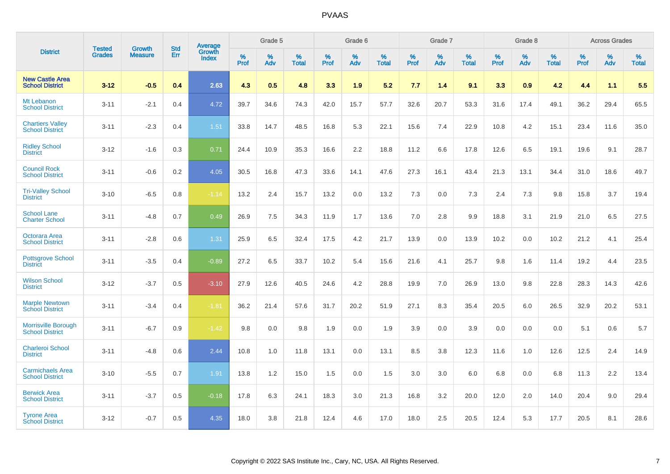|                                                      |                                |                                 | <b>Std</b> | <b>Average</b>         |           | Grade 5  |                   |           | Grade 6  |                   |           | Grade 7  |                   |           | Grade 8  |                   |           | <b>Across Grades</b> |            |
|------------------------------------------------------|--------------------------------|---------------------------------|------------|------------------------|-----------|----------|-------------------|-----------|----------|-------------------|-----------|----------|-------------------|-----------|----------|-------------------|-----------|----------------------|------------|
| <b>District</b>                                      | <b>Tested</b><br><b>Grades</b> | <b>Growth</b><br><b>Measure</b> | Err        | Growth<br><b>Index</b> | %<br>Prof | %<br>Adv | %<br><b>Total</b> | %<br>Prof | %<br>Adv | %<br><b>Total</b> | %<br>Prof | %<br>Adv | %<br><b>Total</b> | %<br>Prof | %<br>Adv | %<br><b>Total</b> | %<br>Prof | %<br>Adv             | %<br>Total |
| <b>New Castle Area</b><br><b>School District</b>     | $3 - 12$                       | $-0.5$                          | 0.4        | 2.63                   | 4.3       | 0.5      | 4.8               | 3.3       | 1.9      | 5.2               | 7.7       | 1.4      | 9.1               | 3.3       | 0.9      | 4.2               | 4.4       | 1.1                  | 5.5        |
| Mt Lebanon<br><b>School District</b>                 | $3 - 11$                       | $-2.1$                          | 0.4        | 4.72                   | 39.7      | 34.6     | 74.3              | 42.0      | 15.7     | 57.7              | 32.6      | 20.7     | 53.3              | 31.6      | 17.4     | 49.1              | 36.2      | 29.4                 | 65.5       |
| <b>Chartiers Valley</b><br><b>School District</b>    | $3 - 11$                       | $-2.3$                          | 0.4        | 1.51                   | 33.8      | 14.7     | 48.5              | 16.8      | 5.3      | 22.1              | 15.6      | 7.4      | 22.9              | 10.8      | 4.2      | 15.1              | 23.4      | 11.6                 | 35.0       |
| <b>Ridley School</b><br><b>District</b>              | $3 - 12$                       | $-1.6$                          | 0.3        | 0.71                   | 24.4      | 10.9     | 35.3              | 16.6      | 2.2      | 18.8              | 11.2      | 6.6      | 17.8              | 12.6      | 6.5      | 19.1              | 19.6      | 9.1                  | 28.7       |
| <b>Council Rock</b><br><b>School District</b>        | $3 - 11$                       | $-0.6$                          | 0.2        | 4.05                   | 30.5      | 16.8     | 47.3              | 33.6      | 14.1     | 47.6              | 27.3      | 16.1     | 43.4              | 21.3      | 13.1     | 34.4              | 31.0      | 18.6                 | 49.7       |
| <b>Tri-Valley School</b><br><b>District</b>          | $3 - 10$                       | $-6.5$                          | 0.8        | $-1.14$                | 13.2      | 2.4      | 15.7              | 13.2      | 0.0      | 13.2              | 7.3       | 0.0      | 7.3               | 2.4       | 7.3      | 9.8               | 15.8      | 3.7                  | 19.4       |
| <b>School Lane</b><br><b>Charter School</b>          | $3 - 11$                       | $-4.8$                          | 0.7        | 0.49                   | 26.9      | 7.5      | 34.3              | 11.9      | 1.7      | 13.6              | 7.0       | 2.8      | 9.9               | 18.8      | 3.1      | 21.9              | 21.0      | 6.5                  | 27.5       |
| Octorara Area<br><b>School District</b>              | $3 - 11$                       | $-2.8$                          | 0.6        | 1.31                   | 25.9      | 6.5      | 32.4              | 17.5      | 4.2      | 21.7              | 13.9      | 0.0      | 13.9              | 10.2      | 0.0      | 10.2              | 21.2      | 4.1                  | 25.4       |
| <b>Pottsgrove School</b><br><b>District</b>          | $3 - 11$                       | $-3.5$                          | 0.4        | $-0.89$                | 27.2      | 6.5      | 33.7              | 10.2      | 5.4      | 15.6              | 21.6      | 4.1      | 25.7              | 9.8       | 1.6      | 11.4              | 19.2      | 4.4                  | 23.5       |
| <b>Wilson School</b><br><b>District</b>              | $3 - 12$                       | $-3.7$                          | 0.5        | $-3.10$                | 27.9      | 12.6     | 40.5              | 24.6      | 4.2      | 28.8              | 19.9      | 7.0      | 26.9              | 13.0      | 9.8      | 22.8              | 28.3      | 14.3                 | 42.6       |
| <b>Marple Newtown</b><br><b>School District</b>      | $3 - 11$                       | $-3.4$                          | 0.4        | $-1.81$                | 36.2      | 21.4     | 57.6              | 31.7      | 20.2     | 51.9              | 27.1      | 8.3      | 35.4              | 20.5      | 6.0      | 26.5              | 32.9      | 20.2                 | 53.1       |
| <b>Morrisville Borough</b><br><b>School District</b> | $3 - 11$                       | $-6.7$                          | 0.9        | $-1.42$                | 9.8       | 0.0      | 9.8               | 1.9       | 0.0      | 1.9               | 3.9       | 0.0      | 3.9               | 0.0       | 0.0      | 0.0               | 5.1       | 0.6                  | 5.7        |
| Charleroi School<br><b>District</b>                  | $3 - 11$                       | $-4.8$                          | 0.6        | 2.44                   | 10.8      | 1.0      | 11.8              | 13.1      | 0.0      | 13.1              | 8.5       | 3.8      | 12.3              | 11.6      | 1.0      | 12.6              | 12.5      | 2.4                  | 14.9       |
| <b>Carmichaels Area</b><br><b>School District</b>    | $3 - 10$                       | $-5.5$                          | 0.7        | 1.91                   | 13.8      | 1.2      | 15.0              | 1.5       | 0.0      | 1.5               | 3.0       | 3.0      | 6.0               | 6.8       | 0.0      | 6.8               | 11.3      | 2.2                  | 13.4       |
| <b>Berwick Area</b><br><b>School District</b>        | $3 - 11$                       | $-3.7$                          | 0.5        | $-0.18$                | 17.8      | 6.3      | 24.1              | 18.3      | 3.0      | 21.3              | 16.8      | 3.2      | 20.0              | 12.0      | 2.0      | 14.0              | 20.4      | 9.0                  | 29.4       |
| <b>Tyrone Area</b><br><b>School District</b>         | $3 - 12$                       | $-0.7$                          | 0.5        | 4.35                   | 18.0      | 3.8      | 21.8              | 12.4      | 4.6      | 17.0              | 18.0      | 2.5      | 20.5              | 12.4      | 5.3      | 17.7              | 20.5      | 8.1                  | 28.6       |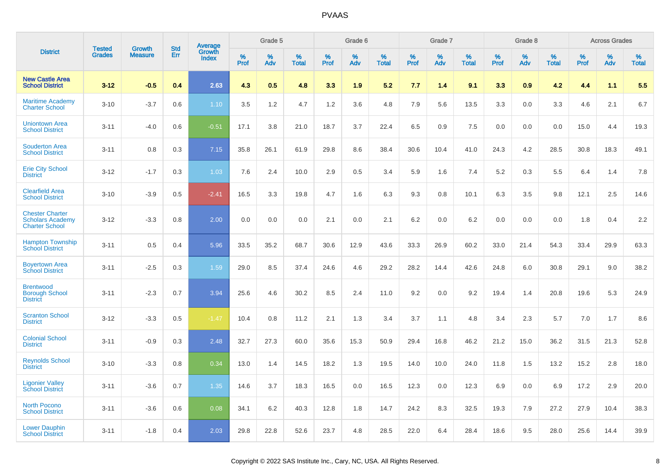|                                                                            | <b>Tested</b> | <b>Growth</b>  | <b>Std</b> | Average                |              | Grade 5  |                   |              | Grade 6  |                   |              | Grade 7  |                   |                     | Grade 8  |                   |              | <b>Across Grades</b> |                   |
|----------------------------------------------------------------------------|---------------|----------------|------------|------------------------|--------------|----------|-------------------|--------------|----------|-------------------|--------------|----------|-------------------|---------------------|----------|-------------------|--------------|----------------------|-------------------|
| <b>District</b>                                                            | <b>Grades</b> | <b>Measure</b> | Err        | Growth<br><b>Index</b> | $\%$<br>Prof | %<br>Adv | %<br><b>Total</b> | $\%$<br>Prof | %<br>Adv | %<br><b>Total</b> | $\%$<br>Prof | %<br>Adv | %<br><b>Total</b> | $\%$<br><b>Prof</b> | %<br>Adv | %<br><b>Total</b> | $\%$<br>Prof | %<br>Adv             | %<br><b>Total</b> |
| <b>New Castle Area</b><br><b>School District</b>                           | $3 - 12$      | $-0.5$         | 0.4        | 2.63                   | 4.3          | 0.5      | 4.8               | 3.3          | 1.9      | 5.2               | 7.7          | 1.4      | 9.1               | 3.3                 | 0.9      | 4.2               | 4.4          | 1.1                  | 5.5               |
| <b>Maritime Academy</b><br><b>Charter School</b>                           | $3 - 10$      | $-3.7$         | 0.6        | 1.10                   | 3.5          | 1.2      | 4.7               | 1.2          | 3.6      | 4.8               | 7.9          | 5.6      | 13.5              | 3.3                 | 0.0      | 3.3               | 4.6          | 2.1                  | 6.7               |
| <b>Uniontown Area</b><br><b>School District</b>                            | $3 - 11$      | $-4.0$         | 0.6        | $-0.51$                | 17.1         | 3.8      | 21.0              | 18.7         | 3.7      | 22.4              | 6.5          | 0.9      | 7.5               | 0.0                 | 0.0      | 0.0               | 15.0         | 4.4                  | 19.3              |
| <b>Souderton Area</b><br><b>School District</b>                            | $3 - 11$      | 0.8            | 0.3        | 7.15                   | 35.8         | 26.1     | 61.9              | 29.8         | 8.6      | 38.4              | 30.6         | 10.4     | 41.0              | 24.3                | 4.2      | 28.5              | 30.8         | 18.3                 | 49.1              |
| <b>Erie City School</b><br><b>District</b>                                 | $3 - 12$      | $-1.7$         | 0.3        | 1.03                   | 7.6          | 2.4      | 10.0              | 2.9          | 0.5      | 3.4               | 5.9          | 1.6      | 7.4               | 5.2                 | 0.3      | 5.5               | 6.4          | 1.4                  | 7.8               |
| <b>Clearfield Area</b><br><b>School District</b>                           | $3 - 10$      | $-3.9$         | 0.5        | $-2.41$                | 16.5         | 3.3      | 19.8              | 4.7          | 1.6      | 6.3               | 9.3          | 0.8      | 10.1              | 6.3                 | 3.5      | 9.8               | 12.1         | 2.5                  | 14.6              |
| <b>Chester Charter</b><br><b>Scholars Academy</b><br><b>Charter School</b> | $3 - 12$      | $-3.3$         | 0.8        | 2.00                   | 0.0          | 0.0      | 0.0               | 2.1          | 0.0      | 2.1               | 6.2          | 0.0      | 6.2               | 0.0                 | 0.0      | 0.0               | 1.8          | 0.4                  | 2.2               |
| <b>Hampton Township</b><br><b>School District</b>                          | $3 - 11$      | 0.5            | 0.4        | 5.96                   | 33.5         | 35.2     | 68.7              | 30.6         | 12.9     | 43.6              | 33.3         | 26.9     | 60.2              | 33.0                | 21.4     | 54.3              | 33.4         | 29.9                 | 63.3              |
| <b>Boyertown Area</b><br><b>School District</b>                            | $3 - 11$      | $-2.5$         | 0.3        | 1.59                   | 29.0         | 8.5      | 37.4              | 24.6         | 4.6      | 29.2              | 28.2         | 14.4     | 42.6              | 24.8                | 6.0      | 30.8              | 29.1         | 9.0                  | 38.2              |
| <b>Brentwood</b><br><b>Borough School</b><br><b>District</b>               | $3 - 11$      | $-2.3$         | 0.7        | 3.94                   | 25.6         | 4.6      | 30.2              | 8.5          | 2.4      | 11.0              | 9.2          | 0.0      | 9.2               | 19.4                | 1.4      | 20.8              | 19.6         | 5.3                  | 24.9              |
| <b>Scranton School</b><br><b>District</b>                                  | $3 - 12$      | $-3.3$         | 0.5        | $-1.47$                | 10.4         | 0.8      | 11.2              | 2.1          | 1.3      | 3.4               | 3.7          | 1.1      | 4.8               | 3.4                 | 2.3      | 5.7               | 7.0          | 1.7                  | 8.6               |
| <b>Colonial School</b><br><b>District</b>                                  | $3 - 11$      | $-0.9$         | 0.3        | 2.48                   | 32.7         | 27.3     | 60.0              | 35.6         | 15.3     | 50.9              | 29.4         | 16.8     | 46.2              | 21.2                | 15.0     | 36.2              | 31.5         | 21.3                 | 52.8              |
| <b>Reynolds School</b><br><b>District</b>                                  | $3 - 10$      | $-3.3$         | 0.8        | 0.34                   | 13.0         | 1.4      | 14.5              | 18.2         | 1.3      | 19.5              | 14.0         | 10.0     | 24.0              | 11.8                | 1.5      | 13.2              | 15.2         | 2.8                  | 18.0              |
| <b>Ligonier Valley</b><br><b>School District</b>                           | $3 - 11$      | $-3.6$         | 0.7        | 1.35                   | 14.6         | 3.7      | 18.3              | 16.5         | 0.0      | 16.5              | 12.3         | 0.0      | 12.3              | 6.9                 | 0.0      | 6.9               | 17.2         | 2.9                  | 20.0              |
| <b>North Pocono</b><br><b>School District</b>                              | $3 - 11$      | $-3.6$         | 0.6        | 0.08                   | 34.1         | 6.2      | 40.3              | 12.8         | 1.8      | 14.7              | 24.2         | 8.3      | 32.5              | 19.3                | 7.9      | 27.2              | 27.9         | 10.4                 | 38.3              |
| <b>Lower Dauphin</b><br><b>School District</b>                             | $3 - 11$      | $-1.8$         | 0.4        | 2.03                   | 29.8         | 22.8     | 52.6              | 23.7         | 4.8      | 28.5              | 22.0         | 6.4      | 28.4              | 18.6                | 9.5      | 28.0              | 25.6         | 14.4                 | 39.9              |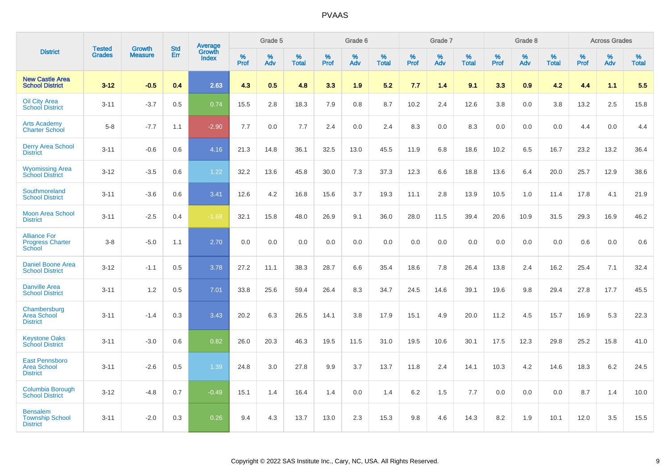|                                                                |                                |                          | <b>Std</b> | Average                |           | Grade 5  |                   |           | Grade 6  |                   |           | Grade 7  |                      |           | Grade 8  |                   |           | <b>Across Grades</b> |                   |
|----------------------------------------------------------------|--------------------------------|--------------------------|------------|------------------------|-----------|----------|-------------------|-----------|----------|-------------------|-----------|----------|----------------------|-----------|----------|-------------------|-----------|----------------------|-------------------|
| <b>District</b>                                                | <b>Tested</b><br><b>Grades</b> | Growth<br><b>Measure</b> | Err        | Growth<br><b>Index</b> | %<br>Prof | %<br>Adv | %<br><b>Total</b> | %<br>Prof | %<br>Adv | %<br><b>Total</b> | %<br>Prof | %<br>Adv | $\%$<br><b>Total</b> | %<br>Prof | %<br>Adv | %<br><b>Total</b> | %<br>Prof | %<br>Adv             | %<br><b>Total</b> |
| <b>New Castle Area</b><br><b>School District</b>               | $3 - 12$                       | $-0.5$                   | 0.4        | 2.63                   | 4.3       | 0.5      | 4.8               | 3.3       | 1.9      | 5.2               | 7.7       | 1.4      | 9.1                  | 3.3       | 0.9      | 4.2               | 4.4       | 1.1                  | 5.5               |
| <b>Oil City Area</b><br><b>School District</b>                 | $3 - 11$                       | $-3.7$                   | 0.5        | 0.74                   | 15.5      | 2.8      | 18.3              | 7.9       | 0.8      | 8.7               | 10.2      | 2.4      | 12.6                 | 3.8       | 0.0      | 3.8               | 13.2      | 2.5                  | 15.8              |
| <b>Arts Academy</b><br><b>Charter School</b>                   | $5 - 8$                        | $-7.7$                   | 1.1        | $-2.90$                | 7.7       | 0.0      | 7.7               | 2.4       | 0.0      | 2.4               | 8.3       | 0.0      | 8.3                  | 0.0       | 0.0      | 0.0               | 4.4       | 0.0                  | 4.4               |
| <b>Derry Area School</b><br><b>District</b>                    | $3 - 11$                       | $-0.6$                   | 0.6        | 4.16                   | 21.3      | 14.8     | 36.1              | 32.5      | 13.0     | 45.5              | 11.9      | 6.8      | 18.6                 | 10.2      | 6.5      | 16.7              | 23.2      | 13.2                 | 36.4              |
| <b>Wyomissing Area</b><br><b>School District</b>               | $3 - 12$                       | $-3.5$                   | 0.6        | 1.22                   | 32.2      | 13.6     | 45.8              | 30.0      | 7.3      | 37.3              | 12.3      | 6.6      | 18.8                 | 13.6      | 6.4      | 20.0              | 25.7      | 12.9                 | 38.6              |
| Southmoreland<br><b>School District</b>                        | $3 - 11$                       | $-3.6$                   | 0.6        | 3.41                   | 12.6      | 4.2      | 16.8              | 15.6      | 3.7      | 19.3              | 11.1      | 2.8      | 13.9                 | 10.5      | 1.0      | 11.4              | 17.8      | 4.1                  | 21.9              |
| <b>Moon Area School</b><br><b>District</b>                     | $3 - 11$                       | $-2.5$                   | 0.4        | $-1.68$                | 32.1      | 15.8     | 48.0              | 26.9      | 9.1      | 36.0              | 28.0      | 11.5     | 39.4                 | 20.6      | 10.9     | 31.5              | 29.3      | 16.9                 | 46.2              |
| <b>Alliance For</b><br><b>Progress Charter</b><br>School       | $3 - 8$                        | $-5.0$                   | 1.1        | 2.70                   | 0.0       | 0.0      | 0.0               | 0.0       | 0.0      | 0.0               | 0.0       | 0.0      | 0.0                  | 0.0       | 0.0      | 0.0               | 0.6       | 0.0                  | 0.6               |
| <b>Daniel Boone Area</b><br><b>School District</b>             | $3 - 12$                       | $-1.1$                   | 0.5        | 3.78                   | 27.2      | 11.1     | 38.3              | 28.7      | 6.6      | 35.4              | 18.6      | 7.8      | 26.4                 | 13.8      | 2.4      | 16.2              | 25.4      | 7.1                  | 32.4              |
| <b>Danville Area</b><br><b>School District</b>                 | $3 - 11$                       | 1.2                      | 0.5        | 7.01                   | 33.8      | 25.6     | 59.4              | 26.4      | 8.3      | 34.7              | 24.5      | 14.6     | 39.1                 | 19.6      | 9.8      | 29.4              | 27.8      | 17.7                 | 45.5              |
| Chambersburg<br><b>Area School</b><br><b>District</b>          | $3 - 11$                       | $-1.4$                   | 0.3        | 3.43                   | 20.2      | 6.3      | 26.5              | 14.1      | 3.8      | 17.9              | 15.1      | 4.9      | 20.0                 | 11.2      | 4.5      | 15.7              | 16.9      | 5.3                  | 22.3              |
| <b>Keystone Oaks</b><br><b>School District</b>                 | $3 - 11$                       | $-3.0$                   | 0.6        | 0.82                   | 26.0      | 20.3     | 46.3              | 19.5      | 11.5     | 31.0              | 19.5      | 10.6     | 30.1                 | 17.5      | 12.3     | 29.8              | 25.2      | 15.8                 | 41.0              |
| <b>East Pennsboro</b><br><b>Area School</b><br><b>District</b> | $3 - 11$                       | $-2.6$                   | 0.5        | 1.39                   | 24.8      | 3.0      | 27.8              | 9.9       | 3.7      | 13.7              | 11.8      | 2.4      | 14.1                 | 10.3      | 4.2      | 14.6              | 18.3      | $6.2\,$              | 24.5              |
| Columbia Borough<br><b>School District</b>                     | $3 - 12$                       | $-4.8$                   | 0.7        | $-0.49$                | 15.1      | 1.4      | 16.4              | 1.4       | $0.0\,$  | 1.4               | 6.2       | 1.5      | 7.7                  | 0.0       | 0.0      | 0.0               | 8.7       | 1.4                  | 10.0              |
| <b>Bensalem</b><br><b>Township School</b><br><b>District</b>   | $3 - 11$                       | $-2.0$                   | 0.3        | 0.26                   | 9.4       | 4.3      | 13.7              | 13.0      | 2.3      | 15.3              | 9.8       | 4.6      | 14.3                 | 8.2       | 1.9      | 10.1              | 12.0      | 3.5                  | 15.5              |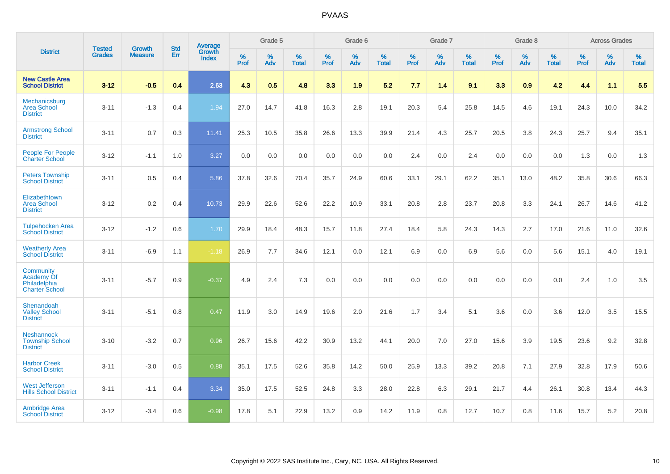|                                                                  | <b>Tested</b> | <b>Growth</b>  | <b>Std</b> | Average                       |              | Grade 5  |                   |           | Grade 6  |                   |           | Grade 7  |                   |           | Grade 8  |                   |           | <b>Across Grades</b> |                   |
|------------------------------------------------------------------|---------------|----------------|------------|-------------------------------|--------------|----------|-------------------|-----------|----------|-------------------|-----------|----------|-------------------|-----------|----------|-------------------|-----------|----------------------|-------------------|
| <b>District</b>                                                  | <b>Grades</b> | <b>Measure</b> | <b>Err</b> | <b>Growth</b><br><b>Index</b> | $\%$<br>Prof | %<br>Adv | %<br><b>Total</b> | %<br>Prof | %<br>Adv | %<br><b>Total</b> | %<br>Prof | %<br>Adv | %<br><b>Total</b> | %<br>Prof | %<br>Adv | %<br><b>Total</b> | %<br>Prof | %<br>Adv             | %<br><b>Total</b> |
| <b>New Castle Area</b><br><b>School District</b>                 | $3 - 12$      | $-0.5$         | 0.4        | 2.63                          | 4.3          | 0.5      | 4.8               | 3.3       | 1.9      | 5.2               | 7.7       | 1.4      | 9.1               | 3.3       | 0.9      | 4.2               | 4.4       | 1.1                  | 5.5               |
| Mechanicsburg<br><b>Area School</b><br><b>District</b>           | $3 - 11$      | $-1.3$         | 0.4        | 1.94                          | 27.0         | 14.7     | 41.8              | 16.3      | 2.8      | 19.1              | 20.3      | 5.4      | 25.8              | 14.5      | 4.6      | 19.1              | 24.3      | 10.0                 | 34.2              |
| <b>Armstrong School</b><br><b>District</b>                       | $3 - 11$      | 0.7            | 0.3        | 11.41                         | 25.3         | 10.5     | 35.8              | 26.6      | 13.3     | 39.9              | 21.4      | 4.3      | 25.7              | 20.5      | 3.8      | 24.3              | 25.7      | 9.4                  | 35.1              |
| <b>People For People</b><br><b>Charter School</b>                | $3 - 12$      | $-1.1$         | 1.0        | 3.27                          | 0.0          | 0.0      | 0.0               | 0.0       | 0.0      | 0.0               | 2.4       | 0.0      | 2.4               | 0.0       | 0.0      | 0.0               | 1.3       | 0.0                  | 1.3               |
| <b>Peters Township</b><br><b>School District</b>                 | $3 - 11$      | 0.5            | 0.4        | 5.86                          | 37.8         | 32.6     | 70.4              | 35.7      | 24.9     | 60.6              | 33.1      | 29.1     | 62.2              | 35.1      | 13.0     | 48.2              | 35.8      | 30.6                 | 66.3              |
| Elizabethtown<br><b>Area School</b><br><b>District</b>           | $3 - 12$      | 0.2            | 0.4        | 10.73                         | 29.9         | 22.6     | 52.6              | 22.2      | 10.9     | 33.1              | 20.8      | 2.8      | 23.7              | 20.8      | 3.3      | 24.1              | 26.7      | 14.6                 | 41.2              |
| <b>Tulpehocken Area</b><br><b>School District</b>                | $3 - 12$      | $-1.2$         | 0.6        | 1.70                          | 29.9         | 18.4     | 48.3              | 15.7      | 11.8     | 27.4              | 18.4      | 5.8      | 24.3              | 14.3      | 2.7      | 17.0              | 21.6      | 11.0                 | 32.6              |
| <b>Weatherly Area</b><br><b>School District</b>                  | $3 - 11$      | $-6.9$         | 1.1        | $-1.18$                       | 26.9         | 7.7      | 34.6              | 12.1      | 0.0      | 12.1              | 6.9       | $0.0\,$  | 6.9               | 5.6       | $0.0\,$  | 5.6               | 15.1      | 4.0                  | 19.1              |
| Community<br>Academy Of<br>Philadelphia<br><b>Charter School</b> | $3 - 11$      | $-5.7$         | 0.9        | $-0.37$                       | 4.9          | 2.4      | 7.3               | 0.0       | 0.0      | 0.0               | 0.0       | 0.0      | 0.0               | 0.0       | 0.0      | 0.0               | 2.4       | 1.0                  | 3.5               |
| Shenandoah<br><b>Valley School</b><br><b>District</b>            | $3 - 11$      | $-5.1$         | 0.8        | 0.47                          | 11.9         | 3.0      | 14.9              | 19.6      | 2.0      | 21.6              | 1.7       | 3.4      | 5.1               | 3.6       | 0.0      | 3.6               | 12.0      | 3.5                  | 15.5              |
| <b>Neshannock</b><br><b>Township School</b><br><b>District</b>   | $3 - 10$      | $-3.2$         | 0.7        | 0.96                          | 26.7         | 15.6     | 42.2              | 30.9      | 13.2     | 44.1              | 20.0      | 7.0      | 27.0              | 15.6      | 3.9      | 19.5              | 23.6      | 9.2                  | 32.8              |
| <b>Harbor Creek</b><br><b>School District</b>                    | $3 - 11$      | $-3.0$         | 0.5        | 0.88                          | 35.1         | 17.5     | 52.6              | 35.8      | 14.2     | 50.0              | 25.9      | 13.3     | 39.2              | 20.8      | 7.1      | 27.9              | 32.8      | 17.9                 | 50.6              |
| <b>West Jefferson</b><br><b>Hills School District</b>            | $3 - 11$      | $-1.1$         | 0.4        | 3.34                          | 35.0         | 17.5     | 52.5              | 24.8      | 3.3      | 28.0              | 22.8      | 6.3      | 29.1              | 21.7      | 4.4      | 26.1              | 30.8      | 13.4                 | 44.3              |
| <b>Ambridge Area</b><br><b>School District</b>                   | $3 - 12$      | $-3.4$         | 0.6        | $-0.98$                       | 17.8         | 5.1      | 22.9              | 13.2      | 0.9      | 14.2              | 11.9      | 0.8      | 12.7              | 10.7      | 0.8      | 11.6              | 15.7      | 5.2                  | 20.8              |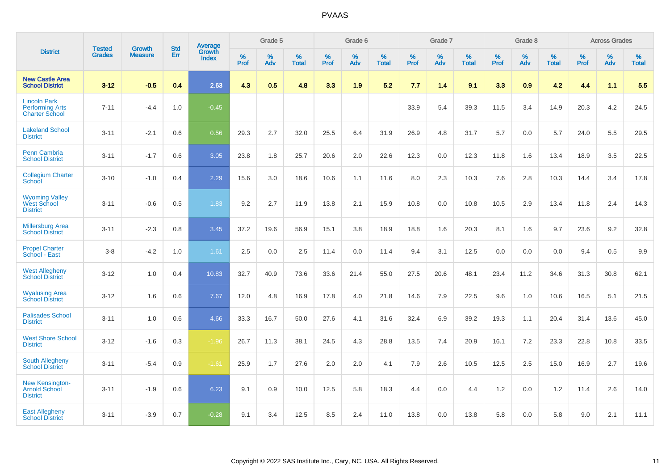|                                                                        | <b>Tested</b> | <b>Growth</b>  | <b>Std</b> | Average                       |              | Grade 5  |                   |           | Grade 6  |                   |           | Grade 7  |                   |           | Grade 8  |                   |           | <b>Across Grades</b> |                   |
|------------------------------------------------------------------------|---------------|----------------|------------|-------------------------------|--------------|----------|-------------------|-----------|----------|-------------------|-----------|----------|-------------------|-----------|----------|-------------------|-----------|----------------------|-------------------|
| <b>District</b>                                                        | <b>Grades</b> | <b>Measure</b> | Err        | <b>Growth</b><br><b>Index</b> | $\%$<br>Prof | %<br>Adv | %<br><b>Total</b> | %<br>Prof | %<br>Adv | %<br><b>Total</b> | %<br>Prof | %<br>Adv | %<br><b>Total</b> | %<br>Prof | %<br>Adv | %<br><b>Total</b> | %<br>Prof | %<br>Adv             | %<br><b>Total</b> |
| <b>New Castle Area</b><br><b>School District</b>                       | $3 - 12$      | $-0.5$         | 0.4        | 2.63                          | 4.3          | 0.5      | 4.8               | 3.3       | 1.9      | 5.2               | 7.7       | 1.4      | 9.1               | 3.3       | 0.9      | 4.2               | 4.4       | 1.1                  | 5.5               |
| <b>Lincoln Park</b><br><b>Performing Arts</b><br><b>Charter School</b> | $7 - 11$      | $-4.4$         | 1.0        | $-0.45$                       |              |          |                   |           |          |                   | 33.9      | 5.4      | 39.3              | 11.5      | 3.4      | 14.9              | 20.3      | 4.2                  | 24.5              |
| <b>Lakeland School</b><br><b>District</b>                              | $3 - 11$      | $-2.1$         | 0.6        | 0.56                          | 29.3         | 2.7      | 32.0              | 25.5      | 6.4      | 31.9              | 26.9      | 4.8      | 31.7              | 5.7       | 0.0      | 5.7               | 24.0      | 5.5                  | 29.5              |
| <b>Penn Cambria</b><br><b>School District</b>                          | $3 - 11$      | $-1.7$         | 0.6        | 3.05                          | 23.8         | 1.8      | 25.7              | 20.6      | 2.0      | 22.6              | 12.3      | 0.0      | 12.3              | 11.8      | 1.6      | 13.4              | 18.9      | 3.5                  | 22.5              |
| <b>Collegium Charter</b><br>School                                     | $3 - 10$      | $-1.0$         | 0.4        | 2.29                          | 15.6         | 3.0      | 18.6              | 10.6      | 1.1      | 11.6              | 8.0       | 2.3      | 10.3              | 7.6       | 2.8      | 10.3              | 14.4      | 3.4                  | 17.8              |
| <b>Wyoming Valley</b><br>West School<br><b>District</b>                | $3 - 11$      | $-0.6$         | 0.5        | 1.83                          | 9.2          | 2.7      | 11.9              | 13.8      | 2.1      | 15.9              | 10.8      | 0.0      | 10.8              | 10.5      | 2.9      | 13.4              | 11.8      | 2.4                  | 14.3              |
| <b>Millersburg Area</b><br><b>School District</b>                      | $3 - 11$      | $-2.3$         | 0.8        | 3.45                          | 37.2         | 19.6     | 56.9              | 15.1      | 3.8      | 18.9              | 18.8      | 1.6      | 20.3              | 8.1       | 1.6      | 9.7               | 23.6      | 9.2                  | 32.8              |
| <b>Propel Charter</b><br>School - East                                 | $3 - 8$       | $-4.2$         | 1.0        | 1.61                          | 2.5          | 0.0      | 2.5               | 11.4      | 0.0      | 11.4              | 9.4       | 3.1      | 12.5              | 0.0       | 0.0      | 0.0               | 9.4       | 0.5                  | 9.9               |
| <b>West Allegheny</b><br><b>School District</b>                        | $3 - 12$      | 1.0            | 0.4        | 10.83                         | 32.7         | 40.9     | 73.6              | 33.6      | 21.4     | 55.0              | 27.5      | 20.6     | 48.1              | 23.4      | 11.2     | 34.6              | 31.3      | 30.8                 | 62.1              |
| <b>Wyalusing Area</b><br><b>School District</b>                        | $3 - 12$      | 1.6            | 0.6        | 7.67                          | 12.0         | 4.8      | 16.9              | 17.8      | 4.0      | 21.8              | 14.6      | 7.9      | 22.5              | 9.6       | 1.0      | 10.6              | 16.5      | 5.1                  | 21.5              |
| <b>Palisades School</b><br><b>District</b>                             | $3 - 11$      | 1.0            | 0.6        | 4.66                          | 33.3         | 16.7     | 50.0              | 27.6      | 4.1      | 31.6              | 32.4      | 6.9      | 39.2              | 19.3      | 1.1      | 20.4              | 31.4      | 13.6                 | 45.0              |
| <b>West Shore School</b><br><b>District</b>                            | $3 - 12$      | $-1.6$         | 0.3        | $-1.96$                       | 26.7         | 11.3     | 38.1              | 24.5      | 4.3      | 28.8              | 13.5      | 7.4      | 20.9              | 16.1      | 7.2      | 23.3              | 22.8      | 10.8                 | 33.5              |
| <b>South Allegheny</b><br><b>School District</b>                       | $3 - 11$      | $-5.4$         | 0.9        | $-1.61$                       | 25.9         | 1.7      | 27.6              | 2.0       | 2.0      | 4.1               | 7.9       | 2.6      | 10.5              | 12.5      | 2.5      | 15.0              | 16.9      | 2.7                  | 19.6              |
| <b>New Kensington-</b><br><b>Arnold School</b><br><b>District</b>      | $3 - 11$      | $-1.9$         | 0.6        | 6.23                          | 9.1          | 0.9      | 10.0              | 12.5      | 5.8      | 18.3              | 4.4       | $0.0\,$  | 4.4               | 1.2       | 0.0      | 1.2               | 11.4      | 2.6                  | 14.0              |
| <b>East Allegheny</b><br><b>School District</b>                        | $3 - 11$      | $-3.9$         | 0.7        | $-0.28$                       | 9.1          | 3.4      | 12.5              | 8.5       | 2.4      | 11.0              | 13.8      | 0.0      | 13.8              | 5.8       | 0.0      | 5.8               | 9.0       | 2.1                  | 11.1              |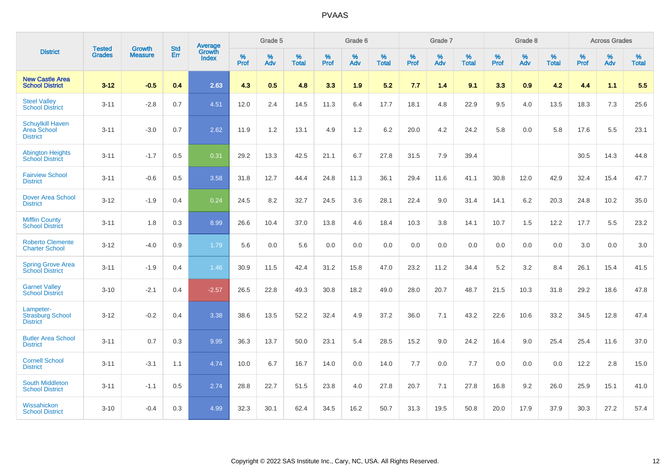|                                                                  | <b>Tested</b> | <b>Growth</b>  | <b>Std</b> | Average         |           | Grade 5  |                   |                  | Grade 6  |                   |                  | Grade 7  |                   |                  | Grade 8  |                   |           | <b>Across Grades</b> |                   |
|------------------------------------------------------------------|---------------|----------------|------------|-----------------|-----------|----------|-------------------|------------------|----------|-------------------|------------------|----------|-------------------|------------------|----------|-------------------|-----------|----------------------|-------------------|
| <b>District</b>                                                  | <b>Grades</b> | <b>Measure</b> | Err        | Growth<br>Index | %<br>Prof | %<br>Adv | %<br><b>Total</b> | %<br><b>Prof</b> | %<br>Adv | %<br><b>Total</b> | %<br><b>Prof</b> | %<br>Adv | %<br><b>Total</b> | %<br><b>Prof</b> | %<br>Adv | %<br><b>Total</b> | %<br>Prof | %<br>Adv             | %<br><b>Total</b> |
| <b>New Castle Area</b><br><b>School District</b>                 | $3 - 12$      | $-0.5$         | 0.4        | 2.63            | 4.3       | 0.5      | 4.8               | 3.3              | 1.9      | 5.2               | 7.7              | 1.4      | 9.1               | 3.3              | 0.9      | 4.2               | 4.4       | 1.1                  | 5.5               |
| <b>Steel Valley</b><br><b>School District</b>                    | $3 - 11$      | $-2.8$         | 0.7        | 4.51            | 12.0      | 2.4      | 14.5              | 11.3             | 6.4      | 17.7              | 18.1             | 4.8      | 22.9              | 9.5              | 4.0      | 13.5              | 18.3      | 7.3                  | 25.6              |
| <b>Schuylkill Haven</b><br><b>Area School</b><br><b>District</b> | $3 - 11$      | $-3.0$         | 0.7        | 2.62            | 11.9      | 1.2      | 13.1              | 4.9              | 1.2      | 6.2               | 20.0             | 4.2      | 24.2              | 5.8              | 0.0      | 5.8               | 17.6      | 5.5                  | 23.1              |
| <b>Abington Heights</b><br><b>School District</b>                | $3 - 11$      | $-1.7$         | 0.5        | 0.31            | 29.2      | 13.3     | 42.5              | 21.1             | 6.7      | 27.8              | 31.5             | 7.9      | 39.4              |                  |          |                   | 30.5      | 14.3                 | 44.8              |
| <b>Fairview School</b><br><b>District</b>                        | $3 - 11$      | $-0.6$         | 0.5        | 3.58            | 31.8      | 12.7     | 44.4              | 24.8             | 11.3     | 36.1              | 29.4             | 11.6     | 41.1              | 30.8             | 12.0     | 42.9              | 32.4      | 15.4                 | 47.7              |
| <b>Dover Area School</b><br><b>District</b>                      | $3 - 12$      | $-1.9$         | 0.4        | 0.24            | 24.5      | 8.2      | 32.7              | 24.5             | 3.6      | 28.1              | 22.4             | 9.0      | 31.4              | 14.1             | 6.2      | 20.3              | 24.8      | 10.2                 | 35.0              |
| <b>Mifflin County</b><br><b>School District</b>                  | $3 - 11$      | 1.8            | 0.3        | 8.99            | 26.6      | 10.4     | 37.0              | 13.8             | 4.6      | 18.4              | 10.3             | 3.8      | 14.1              | 10.7             | 1.5      | 12.2              | 17.7      | 5.5                  | 23.2              |
| <b>Roberto Clemente</b><br><b>Charter School</b>                 | $3 - 12$      | $-4.0$         | 0.9        | 1.79            | 5.6       | 0.0      | 5.6               | 0.0              | 0.0      | 0.0               | 0.0              | 0.0      | 0.0               | 0.0              | 0.0      | 0.0               | 3.0       | 0.0                  | 3.0               |
| <b>Spring Grove Area</b><br><b>School District</b>               | $3 - 11$      | $-1.9$         | 0.4        | 1.46            | 30.9      | 11.5     | 42.4              | 31.2             | 15.8     | 47.0              | 23.2             | 11.2     | 34.4              | $5.2\,$          | 3.2      | 8.4               | 26.1      | 15.4                 | 41.5              |
| <b>Garnet Valley</b><br><b>School District</b>                   | $3 - 10$      | $-2.1$         | 0.4        | $-2.57$         | 26.5      | 22.8     | 49.3              | 30.8             | 18.2     | 49.0              | 28.0             | 20.7     | 48.7              | 21.5             | 10.3     | 31.8              | 29.2      | 18.6                 | 47.8              |
| Lampeter-<br><b>Strasburg School</b><br><b>District</b>          | $3 - 12$      | $-0.2$         | 0.4        | 3.38            | 38.6      | 13.5     | 52.2              | 32.4             | 4.9      | 37.2              | 36.0             | 7.1      | 43.2              | 22.6             | 10.6     | 33.2              | 34.5      | 12.8                 | 47.4              |
| <b>Butler Area School</b><br><b>District</b>                     | $3 - 11$      | 0.7            | 0.3        | 9.95            | 36.3      | 13.7     | 50.0              | 23.1             | 5.4      | 28.5              | 15.2             | 9.0      | 24.2              | 16.4             | 9.0      | 25.4              | 25.4      | 11.6                 | 37.0              |
| <b>Cornell School</b><br><b>District</b>                         | $3 - 11$      | $-3.1$         | 1.1        | 4.74            | 10.0      | 6.7      | 16.7              | 14.0             | 0.0      | 14.0              | 7.7              | 0.0      | 7.7               | 0.0              | 0.0      | 0.0               | 12.2      | 2.8                  | 15.0              |
| South Middleton<br><b>School District</b>                        | $3 - 11$      | $-1.1$         | 0.5        | 2.74            | 28.8      | 22.7     | 51.5              | 23.8             | 4.0      | 27.8              | 20.7             | 7.1      | 27.8              | 16.8             | 9.2      | 26.0              | 25.9      | 15.1                 | 41.0              |
| Wissahickon<br><b>School District</b>                            | $3 - 10$      | $-0.4$         | 0.3        | 4.99            | 32.3      | 30.1     | 62.4              | 34.5             | 16.2     | 50.7              | 31.3             | 19.5     | 50.8              | 20.0             | 17.9     | 37.9              | 30.3      | 27.2                 | 57.4              |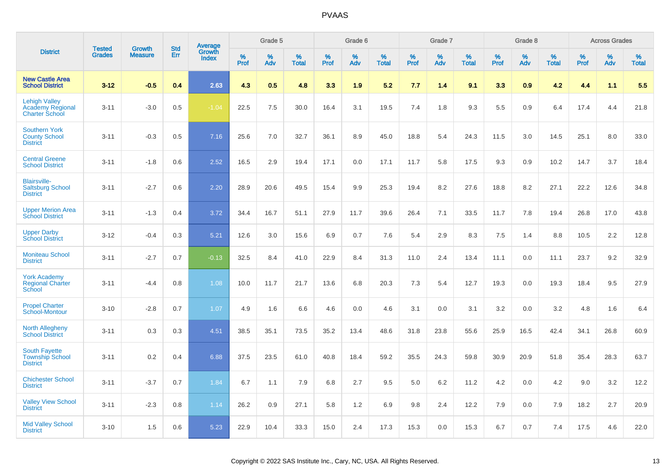|                                                                   |                                |                                 | <b>Std</b> |                                   |                  | Grade 5  |                   |           | Grade 6  |                   |           | Grade 7  |                   |           | Grade 8  |                   |              | <b>Across Grades</b> |                   |
|-------------------------------------------------------------------|--------------------------------|---------------------------------|------------|-----------------------------------|------------------|----------|-------------------|-----------|----------|-------------------|-----------|----------|-------------------|-----------|----------|-------------------|--------------|----------------------|-------------------|
| <b>District</b>                                                   | <b>Tested</b><br><b>Grades</b> | <b>Growth</b><br><b>Measure</b> | Err        | <b>Average</b><br>Growth<br>Index | %<br><b>Prof</b> | %<br>Adv | %<br><b>Total</b> | %<br>Prof | %<br>Adv | %<br><b>Total</b> | %<br>Prof | %<br>Adv | %<br><b>Total</b> | %<br>Prof | %<br>Adv | %<br><b>Total</b> | $\%$<br>Prof | %<br>Adv             | %<br><b>Total</b> |
| <b>New Castle Area</b><br><b>School District</b>                  | $3 - 12$                       | $-0.5$                          | 0.4        | 2.63                              | 4.3              | 0.5      | 4.8               | 3.3       | 1.9      | 5.2               | 7.7       | 1.4      | 9.1               | 3.3       | 0.9      | 4.2               | 4.4          | 1.1                  | 5.5               |
| <b>Lehigh Valley</b><br>Academy Regional<br><b>Charter School</b> | $3 - 11$                       | $-3.0$                          | 0.5        | $-1.04$                           | 22.5             | 7.5      | 30.0              | 16.4      | 3.1      | 19.5              | 7.4       | 1.8      | 9.3               | 5.5       | 0.9      | 6.4               | 17.4         | 4.4                  | 21.8              |
| <b>Southern York</b><br><b>County School</b><br><b>District</b>   | $3 - 11$                       | $-0.3$                          | 0.5        | 7.16                              | 25.6             | 7.0      | 32.7              | 36.1      | 8.9      | 45.0              | 18.8      | 5.4      | 24.3              | 11.5      | 3.0      | 14.5              | 25.1         | 8.0                  | 33.0              |
| <b>Central Greene</b><br><b>School District</b>                   | $3 - 11$                       | $-1.8$                          | 0.6        | 2.52                              | 16.5             | 2.9      | 19.4              | 17.1      | 0.0      | 17.1              | 11.7      | 5.8      | 17.5              | 9.3       | 0.9      | 10.2              | 14.7         | 3.7                  | 18.4              |
| <b>Blairsville-</b><br><b>Saltsburg School</b><br><b>District</b> | $3 - 11$                       | $-2.7$                          | 0.6        | 2.20                              | 28.9             | 20.6     | 49.5              | 15.4      | 9.9      | 25.3              | 19.4      | 8.2      | 27.6              | 18.8      | 8.2      | 27.1              | 22.2         | 12.6                 | 34.8              |
| <b>Upper Merion Area</b><br><b>School District</b>                | $3 - 11$                       | $-1.3$                          | 0.4        | 3.72                              | 34.4             | 16.7     | 51.1              | 27.9      | 11.7     | 39.6              | 26.4      | 7.1      | 33.5              | 11.7      | 7.8      | 19.4              | 26.8         | 17.0                 | 43.8              |
| <b>Upper Darby</b><br><b>School District</b>                      | $3 - 12$                       | $-0.4$                          | 0.3        | 5.21                              | 12.6             | 3.0      | 15.6              | 6.9       | 0.7      | 7.6               | 5.4       | 2.9      | 8.3               | 7.5       | 1.4      | 8.8               | 10.5         | 2.2                  | 12.8              |
| <b>Moniteau School</b><br><b>District</b>                         | $3 - 11$                       | $-2.7$                          | 0.7        | $-0.13$                           | 32.5             | 8.4      | 41.0              | 22.9      | 8.4      | 31.3              | 11.0      | 2.4      | 13.4              | 11.1      | 0.0      | 11.1              | 23.7         | 9.2                  | 32.9              |
| <b>York Academy</b><br><b>Regional Charter</b><br>School          | $3 - 11$                       | $-4.4$                          | 0.8        | 1.08                              | 10.0             | 11.7     | 21.7              | 13.6      | 6.8      | 20.3              | 7.3       | 5.4      | 12.7              | 19.3      | 0.0      | 19.3              | 18.4         | 9.5                  | 27.9              |
| <b>Propel Charter</b><br>School-Montour                           | $3 - 10$                       | $-2.8$                          | 0.7        | 1.07                              | 4.9              | 1.6      | 6.6               | 4.6       | 0.0      | 4.6               | 3.1       | 0.0      | 3.1               | 3.2       | 0.0      | 3.2               | 4.8          | 1.6                  | 6.4               |
| <b>North Allegheny</b><br><b>School District</b>                  | $3 - 11$                       | 0.3                             | 0.3        | 4.51                              | 38.5             | 35.1     | 73.5              | 35.2      | 13.4     | 48.6              | 31.8      | 23.8     | 55.6              | 25.9      | 16.5     | 42.4              | 34.1         | 26.8                 | 60.9              |
| <b>South Fayette</b><br><b>Township School</b><br><b>District</b> | $3 - 11$                       | 0.2                             | 0.4        | 6.88                              | 37.5             | 23.5     | 61.0              | 40.8      | 18.4     | 59.2              | 35.5      | 24.3     | 59.8              | 30.9      | 20.9     | 51.8              | 35.4         | 28.3                 | 63.7              |
| <b>Chichester School</b><br><b>District</b>                       | $3 - 11$                       | $-3.7$                          | 0.7        | 1.84                              | 6.7              | 1.1      | 7.9               | 6.8       | 2.7      | 9.5               | 5.0       | 6.2      | 11.2              | 4.2       | 0.0      | 4.2               | 9.0          | 3.2                  | 12.2              |
| <b>Valley View School</b><br><b>District</b>                      | $3 - 11$                       | $-2.3$                          | 0.8        | 1.14                              | 26.2             | 0.9      | 27.1              | 5.8       | 1.2      | 6.9               | 9.8       | 2.4      | 12.2              | 7.9       | 0.0      | 7.9               | 18.2         | 2.7                  | 20.9              |
| <b>Mid Valley School</b><br><b>District</b>                       | $3 - 10$                       | 1.5                             | 0.6        | 5.23                              | 22.9             | 10.4     | 33.3              | 15.0      | 2.4      | 17.3              | 15.3      | 0.0      | 15.3              | 6.7       | 0.7      | 7.4               | 17.5         | 4.6                  | 22.0              |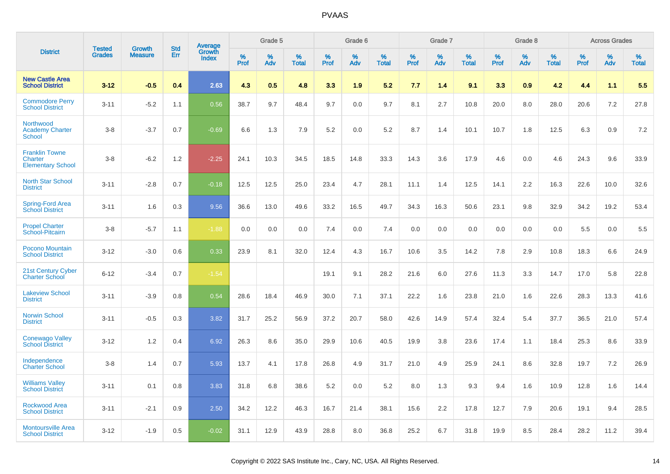|                                                              |                                |                                 |                   |                                          |              | Grade 5  |                      |              | Grade 6  |                      |              | Grade 7  |                   |                     | Grade 8  |                   |              | <b>Across Grades</b> |                      |
|--------------------------------------------------------------|--------------------------------|---------------------------------|-------------------|------------------------------------------|--------------|----------|----------------------|--------------|----------|----------------------|--------------|----------|-------------------|---------------------|----------|-------------------|--------------|----------------------|----------------------|
| <b>District</b>                                              | <b>Tested</b><br><b>Grades</b> | <b>Growth</b><br><b>Measure</b> | <b>Std</b><br>Err | <b>Average</b><br>Growth<br><b>Index</b> | $\%$<br>Prof | %<br>Adv | $\%$<br><b>Total</b> | $\%$<br>Prof | %<br>Adv | $\%$<br><b>Total</b> | $\%$<br>Prof | %<br>Adv | %<br><b>Total</b> | $\%$<br><b>Prof</b> | %<br>Adv | %<br><b>Total</b> | $\%$<br>Prof | %<br>Adv             | $\%$<br><b>Total</b> |
| <b>New Castle Area</b><br><b>School District</b>             | $3 - 12$                       | $-0.5$                          | 0.4               | 2.63                                     | 4.3          | 0.5      | 4.8                  | 3.3          | 1.9      | 5.2                  | 7.7          | 1.4      | 9.1               | 3.3                 | 0.9      | 4.2               | 4.4          | 1.1                  | 5.5                  |
| <b>Commodore Perry</b><br><b>School District</b>             | $3 - 11$                       | $-5.2$                          | 1.1               | 0.56                                     | 38.7         | 9.7      | 48.4                 | 9.7          | 0.0      | 9.7                  | 8.1          | 2.7      | 10.8              | 20.0                | 8.0      | 28.0              | 20.6         | 7.2                  | 27.8                 |
| Northwood<br><b>Academy Charter</b><br>School                | $3 - 8$                        | $-3.7$                          | 0.7               | $-0.69$                                  | 6.6          | 1.3      | 7.9                  | 5.2          | 0.0      | 5.2                  | 8.7          | 1.4      | 10.1              | 10.7                | 1.8      | 12.5              | 6.3          | 0.9                  | 7.2                  |
| <b>Franklin Towne</b><br>Charter<br><b>Elementary School</b> | $3 - 8$                        | $-6.2$                          | 1.2               | $-2.25$                                  | 24.1         | 10.3     | 34.5                 | 18.5         | 14.8     | 33.3                 | 14.3         | 3.6      | 17.9              | 4.6                 | 0.0      | 4.6               | 24.3         | 9.6                  | 33.9                 |
| <b>North Star School</b><br><b>District</b>                  | $3 - 11$                       | $-2.8$                          | 0.7               | $-0.18$                                  | 12.5         | 12.5     | 25.0                 | 23.4         | 4.7      | 28.1                 | 11.1         | 1.4      | 12.5              | 14.1                | 2.2      | 16.3              | 22.6         | 10.0                 | 32.6                 |
| Spring-Ford Area<br><b>School District</b>                   | $3 - 11$                       | 1.6                             | 0.3               | 9.56                                     | 36.6         | 13.0     | 49.6                 | 33.2         | 16.5     | 49.7                 | 34.3         | 16.3     | 50.6              | 23.1                | 9.8      | 32.9              | 34.2         | 19.2                 | 53.4                 |
| <b>Propel Charter</b><br>School-Pitcairn                     | $3 - 8$                        | $-5.7$                          | 1.1               | $-1.88$                                  | 0.0          | 0.0      | 0.0                  | 7.4          | 0.0      | 7.4                  | 0.0          | 0.0      | 0.0               | 0.0                 | 0.0      | 0.0               | 5.5          | 0.0                  | 5.5                  |
| Pocono Mountain<br><b>School District</b>                    | $3 - 12$                       | $-3.0$                          | 0.6               | 0.33                                     | 23.9         | 8.1      | 32.0                 | 12.4         | 4.3      | 16.7                 | 10.6         | 3.5      | 14.2              | 7.8                 | 2.9      | 10.8              | 18.3         | 6.6                  | 24.9                 |
| 21st Century Cyber<br><b>Charter School</b>                  | $6 - 12$                       | $-3.4$                          | 0.7               | $-1.54$                                  |              |          |                      | 19.1         | 9.1      | 28.2                 | 21.6         | 6.0      | 27.6              | 11.3                | 3.3      | 14.7              | 17.0         | 5.8                  | 22.8                 |
| <b>Lakeview School</b><br><b>District</b>                    | $3 - 11$                       | $-3.9$                          | 0.8               | 0.54                                     | 28.6         | 18.4     | 46.9                 | 30.0         | 7.1      | 37.1                 | 22.2         | 1.6      | 23.8              | 21.0                | 1.6      | 22.6              | 28.3         | 13.3                 | 41.6                 |
| <b>Norwin School</b><br><b>District</b>                      | $3 - 11$                       | $-0.5$                          | 0.3               | 3.82                                     | 31.7         | 25.2     | 56.9                 | 37.2         | 20.7     | 58.0                 | 42.6         | 14.9     | 57.4              | 32.4                | 5.4      | 37.7              | 36.5         | 21.0                 | 57.4                 |
| <b>Conewago Valley</b><br><b>School District</b>             | $3 - 12$                       | 1.2                             | 0.4               | 6.92                                     | 26.3         | 8.6      | 35.0                 | 29.9         | 10.6     | 40.5                 | 19.9         | 3.8      | 23.6              | 17.4                | 1.1      | 18.4              | 25.3         | 8.6                  | 33.9                 |
| Independence<br><b>Charter School</b>                        | $3 - 8$                        | 1.4                             | 0.7               | 5.93                                     | 13.7         | 4.1      | 17.8                 | 26.8         | 4.9      | 31.7                 | 21.0         | 4.9      | 25.9              | 24.1                | 8.6      | 32.8              | 19.7         | 7.2                  | 26.9                 |
| <b>Williams Valley</b><br><b>School District</b>             | $3 - 11$                       | 0.1                             | 0.8               | 3.83                                     | 31.8         | 6.8      | 38.6                 | 5.2          | 0.0      | 5.2                  | 8.0          | 1.3      | 9.3               | 9.4                 | 1.6      | 10.9              | 12.8         | 1.6                  | 14.4                 |
| <b>Rockwood Area</b><br><b>School District</b>               | $3 - 11$                       | $-2.1$                          | 0.9               | 2.50                                     | 34.2         | 12.2     | 46.3                 | 16.7         | 21.4     | 38.1                 | 15.6         | 2.2      | 17.8              | 12.7                | 7.9      | 20.6              | 19.1         | 9.4                  | 28.5                 |
| <b>Montoursville Area</b><br><b>School District</b>          | $3 - 12$                       | $-1.9$                          | 0.5               | $-0.02$                                  | 31.1         | 12.9     | 43.9                 | 28.8         | 8.0      | 36.8                 | 25.2         | 6.7      | 31.8              | 19.9                | 8.5      | 28.4              | 28.2         | 11.2                 | 39.4                 |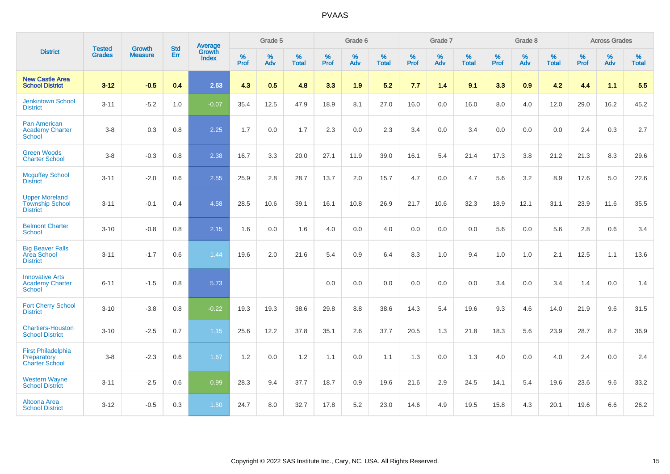|                                                                    | <b>Tested</b> | <b>Growth</b>  | <b>Std</b> |                                          |                     | Grade 5  |                   |                     | Grade 6  |                   |                     | Grade 7  |                   |                     | Grade 8  |                   |                     | <b>Across Grades</b> |                      |
|--------------------------------------------------------------------|---------------|----------------|------------|------------------------------------------|---------------------|----------|-------------------|---------------------|----------|-------------------|---------------------|----------|-------------------|---------------------|----------|-------------------|---------------------|----------------------|----------------------|
| <b>District</b>                                                    | <b>Grades</b> | <b>Measure</b> | Err        | <b>Average</b><br>Growth<br><b>Index</b> | $\%$<br><b>Prof</b> | %<br>Adv | %<br><b>Total</b> | $\%$<br><b>Prof</b> | %<br>Adv | %<br><b>Total</b> | $\%$<br><b>Prof</b> | %<br>Adv | %<br><b>Total</b> | $\%$<br><b>Prof</b> | %<br>Adv | %<br><b>Total</b> | $\%$<br><b>Prof</b> | %<br>Adv             | $\%$<br><b>Total</b> |
| <b>New Castle Area</b><br><b>School District</b>                   | $3 - 12$      | $-0.5$         | 0.4        | 2.63                                     | 4.3                 | 0.5      | 4.8               | 3.3                 | 1.9      | 5.2               | 7.7                 | 1.4      | 9.1               | 3.3                 | 0.9      | 4.2               | 4.4                 | 1.1                  | 5.5                  |
| <b>Jenkintown School</b><br><b>District</b>                        | $3 - 11$      | $-5.2$         | 1.0        | $-0.07$                                  | 35.4                | 12.5     | 47.9              | 18.9                | 8.1      | 27.0              | 16.0                | 0.0      | 16.0              | 8.0                 | 4.0      | 12.0              | 29.0                | 16.2                 | 45.2                 |
| <b>Pan American</b><br><b>Academy Charter</b><br><b>School</b>     | $3 - 8$       | 0.3            | 0.8        | 2.25                                     | 1.7                 | 0.0      | 1.7               | 2.3                 | 0.0      | 2.3               | 3.4                 | 0.0      | 3.4               | 0.0                 | 0.0      | 0.0               | 2.4                 | 0.3                  | 2.7                  |
| <b>Green Woods</b><br><b>Charter School</b>                        | $3 - 8$       | $-0.3$         | $0.8\,$    | 2.38                                     | 16.7                | 3.3      | 20.0              | 27.1                | 11.9     | 39.0              | 16.1                | 5.4      | 21.4              | 17.3                | 3.8      | 21.2              | 21.3                | 8.3                  | 29.6                 |
| <b>Mcguffey School</b><br><b>District</b>                          | $3 - 11$      | $-2.0$         | 0.6        | 2.55                                     | 25.9                | 2.8      | 28.7              | 13.7                | 2.0      | 15.7              | 4.7                 | 0.0      | 4.7               | 5.6                 | 3.2      | 8.9               | 17.6                | 5.0                  | 22.6                 |
| <b>Upper Moreland</b><br><b>Township School</b><br><b>District</b> | $3 - 11$      | $-0.1$         | 0.4        | 4.58                                     | 28.5                | 10.6     | 39.1              | 16.1                | 10.8     | 26.9              | 21.7                | 10.6     | 32.3              | 18.9                | 12.1     | 31.1              | 23.9                | 11.6                 | 35.5                 |
| <b>Belmont Charter</b><br>School                                   | $3 - 10$      | $-0.8$         | 0.8        | 2.15                                     | 1.6                 | 0.0      | 1.6               | 4.0                 | 0.0      | 4.0               | 0.0                 | 0.0      | 0.0               | 5.6                 | $0.0\,$  | 5.6               | 2.8                 | $0.6\,$              | 3.4                  |
| <b>Big Beaver Falls</b><br>Area School<br><b>District</b>          | $3 - 11$      | $-1.7$         | 0.6        | 1.44                                     | 19.6                | 2.0      | 21.6              | 5.4                 | 0.9      | 6.4               | 8.3                 | 1.0      | 9.4               | 1.0                 | 1.0      | 2.1               | 12.5                | 1.1                  | 13.6                 |
| <b>Innovative Arts</b><br><b>Academy Charter</b><br><b>School</b>  | $6 - 11$      | $-1.5$         | 0.8        | 5.73                                     |                     |          |                   | 0.0                 | 0.0      | 0.0               | 0.0                 | 0.0      | 0.0               | 3.4                 | 0.0      | 3.4               | 1.4                 | 0.0                  | 1.4                  |
| <b>Fort Cherry School</b><br><b>District</b>                       | $3 - 10$      | $-3.8$         | 0.8        | $-0.22$                                  | 19.3                | 19.3     | 38.6              | 29.8                | 8.8      | 38.6              | 14.3                | 5.4      | 19.6              | 9.3                 | 4.6      | 14.0              | 21.9                | 9.6                  | 31.5                 |
| <b>Chartiers-Houston</b><br><b>School District</b>                 | $3 - 10$      | $-2.5$         | 0.7        | 1.15                                     | 25.6                | 12.2     | 37.8              | 35.1                | 2.6      | 37.7              | 20.5                | 1.3      | 21.8              | 18.3                | 5.6      | 23.9              | 28.7                | 8.2                  | 36.9                 |
| <b>First Philadelphia</b><br>Preparatory<br><b>Charter School</b>  | $3 - 8$       | $-2.3$         | 0.6        | 1.67                                     | 1.2                 | 0.0      | 1.2               | 1.1                 | 0.0      | 1.1               | 1.3                 | 0.0      | 1.3               | 4.0                 | 0.0      | 4.0               | 2.4                 | 0.0                  | 2.4                  |
| <b>Western Wayne</b><br><b>School District</b>                     | $3 - 11$      | $-2.5$         | 0.6        | 0.99                                     | 28.3                | 9.4      | 37.7              | 18.7                | 0.9      | 19.6              | 21.6                | 2.9      | 24.5              | 14.1                | 5.4      | 19.6              | 23.6                | 9.6                  | 33.2                 |
| Altoona Area<br><b>School District</b>                             | $3 - 12$      | $-0.5$         | 0.3        | 1.50                                     | 24.7                | 8.0      | 32.7              | 17.8                | 5.2      | 23.0              | 14.6                | 4.9      | 19.5              | 15.8                | 4.3      | 20.1              | 19.6                | 6.6                  | 26.2                 |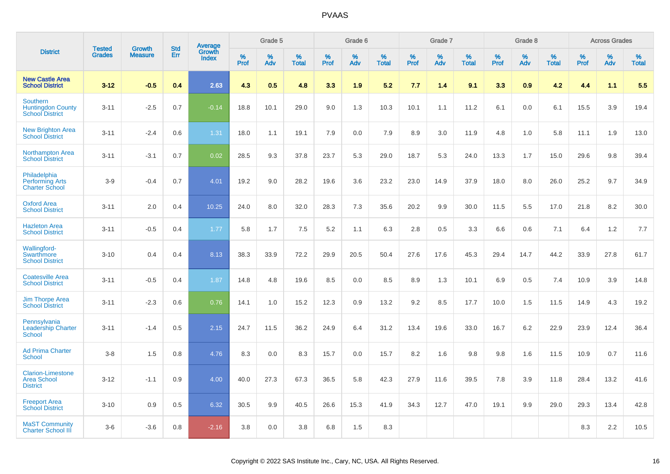|                                                                       | <b>Tested</b> | <b>Growth</b>  | <b>Std</b> | Average                |              | Grade 5  |                   |              | Grade 6  |                   |           | Grade 7  |                   |           | Grade 8  |                   |              | <b>Across Grades</b> |                   |
|-----------------------------------------------------------------------|---------------|----------------|------------|------------------------|--------------|----------|-------------------|--------------|----------|-------------------|-----------|----------|-------------------|-----------|----------|-------------------|--------------|----------------------|-------------------|
| <b>District</b>                                                       | <b>Grades</b> | <b>Measure</b> | Err        | Growth<br><b>Index</b> | $\%$<br>Prof | %<br>Adv | %<br><b>Total</b> | $\%$<br>Prof | %<br>Adv | %<br><b>Total</b> | %<br>Prof | %<br>Adv | %<br><b>Total</b> | %<br>Prof | %<br>Adv | %<br><b>Total</b> | $\%$<br>Prof | %<br>Adv             | %<br><b>Total</b> |
| <b>New Castle Area</b><br><b>School District</b>                      | $3 - 12$      | $-0.5$         | 0.4        | 2.63                   | 4.3          | 0.5      | 4.8               | 3.3          | 1.9      | 5.2               | 7.7       | 1.4      | 9.1               | 3.3       | 0.9      | 4.2               | 4.4          | 1.1                  | 5.5               |
| <b>Southern</b><br><b>Huntingdon County</b><br><b>School District</b> | $3 - 11$      | $-2.5$         | 0.7        | $-0.14$                | 18.8         | 10.1     | 29.0              | 9.0          | 1.3      | 10.3              | 10.1      | 1.1      | 11.2              | 6.1       | 0.0      | 6.1               | 15.5         | 3.9                  | 19.4              |
| <b>New Brighton Area</b><br><b>School District</b>                    | $3 - 11$      | $-2.4$         | 0.6        | 1.31                   | 18.0         | 1.1      | 19.1              | 7.9          | 0.0      | 7.9               | 8.9       | 3.0      | 11.9              | 4.8       | 1.0      | 5.8               | 11.1         | 1.9                  | 13.0              |
| <b>Northampton Area</b><br><b>School District</b>                     | $3 - 11$      | $-3.1$         | 0.7        | 0.02                   | 28.5         | 9.3      | 37.8              | 23.7         | 5.3      | 29.0              | 18.7      | 5.3      | 24.0              | 13.3      | 1.7      | 15.0              | 29.6         | 9.8                  | 39.4              |
| Philadelphia<br><b>Performing Arts</b><br><b>Charter School</b>       | $3-9$         | $-0.4$         | 0.7        | 4.01                   | 19.2         | 9.0      | 28.2              | 19.6         | 3.6      | 23.2              | 23.0      | 14.9     | 37.9              | 18.0      | 8.0      | 26.0              | 25.2         | 9.7                  | 34.9              |
| <b>Oxford Area</b><br><b>School District</b>                          | $3 - 11$      | 2.0            | 0.4        | 10.25                  | 24.0         | 8.0      | 32.0              | 28.3         | 7.3      | 35.6              | 20.2      | 9.9      | 30.0              | 11.5      | 5.5      | 17.0              | 21.8         | 8.2                  | 30.0              |
| <b>Hazleton Area</b><br><b>School District</b>                        | $3 - 11$      | $-0.5$         | 0.4        | 1.77                   | 5.8          | 1.7      | 7.5               | 5.2          | 1.1      | 6.3               | 2.8       | 0.5      | 3.3               | 6.6       | 0.6      | 7.1               | 6.4          | 1.2                  | 7.7               |
| Wallingford-<br>Swarthmore<br><b>School District</b>                  | $3 - 10$      | 0.4            | 0.4        | 8.13                   | 38.3         | 33.9     | 72.2              | 29.9         | 20.5     | 50.4              | 27.6      | 17.6     | 45.3              | 29.4      | 14.7     | 44.2              | 33.9         | 27.8                 | 61.7              |
| <b>Coatesville Area</b><br><b>School District</b>                     | $3 - 11$      | $-0.5$         | 0.4        | 1.87                   | 14.8         | 4.8      | 19.6              | 8.5          | 0.0      | 8.5               | 8.9       | 1.3      | 10.1              | 6.9       | 0.5      | 7.4               | 10.9         | 3.9                  | 14.8              |
| <b>Jim Thorpe Area</b><br><b>School District</b>                      | $3 - 11$      | $-2.3$         | 0.6        | 0.76                   | 14.1         | 1.0      | 15.2              | 12.3         | 0.9      | 13.2              | 9.2       | 8.5      | 17.7              | 10.0      | 1.5      | 11.5              | 14.9         | 4.3                  | 19.2              |
| Pennsylvania<br><b>Leadership Charter</b><br><b>School</b>            | $3 - 11$      | $-1.4$         | 0.5        | 2.15                   | 24.7         | 11.5     | 36.2              | 24.9         | 6.4      | 31.2              | 13.4      | 19.6     | 33.0              | 16.7      | 6.2      | 22.9              | 23.9         | 12.4                 | 36.4              |
| <b>Ad Prima Charter</b><br><b>School</b>                              | $3-8$         | 1.5            | 0.8        | 4.76                   | 8.3          | 0.0      | 8.3               | 15.7         | 0.0      | 15.7              | 8.2       | 1.6      | 9.8               | 9.8       | 1.6      | 11.5              | 10.9         | 0.7                  | 11.6              |
| <b>Clarion-Limestone</b><br><b>Area School</b><br><b>District</b>     | $3 - 12$      | $-1.1$         | 0.9        | 4.00                   | 40.0         | 27.3     | 67.3              | 36.5         | 5.8      | 42.3              | 27.9      | 11.6     | 39.5              | 7.8       | 3.9      | 11.8              | 28.4         | 13.2                 | 41.6              |
| <b>Freeport Area</b><br><b>School District</b>                        | $3 - 10$      | 0.9            | 0.5        | 6.32                   | 30.5         | 9.9      | 40.5              | 26.6         | 15.3     | 41.9              | 34.3      | 12.7     | 47.0              | 19.1      | 9.9      | 29.0              | 29.3         | 13.4                 | 42.8              |
| <b>MaST Community</b><br><b>Charter School III</b>                    | $3-6$         | $-3.6$         | 0.8        | $-2.16$                | 3.8          | 0.0      | 3.8               | 6.8          | 1.5      | 8.3               |           |          |                   |           |          |                   | 8.3          | 2.2                  | 10.5              |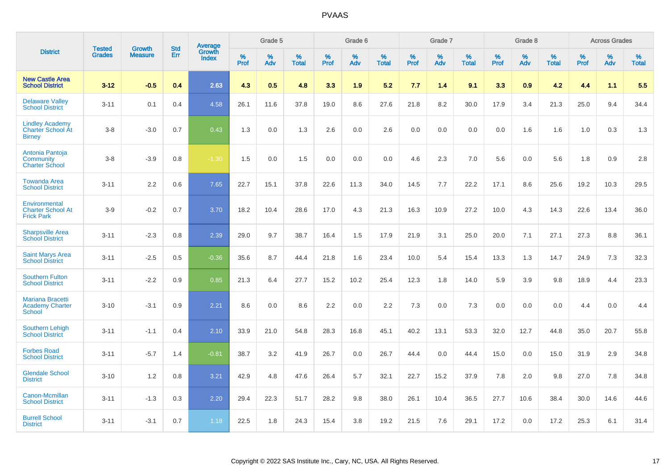|                                                                     | <b>Tested</b> | <b>Growth</b>  | <b>Std</b> | Average                |           | Grade 5  |                   |           | Grade 6  |                   |           | Grade 7  |                   |           | Grade 8  |                   |           | <b>Across Grades</b> |                   |
|---------------------------------------------------------------------|---------------|----------------|------------|------------------------|-----------|----------|-------------------|-----------|----------|-------------------|-----------|----------|-------------------|-----------|----------|-------------------|-----------|----------------------|-------------------|
| <b>District</b>                                                     | <b>Grades</b> | <b>Measure</b> | <b>Err</b> | Growth<br><b>Index</b> | %<br>Prof | %<br>Adv | %<br><b>Total</b> | %<br>Prof | %<br>Adv | %<br><b>Total</b> | %<br>Prof | %<br>Adv | %<br><b>Total</b> | %<br>Prof | %<br>Adv | %<br><b>Total</b> | %<br>Prof | %<br>Adv             | %<br><b>Total</b> |
| <b>New Castle Area</b><br><b>School District</b>                    | $3 - 12$      | $-0.5$         | 0.4        | 2.63                   | 4.3       | 0.5      | 4.8               | 3.3       | 1.9      | 5.2               | 7.7       | 1.4      | 9.1               | 3.3       | 0.9      | 4.2               | 4.4       | 1.1                  | 5.5               |
| <b>Delaware Valley</b><br><b>School District</b>                    | $3 - 11$      | 0.1            | 0.4        | 4.58                   | 26.1      | 11.6     | 37.8              | 19.0      | 8.6      | 27.6              | 21.8      | 8.2      | 30.0              | 17.9      | 3.4      | 21.3              | 25.0      | 9.4                  | 34.4              |
| <b>Lindley Academy</b><br><b>Charter School At</b><br><b>Birney</b> | $3 - 8$       | $-3.0$         | 0.7        | 0.43                   | 1.3       | 0.0      | 1.3               | 2.6       | 0.0      | 2.6               | 0.0       | 0.0      | 0.0               | 0.0       | 1.6      | 1.6               | 1.0       | 0.3                  | 1.3               |
| Antonia Pantoja<br>Community<br><b>Charter School</b>               | $3 - 8$       | $-3.9$         | 0.8        | $-1.30$                | 1.5       | 0.0      | 1.5               | 0.0       | 0.0      | 0.0               | 4.6       | 2.3      | 7.0               | 5.6       | 0.0      | 5.6               | 1.8       | 0.9                  | 2.8               |
| <b>Towanda Area</b><br><b>School District</b>                       | $3 - 11$      | 2.2            | 0.6        | 7.65                   | 22.7      | 15.1     | 37.8              | 22.6      | 11.3     | 34.0              | 14.5      | 7.7      | 22.2              | 17.1      | 8.6      | 25.6              | 19.2      | 10.3                 | 29.5              |
| Environmental<br><b>Charter School At</b><br><b>Frick Park</b>      | $3-9$         | $-0.2$         | 0.7        | 3.70                   | 18.2      | 10.4     | 28.6              | 17.0      | 4.3      | 21.3              | 16.3      | 10.9     | 27.2              | 10.0      | 4.3      | 14.3              | 22.6      | 13.4                 | 36.0              |
| <b>Sharpsville Area</b><br><b>School District</b>                   | $3 - 11$      | $-2.3$         | 0.8        | 2.39                   | 29.0      | 9.7      | 38.7              | 16.4      | 1.5      | 17.9              | 21.9      | 3.1      | 25.0              | 20.0      | 7.1      | 27.1              | 27.3      | 8.8                  | 36.1              |
| <b>Saint Marys Area</b><br><b>School District</b>                   | $3 - 11$      | $-2.5$         | 0.5        | $-0.36$                | 35.6      | 8.7      | 44.4              | 21.8      | 1.6      | 23.4              | 10.0      | 5.4      | 15.4              | 13.3      | 1.3      | 14.7              | 24.9      | 7.3                  | 32.3              |
| <b>Southern Fulton</b><br><b>School District</b>                    | $3 - 11$      | $-2.2$         | 0.9        | 0.85                   | 21.3      | 6.4      | 27.7              | 15.2      | 10.2     | 25.4              | 12.3      | 1.8      | 14.0              | 5.9       | 3.9      | 9.8               | 18.9      | 4.4                  | 23.3              |
| <b>Mariana Bracetti</b><br><b>Academy Charter</b><br><b>School</b>  | $3 - 10$      | $-3.1$         | 0.9        | 2.21                   | 8.6       | 0.0      | 8.6               | 2.2       | 0.0      | 2.2               | 7.3       | 0.0      | 7.3               | 0.0       | 0.0      | 0.0               | 4.4       | 0.0                  | 4.4               |
| <b>Southern Lehigh</b><br><b>School District</b>                    | $3 - 11$      | $-1.1$         | 0.4        | 2.10                   | 33.9      | 21.0     | 54.8              | 28.3      | 16.8     | 45.1              | 40.2      | 13.1     | 53.3              | 32.0      | 12.7     | 44.8              | 35.0      | 20.7                 | 55.8              |
| <b>Forbes Road</b><br><b>School District</b>                        | $3 - 11$      | $-5.7$         | 1.4        | $-0.81$                | 38.7      | 3.2      | 41.9              | 26.7      | 0.0      | 26.7              | 44.4      | 0.0      | 44.4              | 15.0      | 0.0      | 15.0              | 31.9      | 2.9                  | 34.8              |
| <b>Glendale School</b><br><b>District</b>                           | $3 - 10$      | 1.2            | 0.8        | 3.21                   | 42.9      | 4.8      | 47.6              | 26.4      | 5.7      | 32.1              | 22.7      | 15.2     | 37.9              | 7.8       | 2.0      | 9.8               | 27.0      | 7.8                  | 34.8              |
| Canon-Mcmillan<br><b>School District</b>                            | $3 - 11$      | $-1.3$         | 0.3        | 2.20                   | 29.4      | 22.3     | 51.7              | 28.2      | 9.8      | 38.0              | 26.1      | 10.4     | 36.5              | 27.7      | 10.6     | 38.4              | 30.0      | 14.6                 | 44.6              |
| <b>Burrell School</b><br><b>District</b>                            | $3 - 11$      | $-3.1$         | 0.7        | 1.18                   | 22.5      | 1.8      | 24.3              | 15.4      | 3.8      | 19.2              | 21.5      | 7.6      | 29.1              | 17.2      | 0.0      | 17.2              | 25.3      | 6.1                  | 31.4              |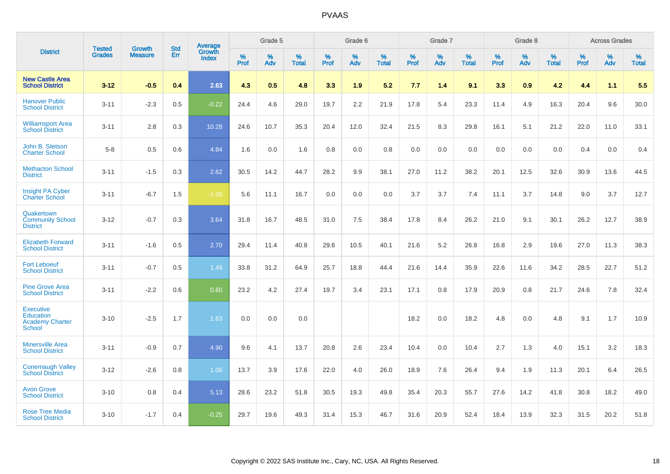|                                                                          |                                |                                 | <b>Std</b> | Average                       |           | Grade 5  |                   |           | Grade 6  |                   |           | Grade 7  |                   |           | Grade 8  |                   |           | <b>Across Grades</b> |                   |
|--------------------------------------------------------------------------|--------------------------------|---------------------------------|------------|-------------------------------|-----------|----------|-------------------|-----------|----------|-------------------|-----------|----------|-------------------|-----------|----------|-------------------|-----------|----------------------|-------------------|
| <b>District</b>                                                          | <b>Tested</b><br><b>Grades</b> | <b>Growth</b><br><b>Measure</b> | Err        | <b>Growth</b><br><b>Index</b> | %<br>Prof | %<br>Adv | %<br><b>Total</b> | %<br>Prof | %<br>Adv | %<br><b>Total</b> | %<br>Prof | %<br>Adv | %<br><b>Total</b> | %<br>Prof | %<br>Adv | %<br><b>Total</b> | %<br>Prof | %<br>Adv             | %<br><b>Total</b> |
| <b>New Castle Area</b><br><b>School District</b>                         | $3 - 12$                       | $-0.5$                          | 0.4        | 2.63                          | 4.3       | 0.5      | 4.8               | 3.3       | 1.9      | 5.2               | 7.7       | 1.4      | 9.1               | 3.3       | 0.9      | 4.2               | 4.4       | 1.1                  | 5.5               |
| <b>Hanover Public</b><br><b>School District</b>                          | $3 - 11$                       | $-2.3$                          | 0.5        | $-0.22$                       | 24.4      | 4.6      | 29.0              | 19.7      | 2.2      | 21.9              | 17.8      | 5.4      | 23.3              | 11.4      | 4.9      | 16.3              | 20.4      | 9.6                  | 30.0              |
| <b>Williamsport Area</b><br><b>School District</b>                       | $3 - 11$                       | 2.8                             | 0.3        | 10.28                         | 24.6      | 10.7     | 35.3              | 20.4      | 12.0     | 32.4              | 21.5      | 8.3      | 29.8              | 16.1      | 5.1      | 21.2              | 22.0      | 11.0                 | 33.1              |
| John B. Stetson<br><b>Charter School</b>                                 | $5-8$                          | 0.5                             | 0.6        | 4.84                          | 1.6       | 0.0      | 1.6               | 0.8       | 0.0      | 0.8               | 0.0       | 0.0      | 0.0               | 0.0       | 0.0      | 0.0               | 0.4       | 0.0                  | 0.4               |
| <b>Methacton School</b><br><b>District</b>                               | $3 - 11$                       | $-1.5$                          | 0.3        | 2.62                          | 30.5      | 14.2     | 44.7              | 28.2      | 9.9      | 38.1              | 27.0      | 11.2     | 38.2              | 20.1      | 12.5     | 32.6              | 30.9      | 13.6                 | 44.5              |
| <b>Insight PA Cyber</b><br><b>Charter School</b>                         | $3 - 11$                       | $-6.7$                          | 1.5        | $-1.06$                       | 5.6       | 11.1     | 16.7              | 0.0       | 0.0      | 0.0               | 3.7       | 3.7      | 7.4               | 11.1      | 3.7      | 14.8              | 9.0       | 3.7                  | 12.7              |
| Quakertown<br><b>Community School</b><br><b>District</b>                 | $3 - 12$                       | $-0.7$                          | 0.3        | 3.64                          | 31.8      | 16.7     | 48.5              | 31.0      | 7.5      | 38.4              | 17.8      | 8.4      | 26.2              | 21.0      | 9.1      | 30.1              | 26.2      | 12.7                 | 38.9              |
| <b>Elizabeth Forward</b><br><b>School District</b>                       | $3 - 11$                       | $-1.6$                          | 0.5        | 2.70                          | 29.4      | 11.4     | 40.8              | 29.6      | 10.5     | 40.1              | 21.6      | 5.2      | 26.8              | 16.8      | 2.9      | 19.6              | 27.0      | 11.3                 | 38.3              |
| <b>Fort Leboeuf</b><br><b>School District</b>                            | $3 - 11$                       | $-0.7$                          | 0.5        | 1.49                          | 33.8      | 31.2     | 64.9              | 25.7      | 18.8     | 44.4              | 21.6      | 14.4     | 35.9              | 22.6      | 11.6     | 34.2              | 28.5      | 22.7                 | 51.2              |
| <b>Pine Grove Area</b><br><b>School District</b>                         | $3 - 11$                       | $-2.2$                          | 0.6        | 0.60                          | 23.2      | 4.2      | 27.4              | 19.7      | 3.4      | 23.1              | 17.1      | 0.8      | 17.9              | 20.9      | 0.8      | 21.7              | 24.6      | 7.8                  | 32.4              |
| <b>Executive</b><br>Education<br><b>Academy Charter</b><br><b>School</b> | $3 - 10$                       | $-2.5$                          | 1.7        | 1.63                          | 0.0       | 0.0      | 0.0               |           |          |                   | 18.2      | 0.0      | 18.2              | 4.8       | 0.0      | 4.8               | 9.1       | 1.7                  | 10.9              |
| <b>Minersville Area</b><br><b>School District</b>                        | $3 - 11$                       | $-0.9$                          | 0.7        | 4.90                          | 9.6       | 4.1      | 13.7              | 20.8      | 2.6      | 23.4              | 10.4      | 0.0      | 10.4              | 2.7       | 1.3      | 4.0               | 15.1      | 3.2                  | 18.3              |
| <b>Conemaugh Valley</b><br><b>School District</b>                        | $3 - 12$                       | $-2.6$                          | 0.8        | 1.06                          | 13.7      | 3.9      | 17.6              | 22.0      | 4.0      | 26.0              | 18.9      | 7.6      | 26.4              | 9.4       | 1.9      | 11.3              | 20.1      | 6.4                  | 26.5              |
| <b>Avon Grove</b><br><b>School District</b>                              | $3 - 10$                       | 0.8                             | 0.4        | 5.13                          | 28.6      | 23.2     | 51.8              | 30.5      | 19.3     | 49.8              | 35.4      | 20.3     | 55.7              | 27.6      | 14.2     | 41.8              | 30.8      | 18.2                 | 49.0              |
| <b>Rose Tree Media</b><br><b>School District</b>                         | $3 - 10$                       | $-1.7$                          | 0.4        | $-0.25$                       | 29.7      | 19.6     | 49.3              | 31.4      | 15.3     | 46.7              | 31.6      | 20.9     | 52.4              | 18.4      | 13.9     | 32.3              | 31.5      | 20.2                 | 51.8              |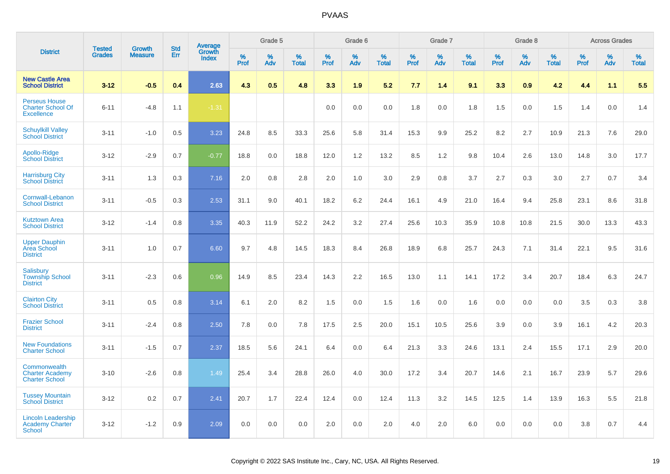|                                                                       |                                |                                 | <b>Std</b> | Average                |                     | Grade 5     |                   |                  | Grade 6  |                   |                  | Grade 7  |                   |           | Grade 8  |                   |              | <b>Across Grades</b> |                   |
|-----------------------------------------------------------------------|--------------------------------|---------------------------------|------------|------------------------|---------------------|-------------|-------------------|------------------|----------|-------------------|------------------|----------|-------------------|-----------|----------|-------------------|--------------|----------------------|-------------------|
| <b>District</b>                                                       | <b>Tested</b><br><b>Grades</b> | <b>Growth</b><br><b>Measure</b> | Err        | Growth<br><b>Index</b> | $\%$<br><b>Prof</b> | $\%$<br>Adv | %<br><b>Total</b> | %<br><b>Prof</b> | %<br>Adv | %<br><b>Total</b> | %<br><b>Prof</b> | %<br>Adv | %<br><b>Total</b> | %<br>Prof | %<br>Adv | %<br><b>Total</b> | $\%$<br>Prof | %<br>Adv             | %<br><b>Total</b> |
| <b>New Castle Area</b><br><b>School District</b>                      | $3 - 12$                       | $-0.5$                          | 0.4        | 2.63                   | 4.3                 | 0.5         | 4.8               | 3.3              | 1.9      | 5.2               | 7.7              | 1.4      | 9.1               | 3.3       | 0.9      | 4.2               | 4.4          | 1.1                  | 5.5               |
| <b>Perseus House</b><br><b>Charter School Of</b><br><b>Excellence</b> | $6 - 11$                       | $-4.8$                          | 1.1        | $-1.31$                |                     |             |                   | 0.0              | 0.0      | 0.0               | 1.8              | 0.0      | 1.8               | 1.5       | 0.0      | 1.5               | 1.4          | 0.0                  | 1.4               |
| <b>Schuylkill Valley</b><br><b>School District</b>                    | $3 - 11$                       | $-1.0$                          | 0.5        | 3.23                   | 24.8                | 8.5         | 33.3              | 25.6             | 5.8      | 31.4              | 15.3             | 9.9      | 25.2              | 8.2       | 2.7      | 10.9              | 21.3         | 7.6                  | 29.0              |
| Apollo-Ridge<br><b>School District</b>                                | $3-12$                         | $-2.9$                          | 0.7        | $-0.77$                | 18.8                | 0.0         | 18.8              | 12.0             | 1.2      | 13.2              | 8.5              | 1.2      | 9.8               | 10.4      | 2.6      | 13.0              | 14.8         | 3.0                  | 17.7              |
| <b>Harrisburg City</b><br><b>School District</b>                      | $3 - 11$                       | 1.3                             | 0.3        | 7.16                   | 2.0                 | 0.8         | 2.8               | 2.0              | 1.0      | 3.0               | 2.9              | 0.8      | 3.7               | 2.7       | 0.3      | 3.0               | 2.7          | 0.7                  | 3.4               |
| Cornwall-Lebanon<br><b>School District</b>                            | $3 - 11$                       | $-0.5$                          | 0.3        | 2.53                   | 31.1                | 9.0         | 40.1              | 18.2             | 6.2      | 24.4              | 16.1             | 4.9      | 21.0              | 16.4      | 9.4      | 25.8              | 23.1         | 8.6                  | 31.8              |
| <b>Kutztown Area</b><br><b>School District</b>                        | $3 - 12$                       | $-1.4$                          | 0.8        | 3.35                   | 40.3                | 11.9        | 52.2              | 24.2             | 3.2      | 27.4              | 25.6             | 10.3     | 35.9              | 10.8      | 10.8     | 21.5              | 30.0         | 13.3                 | 43.3              |
| <b>Upper Dauphin</b><br><b>Area School</b><br><b>District</b>         | $3 - 11$                       | 1.0                             | 0.7        | 6.60                   | 9.7                 | 4.8         | 14.5              | 18.3             | 8.4      | 26.8              | 18.9             | 6.8      | 25.7              | 24.3      | 7.1      | 31.4              | 22.1         | 9.5                  | 31.6              |
| Salisbury<br><b>Township School</b><br><b>District</b>                | $3 - 11$                       | $-2.3$                          | 0.6        | 0.96                   | 14.9                | 8.5         | 23.4              | 14.3             | 2.2      | 16.5              | 13.0             | 1.1      | 14.1              | 17.2      | 3.4      | 20.7              | 18.4         | 6.3                  | 24.7              |
| <b>Clairton City</b><br><b>School District</b>                        | $3 - 11$                       | 0.5                             | 0.8        | 3.14                   | 6.1                 | 2.0         | 8.2               | 1.5              | 0.0      | 1.5               | 1.6              | 0.0      | 1.6               | 0.0       | 0.0      | 0.0               | 3.5          | 0.3                  | 3.8               |
| <b>Frazier School</b><br><b>District</b>                              | $3 - 11$                       | $-2.4$                          | 0.8        | 2.50                   | 7.8                 | 0.0         | 7.8               | 17.5             | 2.5      | 20.0              | 15.1             | 10.5     | 25.6              | 3.9       | 0.0      | 3.9               | 16.1         | 4.2                  | 20.3              |
| <b>New Foundations</b><br><b>Charter School</b>                       | $3 - 11$                       | $-1.5$                          | 0.7        | 2.37                   | 18.5                | 5.6         | 24.1              | 6.4              | 0.0      | 6.4               | 21.3             | 3.3      | 24.6              | 13.1      | 2.4      | 15.5              | 17.1         | 2.9                  | 20.0              |
| Commonwealth<br><b>Charter Academy</b><br><b>Charter School</b>       | $3 - 10$                       | $-2.6$                          | 0.8        | 1.49                   | 25.4                | 3.4         | 28.8              | 26.0             | 4.0      | 30.0              | 17.2             | 3.4      | 20.7              | 14.6      | 2.1      | 16.7              | 23.9         | 5.7                  | 29.6              |
| <b>Tussey Mountain</b><br><b>School District</b>                      | $3 - 12$                       | 0.2                             | 0.7        | 2.41                   | 20.7                | 1.7         | 22.4              | 12.4             | 0.0      | 12.4              | 11.3             | 3.2      | 14.5              | 12.5      | 1.4      | 13.9              | 16.3         | 5.5                  | 21.8              |
| <b>Lincoln Leadership</b><br>Academy Charter<br>School                | $3 - 12$                       | $-1.2$                          | 0.9        | 2.09                   | 0.0                 | 0.0         | 0.0               | 2.0              | 0.0      | 2.0               | 4.0              | 2.0      | 6.0               | 0.0       | 0.0      | 0.0               | 3.8          | 0.7                  | 4.4               |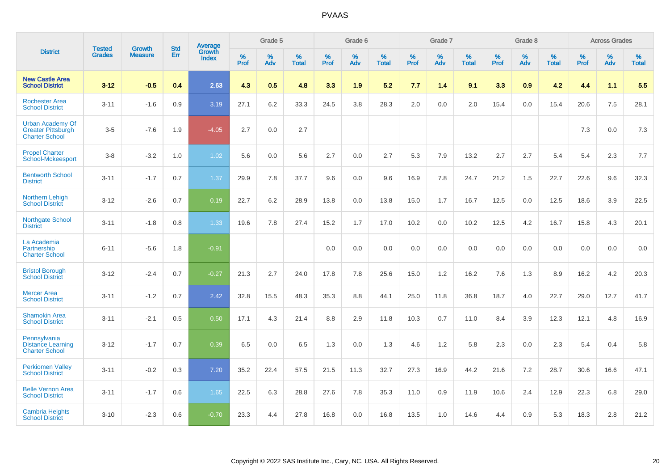|                                                                               | <b>Tested</b> | <b>Growth</b>  | <b>Std</b> | <b>Average</b>         |           | Grade 5  |                   |           | Grade 6  |                   |           | Grade 7  |                   |           | Grade 8  |                   |              | <b>Across Grades</b> |                   |
|-------------------------------------------------------------------------------|---------------|----------------|------------|------------------------|-----------|----------|-------------------|-----------|----------|-------------------|-----------|----------|-------------------|-----------|----------|-------------------|--------------|----------------------|-------------------|
| <b>District</b>                                                               | <b>Grades</b> | <b>Measure</b> | Err        | Growth<br><b>Index</b> | %<br>Prof | %<br>Adv | %<br><b>Total</b> | %<br>Prof | %<br>Adv | %<br><b>Total</b> | %<br>Prof | %<br>Adv | %<br><b>Total</b> | %<br>Prof | %<br>Adv | %<br><b>Total</b> | $\%$<br>Prof | %<br>Adv             | %<br><b>Total</b> |
| <b>New Castle Area</b><br><b>School District</b>                              | $3 - 12$      | $-0.5$         | 0.4        | 2.63                   | 4.3       | 0.5      | 4.8               | 3.3       | 1.9      | 5.2               | 7.7       | 1.4      | 9.1               | 3.3       | 0.9      | 4.2               | 4.4          | 1.1                  | 5.5               |
| <b>Rochester Area</b><br><b>School District</b>                               | $3 - 11$      | $-1.6$         | 0.9        | 3.19                   | 27.1      | 6.2      | 33.3              | 24.5      | 3.8      | 28.3              | 2.0       | 0.0      | 2.0               | 15.4      | 0.0      | 15.4              | 20.6         | 7.5                  | 28.1              |
| <b>Urban Academy Of</b><br><b>Greater Pittsburgh</b><br><b>Charter School</b> | $3-5$         | $-7.6$         | 1.9        | $-4.05$                | 2.7       | 0.0      | 2.7               |           |          |                   |           |          |                   |           |          |                   | 7.3          | 0.0                  | $7.3$             |
| <b>Propel Charter</b><br><b>School-Mckeesport</b>                             | $3 - 8$       | $-3.2$         | 1.0        | 1.02                   | 5.6       | 0.0      | 5.6               | 2.7       | 0.0      | 2.7               | 5.3       | 7.9      | 13.2              | 2.7       | 2.7      | 5.4               | 5.4          | 2.3                  | 7.7               |
| <b>Bentworth School</b><br><b>District</b>                                    | $3 - 11$      | $-1.7$         | 0.7        | 1.37                   | 29.9      | 7.8      | 37.7              | 9.6       | 0.0      | 9.6               | 16.9      | 7.8      | 24.7              | 21.2      | 1.5      | 22.7              | 22.6         | 9.6                  | 32.3              |
| Northern Lehigh<br><b>School District</b>                                     | $3 - 12$      | $-2.6$         | 0.7        | 0.19                   | 22.7      | 6.2      | 28.9              | 13.8      | 0.0      | 13.8              | 15.0      | 1.7      | 16.7              | 12.5      | 0.0      | 12.5              | 18.6         | 3.9                  | 22.5              |
| Northgate School<br><b>District</b>                                           | $3 - 11$      | $-1.8$         | 0.8        | 1.33                   | 19.6      | 7.8      | 27.4              | 15.2      | 1.7      | 17.0              | 10.2      | 0.0      | 10.2              | 12.5      | 4.2      | 16.7              | 15.8         | 4.3                  | 20.1              |
| La Academia<br>Partnership<br><b>Charter School</b>                           | $6 - 11$      | $-5.6$         | 1.8        | $-0.91$                |           |          |                   | 0.0       | 0.0      | 0.0               | 0.0       | 0.0      | 0.0               | 0.0       | 0.0      | 0.0               | 0.0          | 0.0                  | 0.0               |
| <b>Bristol Borough</b><br><b>School District</b>                              | $3 - 12$      | $-2.4$         | 0.7        | $-0.27$                | 21.3      | 2.7      | 24.0              | 17.8      | 7.8      | 25.6              | 15.0      | 1.2      | 16.2              | 7.6       | 1.3      | 8.9               | 16.2         | 4.2                  | 20.3              |
| <b>Mercer Area</b><br><b>School District</b>                                  | $3 - 11$      | $-1.2$         | 0.7        | 2.42                   | 32.8      | 15.5     | 48.3              | 35.3      | 8.8      | 44.1              | 25.0      | 11.8     | 36.8              | 18.7      | 4.0      | 22.7              | 29.0         | 12.7                 | 41.7              |
| <b>Shamokin Area</b><br><b>School District</b>                                | $3 - 11$      | $-2.1$         | 0.5        | 0.50                   | 17.1      | 4.3      | 21.4              | 8.8       | 2.9      | 11.8              | 10.3      | 0.7      | 11.0              | 8.4       | 3.9      | 12.3              | 12.1         | 4.8                  | 16.9              |
| Pennsylvania<br><b>Distance Learning</b><br><b>Charter School</b>             | $3 - 12$      | $-1.7$         | 0.7        | 0.39                   | 6.5       | 0.0      | 6.5               | 1.3       | 0.0      | 1.3               | 4.6       | 1.2      | 5.8               | 2.3       | 0.0      | 2.3               | 5.4          | 0.4                  | 5.8               |
| <b>Perkiomen Valley</b><br><b>School District</b>                             | $3 - 11$      | $-0.2$         | 0.3        | 7.20                   | 35.2      | 22.4     | 57.5              | 21.5      | 11.3     | 32.7              | 27.3      | 16.9     | 44.2              | 21.6      | 7.2      | 28.7              | 30.6         | 16.6                 | 47.1              |
| <b>Belle Vernon Area</b><br><b>School District</b>                            | $3 - 11$      | $-1.7$         | 0.6        | 1.65                   | 22.5      | 6.3      | 28.8              | 27.6      | 7.8      | 35.3              | 11.0      | 0.9      | 11.9              | 10.6      | 2.4      | 12.9              | 22.3         | 6.8                  | 29.0              |
| <b>Cambria Heights</b><br><b>School District</b>                              | $3 - 10$      | $-2.3$         | 0.6        | $-0.70$                | 23.3      | 4.4      | 27.8              | 16.8      | 0.0      | 16.8              | 13.5      | 1.0      | 14.6              | 4.4       | 0.9      | 5.3               | 18.3         | 2.8                  | 21.2              |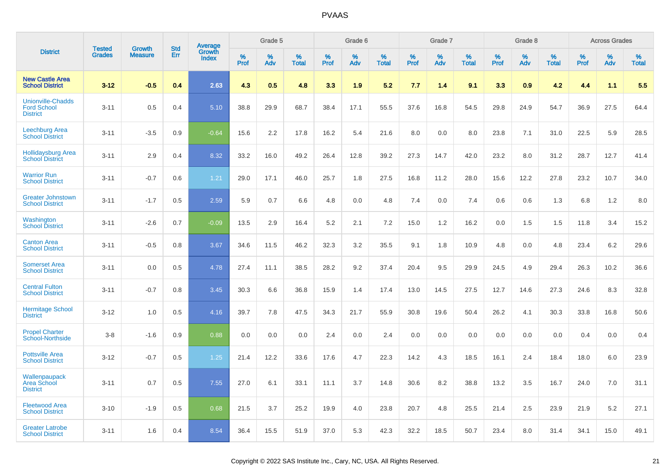|                                                                   | <b>Tested</b> |                                 | <b>Std</b> | Average                |              | Grade 5  |                   |              | Grade 6  |                   |              | Grade 7  |                   |              | Grade 8  |                   |              | <b>Across Grades</b> |                   |
|-------------------------------------------------------------------|---------------|---------------------------------|------------|------------------------|--------------|----------|-------------------|--------------|----------|-------------------|--------------|----------|-------------------|--------------|----------|-------------------|--------------|----------------------|-------------------|
| <b>District</b>                                                   | <b>Grades</b> | <b>Growth</b><br><b>Measure</b> | Err        | Growth<br><b>Index</b> | $\%$<br>Prof | %<br>Adv | %<br><b>Total</b> | $\%$<br>Prof | %<br>Adv | %<br><b>Total</b> | $\%$<br>Prof | %<br>Adv | %<br><b>Total</b> | $\%$<br>Prof | %<br>Adv | %<br><b>Total</b> | $\%$<br>Prof | %<br>Adv             | %<br><b>Total</b> |
| <b>New Castle Area</b><br><b>School District</b>                  | $3 - 12$      | $-0.5$                          | 0.4        | 2.63                   | 4.3          | 0.5      | 4.8               | 3.3          | 1.9      | 5.2               | 7.7          | 1.4      | 9.1               | 3.3          | 0.9      | 4.2               | 4.4          | 1.1                  | 5.5               |
| <b>Unionville-Chadds</b><br><b>Ford School</b><br><b>District</b> | $3 - 11$      | 0.5                             | 0.4        | 5.10                   | 38.8         | 29.9     | 68.7              | 38.4         | 17.1     | 55.5              | 37.6         | 16.8     | 54.5              | 29.8         | 24.9     | 54.7              | 36.9         | 27.5                 | 64.4              |
| <b>Leechburg Area</b><br><b>School District</b>                   | $3 - 11$      | $-3.5$                          | 0.9        | $-0.64$                | 15.6         | 2.2      | 17.8              | 16.2         | 5.4      | 21.6              | 8.0          | 0.0      | 8.0               | 23.8         | 7.1      | 31.0              | 22.5         | 5.9                  | 28.5              |
| <b>Hollidaysburg Area</b><br><b>School District</b>               | $3 - 11$      | 2.9                             | 0.4        | 8.32                   | 33.2         | 16.0     | 49.2              | 26.4         | 12.8     | 39.2              | 27.3         | 14.7     | 42.0              | 23.2         | 8.0      | 31.2              | 28.7         | 12.7                 | 41.4              |
| <b>Warrior Run</b><br><b>School District</b>                      | $3 - 11$      | $-0.7$                          | 0.6        | 1.21                   | 29.0         | 17.1     | 46.0              | 25.7         | 1.8      | 27.5              | 16.8         | 11.2     | 28.0              | 15.6         | 12.2     | 27.8              | 23.2         | 10.7                 | 34.0              |
| <b>Greater Johnstown</b><br><b>School District</b>                | $3 - 11$      | $-1.7$                          | 0.5        | 2.59                   | 5.9          | 0.7      | 6.6               | 4.8          | 0.0      | 4.8               | 7.4          | 0.0      | 7.4               | 0.6          | 0.6      | 1.3               | 6.8          | 1.2                  | 8.0               |
| Washington<br><b>School District</b>                              | $3 - 11$      | $-2.6$                          | 0.7        | $-0.09$                | 13.5         | 2.9      | 16.4              | 5.2          | 2.1      | 7.2               | 15.0         | 1.2      | 16.2              | 0.0          | 1.5      | 1.5               | 11.8         | 3.4                  | 15.2              |
| <b>Canton Area</b><br><b>School District</b>                      | $3 - 11$      | $-0.5$                          | 0.8        | 3.67                   | 34.6         | 11.5     | 46.2              | 32.3         | 3.2      | 35.5              | 9.1          | 1.8      | 10.9              | 4.8          | 0.0      | 4.8               | 23.4         | 6.2                  | 29.6              |
| <b>Somerset Area</b><br><b>School District</b>                    | $3 - 11$      | 0.0                             | 0.5        | 4.78                   | 27.4         | 11.1     | 38.5              | 28.2         | 9.2      | 37.4              | 20.4         | 9.5      | 29.9              | 24.5         | 4.9      | 29.4              | 26.3         | 10.2                 | 36.6              |
| <b>Central Fulton</b><br><b>School District</b>                   | $3 - 11$      | $-0.7$                          | 0.8        | 3.45                   | 30.3         | 6.6      | 36.8              | 15.9         | 1.4      | 17.4              | 13.0         | 14.5     | 27.5              | 12.7         | 14.6     | 27.3              | 24.6         | 8.3                  | 32.8              |
| <b>Hermitage School</b><br><b>District</b>                        | $3 - 12$      | 1.0                             | 0.5        | 4.16                   | 39.7         | 7.8      | 47.5              | 34.3         | 21.7     | 55.9              | 30.8         | 19.6     | 50.4              | 26.2         | 4.1      | 30.3              | 33.8         | 16.8                 | 50.6              |
| <b>Propel Charter</b><br><b>School-Northside</b>                  | $3 - 8$       | $-1.6$                          | 0.9        | 0.88                   | 0.0          | 0.0      | 0.0               | 2.4          | 0.0      | 2.4               | 0.0          | 0.0      | 0.0               | 0.0          | 0.0      | 0.0               | 0.4          | 0.0                  | 0.4               |
| <b>Pottsville Area</b><br><b>School District</b>                  | $3 - 12$      | $-0.7$                          | 0.5        | 1.25                   | 21.4         | 12.2     | 33.6              | 17.6         | 4.7      | 22.3              | 14.2         | 4.3      | 18.5              | 16.1         | 2.4      | 18.4              | 18.0         | 6.0                  | 23.9              |
| Wallenpaupack<br><b>Area School</b><br><b>District</b>            | $3 - 11$      | 0.7                             | 0.5        | 7.55                   | 27.0         | 6.1      | 33.1              | 11.1         | 3.7      | 14.8              | 30.6         | 8.2      | 38.8              | 13.2         | 3.5      | 16.7              | 24.0         | 7.0                  | 31.1              |
| <b>Fleetwood Area</b><br><b>School District</b>                   | $3 - 10$      | $-1.9$                          | 0.5        | 0.68                   | 21.5         | 3.7      | 25.2              | 19.9         | 4.0      | 23.8              | 20.7         | 4.8      | 25.5              | 21.4         | 2.5      | 23.9              | 21.9         | 5.2                  | 27.1              |
| <b>Greater Latrobe</b><br><b>School District</b>                  | $3 - 11$      | 1.6                             | 0.4        | 8.54                   | 36.4         | 15.5     | 51.9              | 37.0         | 5.3      | 42.3              | 32.2         | 18.5     | 50.7              | 23.4         | 8.0      | 31.4              | 34.1         | 15.0                 | 49.1              |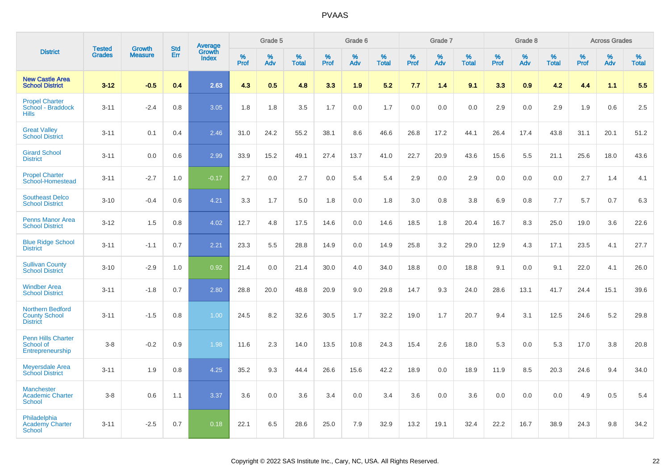|                                                                    |                                |                                 | <b>Std</b> | Average                |                  | Grade 5  |                   |                  | Grade 6  |                   |                  | Grade 7  |                   |           | Grade 8  |                   |                  | <b>Across Grades</b> |                   |
|--------------------------------------------------------------------|--------------------------------|---------------------------------|------------|------------------------|------------------|----------|-------------------|------------------|----------|-------------------|------------------|----------|-------------------|-----------|----------|-------------------|------------------|----------------------|-------------------|
| <b>District</b>                                                    | <b>Tested</b><br><b>Grades</b> | <b>Growth</b><br><b>Measure</b> | Err        | Growth<br><b>Index</b> | %<br><b>Prof</b> | %<br>Adv | %<br><b>Total</b> | %<br><b>Prof</b> | %<br>Adv | %<br><b>Total</b> | %<br><b>Prof</b> | %<br>Adv | %<br><b>Total</b> | %<br>Prof | %<br>Adv | %<br><b>Total</b> | %<br><b>Prof</b> | %<br>Adv             | %<br><b>Total</b> |
| <b>New Castle Area</b><br><b>School District</b>                   | $3-12$                         | $-0.5$                          | 0.4        | 2.63                   | 4.3              | 0.5      | 4.8               | 3.3              | 1.9      | 5.2               | 7.7              | 1.4      | 9.1               | 3.3       | 0.9      | 4.2               | 4.4              | 1.1                  | 5.5               |
| <b>Propel Charter</b><br>School - Braddock<br><b>Hills</b>         | $3 - 11$                       | $-2.4$                          | 0.8        | 3.05                   | 1.8              | 1.8      | 3.5               | 1.7              | 0.0      | 1.7               | 0.0              | 0.0      | 0.0               | 2.9       | 0.0      | 2.9               | 1.9              | 0.6                  | 2.5               |
| <b>Great Valley</b><br><b>School District</b>                      | $3 - 11$                       | 0.1                             | 0.4        | 2.46                   | 31.0             | 24.2     | 55.2              | 38.1             | 8.6      | 46.6              | 26.8             | 17.2     | 44.1              | 26.4      | 17.4     | 43.8              | 31.1             | 20.1                 | 51.2              |
| <b>Girard School</b><br><b>District</b>                            | $3 - 11$                       | 0.0                             | 0.6        | 2.99                   | 33.9             | 15.2     | 49.1              | 27.4             | 13.7     | 41.0              | 22.7             | 20.9     | 43.6              | 15.6      | 5.5      | 21.1              | 25.6             | 18.0                 | 43.6              |
| <b>Propel Charter</b><br>School-Homestead                          | $3 - 11$                       | $-2.7$                          | 1.0        | $-0.17$                | 2.7              | 0.0      | 2.7               | 0.0              | 5.4      | 5.4               | 2.9              | 0.0      | 2.9               | 0.0       | 0.0      | 0.0               | 2.7              | 1.4                  | 4.1               |
| <b>Southeast Delco</b><br><b>School District</b>                   | $3 - 10$                       | $-0.4$                          | 0.6        | 4.21                   | 3.3              | 1.7      | 5.0               | 1.8              | 0.0      | 1.8               | 3.0              | 0.8      | 3.8               | 6.9       | 0.8      | 7.7               | 5.7              | 0.7                  | 6.3               |
| <b>Penns Manor Area</b><br><b>School District</b>                  | $3 - 12$                       | 1.5                             | 0.8        | 4.02                   | 12.7             | 4.8      | 17.5              | 14.6             | 0.0      | 14.6              | 18.5             | 1.8      | 20.4              | 16.7      | 8.3      | 25.0              | 19.0             | 3.6                  | 22.6              |
| <b>Blue Ridge School</b><br><b>District</b>                        | $3 - 11$                       | $-1.1$                          | 0.7        | 2.21                   | 23.3             | 5.5      | 28.8              | 14.9             | 0.0      | 14.9              | 25.8             | 3.2      | 29.0              | 12.9      | 4.3      | 17.1              | 23.5             | 4.1                  | 27.7              |
| <b>Sullivan County</b><br><b>School District</b>                   | $3 - 10$                       | $-2.9$                          | 1.0        | 0.92                   | 21.4             | 0.0      | 21.4              | 30.0             | 4.0      | 34.0              | 18.8             | 0.0      | 18.8              | 9.1       | 0.0      | 9.1               | 22.0             | 4.1                  | 26.0              |
| <b>Windber Area</b><br><b>School District</b>                      | $3 - 11$                       | $-1.8$                          | 0.7        | 2.80                   | 28.8             | 20.0     | 48.8              | 20.9             | 9.0      | 29.8              | 14.7             | 9.3      | 24.0              | 28.6      | 13.1     | 41.7              | 24.4             | 15.1                 | 39.6              |
| <b>Northern Bedford</b><br><b>County School</b><br><b>District</b> | $3 - 11$                       | $-1.5$                          | 0.8        | 1.00                   | 24.5             | 8.2      | 32.6              | 30.5             | 1.7      | 32.2              | 19.0             | 1.7      | 20.7              | 9.4       | 3.1      | 12.5              | 24.6             | 5.2                  | 29.8              |
| <b>Penn Hills Charter</b><br>School of<br>Entrepreneurship         | $3-8$                          | $-0.2$                          | 0.9        | 1.98                   | 11.6             | 2.3      | 14.0              | 13.5             | 10.8     | 24.3              | 15.4             | 2.6      | 18.0              | 5.3       | 0.0      | 5.3               | 17.0             | 3.8                  | 20.8              |
| <b>Meyersdale Area</b><br><b>School District</b>                   | $3 - 11$                       | 1.9                             | 0.8        | 4.25                   | 35.2             | 9.3      | 44.4              | 26.6             | 15.6     | 42.2              | 18.9             | 0.0      | 18.9              | 11.9      | 8.5      | 20.3              | 24.6             | 9.4                  | 34.0              |
| <b>Manchester</b><br><b>Academic Charter</b><br><b>School</b>      | $3-8$                          | 0.6                             | 1.1        | 3.37                   | 3.6              | 0.0      | 3.6               | 3.4              | 0.0      | 3.4               | 3.6              | 0.0      | 3.6               | 0.0       | 0.0      | 0.0               | 4.9              | 0.5                  | 5.4               |
| Philadelphia<br><b>Academy Charter</b><br><b>School</b>            | $3 - 11$                       | $-2.5$                          | 0.7        | 0.18                   | 22.1             | 6.5      | 28.6              | 25.0             | 7.9      | 32.9              | 13.2             | 19.1     | 32.4              | 22.2      | 16.7     | 38.9              | 24.3             | 9.8                  | 34.2              |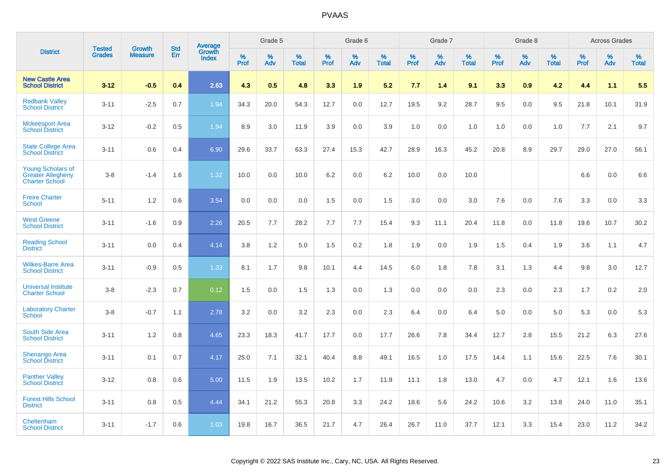|                                                                               | <b>Tested</b> | <b>Growth</b>  | <b>Std</b> | Average<br>Growth |                     | Grade 5  |                      |                     | Grade 6  |                      |              | Grade 7  |                      |                     | Grade 8  |                      |                     | <b>Across Grades</b> |                      |
|-------------------------------------------------------------------------------|---------------|----------------|------------|-------------------|---------------------|----------|----------------------|---------------------|----------|----------------------|--------------|----------|----------------------|---------------------|----------|----------------------|---------------------|----------------------|----------------------|
| <b>District</b>                                                               | <b>Grades</b> | <b>Measure</b> | Err        | Index             | $\%$<br><b>Prof</b> | %<br>Adv | $\%$<br><b>Total</b> | $\%$<br><b>Prof</b> | %<br>Adv | $\%$<br><b>Total</b> | $\%$<br>Prof | %<br>Adv | $\%$<br><b>Total</b> | $\%$<br><b>Prof</b> | %<br>Adv | $\%$<br><b>Total</b> | $\%$<br><b>Prof</b> | $\%$<br>Adv          | $\%$<br><b>Total</b> |
| <b>New Castle Area</b><br><b>School District</b>                              | $3 - 12$      | $-0.5$         | 0.4        | 2.63              | 4.3                 | 0.5      | 4.8                  | 3.3                 | 1.9      | 5.2                  | 7.7          | 1.4      | 9.1                  | 3.3                 | 0.9      | 4.2                  | 4.4                 | 1.1                  | 5.5                  |
| <b>Redbank Valley</b><br><b>School District</b>                               | $3 - 11$      | $-2.5$         | 0.7        | 1.94              | 34.3                | 20.0     | 54.3                 | 12.7                | 0.0      | 12.7                 | 19.5         | 9.2      | 28.7                 | 9.5                 | 0.0      | 9.5                  | 21.8                | 10.1                 | 31.9                 |
| <b>Mckeesport Area</b><br><b>School District</b>                              | $3 - 12$      | $-0.2$         | 0.5        | 1.94              | 8.9                 | 3.0      | 11.9                 | 3.9                 | 0.0      | 3.9                  | 1.0          | 0.0      | 1.0                  | 1.0                 | 0.0      | 1.0                  | 7.7                 | 2.1                  | 9.7                  |
| <b>State College Area</b><br><b>School District</b>                           | $3 - 11$      | 0.6            | 0.4        | 6.90              | 29.6                | 33.7     | 63.3                 | 27.4                | 15.3     | 42.7                 | 28.9         | 16.3     | 45.2                 | 20.8                | 8.9      | 29.7                 | 29.0                | 27.0                 | 56.1                 |
| <b>Young Scholars of</b><br><b>Greater Allegheny</b><br><b>Charter School</b> | $3 - 8$       | $-1.4$         | 1.6        | 1.32              | 10.0                | 0.0      | 10.0                 | 6.2                 | 0.0      | 6.2                  | 10.0         | 0.0      | 10.0                 |                     |          |                      | 6.6                 | 0.0                  | 6.6                  |
| <b>Freire Charter</b><br><b>School</b>                                        | $5 - 11$      | 1.2            | 0.6        | 3.54              | 0.0                 | 0.0      | 0.0                  | 1.5                 | 0.0      | 1.5                  | 3.0          | 0.0      | 3.0                  | 7.6                 | 0.0      | 7.6                  | 3.3                 | 0.0                  | 3.3                  |
| <b>West Greene</b><br><b>School District</b>                                  | $3 - 11$      | $-1.6$         | 0.9        | 2.26              | 20.5                | 7.7      | 28.2                 | 7.7                 | 7.7      | 15.4                 | 9.3          | 11.1     | 20.4                 | 11.8                | 0.0      | 11.8                 | 19.6                | 10.7                 | 30.2                 |
| <b>Reading School</b><br><b>District</b>                                      | $3 - 11$      | 0.0            | 0.4        | 4.14              | 3.8                 | 1.2      | 5.0                  | 1.5                 | 0.2      | 1.8                  | 1.9          | 0.0      | 1.9                  | 1.5                 | 0.4      | 1.9                  | 3.6                 | 1.1                  | 4.7                  |
| <b>Wilkes-Barre Area</b><br><b>School District</b>                            | $3 - 11$      | $-0.9$         | 0.5        | 1.33              | 8.1                 | 1.7      | 9.8                  | 10.1                | 4.4      | 14.5                 | $6.0\,$      | 1.8      | 7.8                  | 3.1                 | 1.3      | 4.4                  | 9.8                 | 3.0                  | 12.7                 |
| <b>Universal Institute</b><br><b>Charter School</b>                           | $3 - 8$       | $-2.3$         | 0.7        | 0.12              | 1.5                 | 0.0      | 1.5                  | 1.3                 | 0.0      | 1.3                  | 0.0          | 0.0      | 0.0                  | 2.3                 | 0.0      | 2.3                  | 1.7                 | $0.2\,$              | 2.0                  |
| <b>Laboratory Charter</b><br><b>School</b>                                    | $3 - 8$       | $-0.7$         | 1.1        | 2.78              | 3.2                 | 0.0      | 3.2                  | 2.3                 | 0.0      | 2.3                  | 6.4          | 0.0      | 6.4                  | 5.0                 | 0.0      | 5.0                  | 5.3                 | 0.0                  | 5.3                  |
| <b>South Side Area</b><br><b>School District</b>                              | $3 - 11$      | 1.2            | 0.8        | 4.65              | 23.3                | 18.3     | 41.7                 | 17.7                | 0.0      | 17.7                 | 26.6         | 7.8      | 34.4                 | 12.7                | 2.8      | 15.5                 | 21.2                | 6.3                  | 27.6                 |
| <b>Shenango Area</b><br><b>School District</b>                                | $3 - 11$      | 0.1            | 0.7        | 4.17              | 25.0                | 7.1      | 32.1                 | 40.4                | 8.8      | 49.1                 | 16.5         | 1.0      | 17.5                 | 14.4                | 1.1      | 15.6                 | 22.5                | 7.6                  | 30.1                 |
| <b>Panther Valley</b><br><b>School District</b>                               | $3 - 12$      | 0.8            | 0.6        | 5.00              | 11.5                | 1.9      | 13.5                 | 10.2                | 1.7      | 11.9                 | 11.1         | 1.8      | 13.0                 | 4.7                 | 0.0      | 4.7                  | 12.1                | 1.6                  | 13.6                 |
| <b>Forest Hills School</b><br><b>District</b>                                 | $3 - 11$      | 0.8            | 0.5        | 4.44              | 34.1                | 21.2     | 55.3                 | 20.8                | 3.3      | 24.2                 | 18.6         | 5.6      | 24.2                 | 10.6                | 3.2      | 13.8                 | 24.0                | 11.0                 | 35.1                 |
| Cheltenham<br><b>School District</b>                                          | $3 - 11$      | $-1.7$         | 0.6        | 1.03              | 19.8                | 16.7     | 36.5                 | 21.7                | 4.7      | 26.4                 | 26.7         | 11.0     | 37.7                 | 12.1                | 3.3      | 15.4                 | 23.0                | 11.2                 | 34.2                 |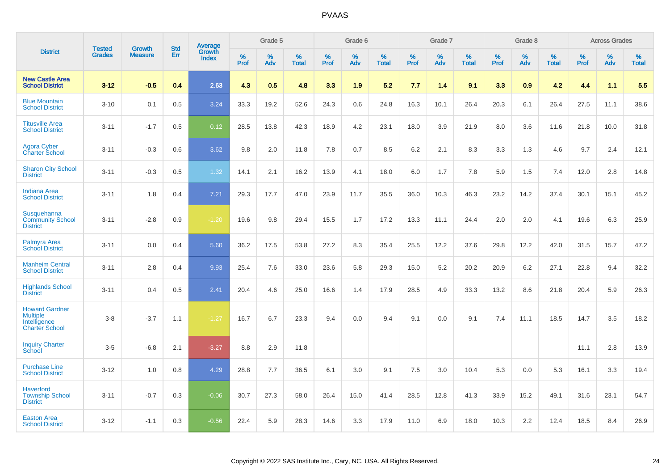|                                                                                   | <b>Tested</b> | <b>Growth</b>  | <b>Std</b> | Average<br>Growth |              | Grade 5  |                   |                  | Grade 6  |                   |              | Grade 7  |                      |           | Grade 8  |                   |              | <b>Across Grades</b> |                   |
|-----------------------------------------------------------------------------------|---------------|----------------|------------|-------------------|--------------|----------|-------------------|------------------|----------|-------------------|--------------|----------|----------------------|-----------|----------|-------------------|--------------|----------------------|-------------------|
| <b>District</b>                                                                   | <b>Grades</b> | <b>Measure</b> | <b>Err</b> | <b>Index</b>      | $\%$<br>Prof | %<br>Adv | %<br><b>Total</b> | %<br><b>Prof</b> | %<br>Adv | %<br><b>Total</b> | $\%$<br>Prof | %<br>Adv | $\%$<br><b>Total</b> | %<br>Prof | %<br>Adv | %<br><b>Total</b> | $\%$<br>Prof | $\%$<br>Adv          | %<br><b>Total</b> |
| <b>New Castle Area</b><br><b>School District</b>                                  | $3 - 12$      | $-0.5$         | 0.4        | 2.63              | 4.3          | 0.5      | 4.8               | 3.3              | 1.9      | 5.2               | 7.7          | 1.4      | 9.1                  | 3.3       | 0.9      | 4.2               | 4.4          | 1.1                  | 5.5               |
| <b>Blue Mountain</b><br><b>School District</b>                                    | $3 - 10$      | 0.1            | 0.5        | 3.24              | 33.3         | 19.2     | 52.6              | 24.3             | 0.6      | 24.8              | 16.3         | 10.1     | 26.4                 | 20.3      | 6.1      | 26.4              | 27.5         | 11.1                 | 38.6              |
| <b>Titusville Area</b><br><b>School District</b>                                  | $3 - 11$      | $-1.7$         | 0.5        | 0.12              | 28.5         | 13.8     | 42.3              | 18.9             | 4.2      | 23.1              | 18.0         | 3.9      | 21.9                 | 8.0       | 3.6      | 11.6              | 21.8         | 10.0                 | 31.8              |
| <b>Agora Cyber</b><br><b>Charter School</b>                                       | $3 - 11$      | $-0.3$         | 0.6        | 3.62              | 9.8          | 2.0      | 11.8              | 7.8              | 0.7      | 8.5               | 6.2          | 2.1      | 8.3                  | 3.3       | 1.3      | 4.6               | 9.7          | 2.4                  | 12.1              |
| <b>Sharon City School</b><br><b>District</b>                                      | $3 - 11$      | $-0.3$         | 0.5        | 1.32              | 14.1         | 2.1      | 16.2              | 13.9             | 4.1      | 18.0              | 6.0          | 1.7      | 7.8                  | 5.9       | 1.5      | 7.4               | 12.0         | 2.8                  | 14.8              |
| <b>Indiana Area</b><br><b>School District</b>                                     | $3 - 11$      | 1.8            | 0.4        | 7.21              | 29.3         | 17.7     | 47.0              | 23.9             | 11.7     | 35.5              | 36.0         | 10.3     | 46.3                 | 23.2      | 14.2     | 37.4              | 30.1         | 15.1                 | 45.2              |
| <b>Susquehanna</b><br><b>Community School</b><br><b>District</b>                  | $3 - 11$      | $-2.8$         | 0.9        | $-1.20$           | 19.6         | 9.8      | 29.4              | 15.5             | 1.7      | 17.2              | 13.3         | 11.1     | 24.4                 | 2.0       | 2.0      | 4.1               | 19.6         | 6.3                  | 25.9              |
| Palmyra Area<br><b>School District</b>                                            | $3 - 11$      | 0.0            | 0.4        | 5.60              | 36.2         | 17.5     | 53.8              | 27.2             | 8.3      | 35.4              | 25.5         | 12.2     | 37.6                 | 29.8      | 12.2     | 42.0              | 31.5         | 15.7                 | 47.2              |
| <b>Manheim Central</b><br><b>School District</b>                                  | $3 - 11$      | 2.8            | 0.4        | 9.93              | 25.4         | 7.6      | 33.0              | 23.6             | 5.8      | 29.3              | 15.0         | 5.2      | 20.2                 | 20.9      | 6.2      | 27.1              | 22.8         | 9.4                  | 32.2              |
| <b>Highlands School</b><br><b>District</b>                                        | $3 - 11$      | 0.4            | 0.5        | 2.41              | 20.4         | 4.6      | 25.0              | 16.6             | 1.4      | 17.9              | 28.5         | 4.9      | 33.3                 | 13.2      | 8.6      | 21.8              | 20.4         | 5.9                  | 26.3              |
| <b>Howard Gardner</b><br><b>Multiple</b><br>Intelligence<br><b>Charter School</b> | $3 - 8$       | $-3.7$         | 1.1        | $-1.27$           | 16.7         | 6.7      | 23.3              | 9.4              | 0.0      | 9.4               | 9.1          | 0.0      | 9.1                  | 7.4       | 11.1     | 18.5              | 14.7         | 3.5                  | 18.2              |
| <b>Inquiry Charter</b><br>School                                                  | $3-5$         | $-6.8$         | 2.1        | $-3.27$           | 8.8          | 2.9      | 11.8              |                  |          |                   |              |          |                      |           |          |                   | 11.1         | 2.8                  | 13.9              |
| <b>Purchase Line</b><br><b>School District</b>                                    | $3 - 12$      | 1.0            | 0.8        | 4.29              | 28.8         | 7.7      | 36.5              | 6.1              | 3.0      | 9.1               | 7.5          | 3.0      | 10.4                 | 5.3       | 0.0      | 5.3               | 16.1         | 3.3                  | 19.4              |
| <b>Haverford</b><br><b>Township School</b><br><b>District</b>                     | $3 - 11$      | $-0.7$         | 0.3        | $-0.06$           | 30.7         | 27.3     | 58.0              | 26.4             | 15.0     | 41.4              | 28.5         | 12.8     | 41.3                 | 33.9      | 15.2     | 49.1              | 31.6         | 23.1                 | 54.7              |
| <b>Easton Area</b><br><b>School District</b>                                      | $3 - 12$      | $-1.1$         | 0.3        | $-0.56$           | 22.4         | 5.9      | 28.3              | 14.6             | 3.3      | 17.9              | 11.0         | 6.9      | 18.0                 | 10.3      | 2.2      | 12.4              | 18.5         | 8.4                  | 26.9              |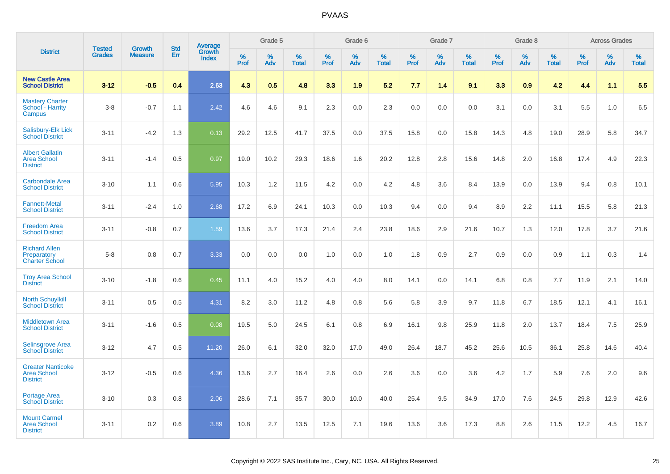|                                                                   |                                |                                 |                   | Average                |                     | Grade 5     |                   |                  | Grade 6  |                   |                  | Grade 7  |                   |           | Grade 8  |                   |              | <b>Across Grades</b> |                   |
|-------------------------------------------------------------------|--------------------------------|---------------------------------|-------------------|------------------------|---------------------|-------------|-------------------|------------------|----------|-------------------|------------------|----------|-------------------|-----------|----------|-------------------|--------------|----------------------|-------------------|
| <b>District</b>                                                   | <b>Tested</b><br><b>Grades</b> | <b>Growth</b><br><b>Measure</b> | <b>Std</b><br>Err | Growth<br><b>Index</b> | $\%$<br><b>Prof</b> | $\%$<br>Adv | %<br><b>Total</b> | %<br><b>Prof</b> | %<br>Adv | %<br><b>Total</b> | %<br><b>Prof</b> | %<br>Adv | %<br><b>Total</b> | %<br>Prof | %<br>Adv | %<br><b>Total</b> | $\%$<br>Prof | %<br>Adv             | %<br><b>Total</b> |
| <b>New Castle Area</b><br><b>School District</b>                  | $3 - 12$                       | $-0.5$                          | 0.4               | 2.63                   | 4.3                 | 0.5         | 4.8               | 3.3              | 1.9      | 5.2               | 7.7              | 1.4      | 9.1               | 3.3       | 0.9      | 4.2               | 4.4          | 1.1                  | 5.5               |
| <b>Mastery Charter</b><br>School - Harrity<br>Campus              | $3-8$                          | $-0.7$                          | 1.1               | 2.42                   | 4.6                 | 4.6         | 9.1               | 2.3              | 0.0      | 2.3               | 0.0              | 0.0      | 0.0               | 3.1       | 0.0      | 3.1               | 5.5          | 1.0                  | 6.5               |
| Salisbury-Elk Lick<br><b>School District</b>                      | $3 - 11$                       | $-4.2$                          | 1.3               | 0.13                   | 29.2                | 12.5        | 41.7              | 37.5             | 0.0      | 37.5              | 15.8             | 0.0      | 15.8              | 14.3      | 4.8      | 19.0              | 28.9         | 5.8                  | 34.7              |
| <b>Albert Gallatin</b><br><b>Area School</b><br><b>District</b>   | $3 - 11$                       | $-1.4$                          | 0.5               | 0.97                   | 19.0                | 10.2        | 29.3              | 18.6             | 1.6      | 20.2              | 12.8             | 2.8      | 15.6              | 14.8      | 2.0      | 16.8              | 17.4         | 4.9                  | 22.3              |
| <b>Carbondale Area</b><br><b>School District</b>                  | $3 - 10$                       | 1.1                             | 0.6               | 5.95                   | 10.3                | 1.2         | 11.5              | 4.2              | 0.0      | 4.2               | 4.8              | 3.6      | 8.4               | 13.9      | 0.0      | 13.9              | 9.4          | 0.8                  | 10.1              |
| <b>Fannett-Metal</b><br><b>School District</b>                    | $3 - 11$                       | $-2.4$                          | 1.0               | 2.68                   | 17.2                | 6.9         | 24.1              | 10.3             | 0.0      | 10.3              | 9.4              | 0.0      | 9.4               | 8.9       | 2.2      | 11.1              | 15.5         | 5.8                  | 21.3              |
| <b>Freedom Area</b><br><b>School District</b>                     | $3 - 11$                       | $-0.8$                          | 0.7               | 1.59                   | 13.6                | 3.7         | 17.3              | 21.4             | 2.4      | 23.8              | 18.6             | 2.9      | 21.6              | 10.7      | 1.3      | 12.0              | 17.8         | 3.7                  | 21.6              |
| <b>Richard Allen</b><br>Preparatory<br><b>Charter School</b>      | $5-8$                          | 0.8                             | 0.7               | 3.33                   | 0.0                 | 0.0         | 0.0               | 1.0              | 0.0      | 1.0               | 1.8              | 0.9      | 2.7               | 0.9       | 0.0      | 0.9               | 1.1          | 0.3                  | 1.4               |
| <b>Troy Area School</b><br><b>District</b>                        | $3 - 10$                       | $-1.8$                          | 0.6               | 0.45                   | 11.1                | 4.0         | 15.2              | 4.0              | 4.0      | 8.0               | 14.1             | 0.0      | 14.1              | 6.8       | 0.8      | 7.7               | 11.9         | 2.1                  | 14.0              |
| <b>North Schuylkill</b><br><b>School District</b>                 | $3 - 11$                       | 0.5                             | 0.5               | 4.31                   | 8.2                 | 3.0         | 11.2              | 4.8              | 0.8      | 5.6               | 5.8              | 3.9      | 9.7               | 11.8      | 6.7      | 18.5              | 12.1         | 4.1                  | 16.1              |
| <b>Middletown Area</b><br><b>School District</b>                  | $3 - 11$                       | $-1.6$                          | 0.5               | 0.08                   | 19.5                | 5.0         | 24.5              | 6.1              | 0.8      | 6.9               | 16.1             | 9.8      | 25.9              | 11.8      | 2.0      | 13.7              | 18.4         | 7.5                  | 25.9              |
| <b>Selinsgrove Area</b><br><b>School District</b>                 | $3 - 12$                       | 4.7                             | 0.5               | 11.20                  | 26.0                | 6.1         | 32.0              | 32.0             | 17.0     | 49.0              | 26.4             | 18.7     | 45.2              | 25.6      | 10.5     | 36.1              | 25.8         | 14.6                 | 40.4              |
| <b>Greater Nanticoke</b><br><b>Area School</b><br><b>District</b> | $3 - 12$                       | $-0.5$                          | 0.6               | 4.36                   | 13.6                | 2.7         | 16.4              | 2.6              | 0.0      | 2.6               | 3.6              | 0.0      | 3.6               | 4.2       | 1.7      | 5.9               | 7.6          | 2.0                  | 9.6               |
| Portage Area<br><b>School District</b>                            | $3 - 10$                       | 0.3                             | 0.8               | 2.06                   | 28.6                | 7.1         | 35.7              | 30.0             | 10.0     | 40.0              | 25.4             | 9.5      | 34.9              | 17.0      | 7.6      | 24.5              | 29.8         | 12.9                 | 42.6              |
| <b>Mount Carmel</b><br><b>Area School</b><br><b>District</b>      | $3 - 11$                       | 0.2                             | 0.6               | 3.89                   | 10.8                | 2.7         | 13.5              | 12.5             | 7.1      | 19.6              | 13.6             | 3.6      | 17.3              | 8.8       | 2.6      | 11.5              | 12.2         | 4.5                  | 16.7              |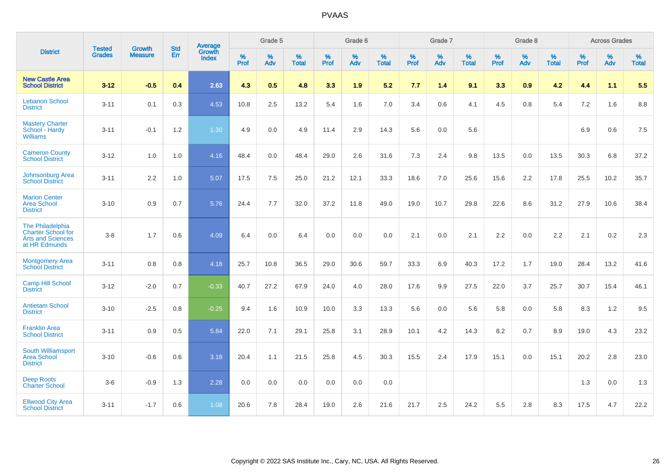|                                                                                            | <b>Tested</b> | <b>Growth</b>  | <b>Std</b> | Average                |                     | Grade 5  |                   |                     | Grade 6  |                   |              | Grade 7  |                   |                     | Grade 8  |                   |                     | <b>Across Grades</b> |                   |
|--------------------------------------------------------------------------------------------|---------------|----------------|------------|------------------------|---------------------|----------|-------------------|---------------------|----------|-------------------|--------------|----------|-------------------|---------------------|----------|-------------------|---------------------|----------------------|-------------------|
| <b>District</b>                                                                            | <b>Grades</b> | <b>Measure</b> | <b>Err</b> | Growth<br><b>Index</b> | $\%$<br><b>Prof</b> | %<br>Adv | %<br><b>Total</b> | $\%$<br><b>Prof</b> | %<br>Adv | %<br><b>Total</b> | $\%$<br>Prof | %<br>Adv | %<br><b>Total</b> | $\%$<br><b>Prof</b> | %<br>Adv | %<br><b>Total</b> | $\%$<br><b>Prof</b> | %<br>Adv             | %<br><b>Total</b> |
| <b>New Castle Area</b><br><b>School District</b>                                           | $3 - 12$      | $-0.5$         | 0.4        | 2.63                   | 4.3                 | 0.5      | 4.8               | 3.3                 | 1.9      | 5.2               | 7.7          | 1.4      | 9.1               | 3.3                 | 0.9      | 4.2               | 4.4                 | 1.1                  | 5.5               |
| <b>Lebanon School</b><br><b>District</b>                                                   | $3 - 11$      | 0.1            | 0.3        | 4.53                   | 10.8                | 2.5      | 13.2              | 5.4                 | 1.6      | 7.0               | 3.4          | 0.6      | 4.1               | 4.5                 | 0.8      | 5.4               | 7.2                 | 1.6                  | 8.8               |
| <b>Mastery Charter</b><br>School - Hardy<br><b>Williams</b>                                | $3 - 11$      | $-0.1$         | 1.2        | 1.30                   | 4.9                 | 0.0      | 4.9               | 11.4                | 2.9      | 14.3              | 5.6          | 0.0      | 5.6               |                     |          |                   | 6.9                 | 0.6                  | 7.5               |
| <b>Cameron County</b><br><b>School District</b>                                            | $3 - 12$      | 1.0            | 1.0        | 4.16                   | 48.4                | 0.0      | 48.4              | 29.0                | 2.6      | 31.6              | 7.3          | 2.4      | 9.8               | 13.5                | 0.0      | 13.5              | 30.3                | 6.8                  | 37.2              |
| Johnsonburg Area<br><b>School District</b>                                                 | $3 - 11$      | 2.2            | 1.0        | 5.07                   | 17.5                | 7.5      | 25.0              | 21.2                | 12.1     | 33.3              | 18.6         | 7.0      | 25.6              | 15.6                | 2.2      | 17.8              | 25.5                | 10.2                 | 35.7              |
| <b>Marion Center</b><br><b>Area School</b><br><b>District</b>                              | $3 - 10$      | 0.9            | 0.7        | 5.76                   | 24.4                | 7.7      | 32.0              | 37.2                | 11.8     | 49.0              | 19.0         | 10.7     | 29.8              | 22.6                | 8.6      | 31.2              | 27.9                | 10.6                 | 38.4              |
| The Philadelphia<br><b>Charter School for</b><br><b>Arts and Sciences</b><br>at HR Edmunds | $3 - 8$       | 1.7            | 0.6        | 4.09                   | 6.4                 | 0.0      | 6.4               | 0.0                 | 0.0      | 0.0               | 2.1          | 0.0      | 2.1               | 2.2                 | 0.0      | 2.2               | 2.1                 | $0.2\,$              | 2.3               |
| <b>Montgomery Area</b><br><b>School District</b>                                           | $3 - 11$      | 0.8            | 0.8        | 4.18                   | 25.7                | 10.8     | 36.5              | 29.0                | 30.6     | 59.7              | 33.3         | 6.9      | 40.3              | 17.2                | 1.7      | 19.0              | 28.4                | 13.2                 | 41.6              |
| <b>Camp Hill School</b><br><b>District</b>                                                 | $3 - 12$      | $-2.0$         | 0.7        | $-0.33$                | 40.7                | 27.2     | 67.9              | 24.0                | 4.0      | 28.0              | 17.6         | 9.9      | 27.5              | 22.0                | 3.7      | 25.7              | 30.7                | 15.4                 | 46.1              |
| <b>Antietam School</b><br><b>District</b>                                                  | $3 - 10$      | $-2.5$         | 0.8        | $-0.25$                | 9.4                 | 1.6      | 10.9              | 10.0                | 3.3      | 13.3              | 5.6          | 0.0      | 5.6               | 5.8                 | 0.0      | 5.8               | 8.3                 | 1.2                  | 9.5               |
| <b>Franklin Area</b><br><b>School District</b>                                             | $3 - 11$      | 0.9            | 0.5        | 5.84                   | 22.0                | 7.1      | 29.1              | 25.8                | 3.1      | 28.9              | 10.1         | 4.2      | 14.3              | 8.2                 | 0.7      | 8.9               | 19.0                | 4.3                  | 23.2              |
| South Williamsport<br><b>Area School</b><br><b>District</b>                                | $3 - 10$      | $-0.6$         | 0.6        | 3.18                   | 20.4                | 1.1      | 21.5              | 25.8                | 4.5      | 30.3              | 15.5         | 2.4      | 17.9              | 15.1                | 0.0      | 15.1              | 20.2                | 2.8                  | 23.0              |
| <b>Deep Roots</b><br><b>Charter School</b>                                                 | $3-6$         | $-0.9$         | 1.3        | 2.28                   | 0.0                 | 0.0      | 0.0               | 0.0                 | 0.0      | 0.0               |              |          |                   |                     |          |                   | 1.3                 | 0.0                  | 1.3               |
| <b>Ellwood City Area</b><br><b>School District</b>                                         | $3 - 11$      | $-1.7$         | 0.6        | 1.08                   | 20.6                | 7.8      | 28.4              | 19.0                | 2.6      | 21.6              | 21.7         | 2.5      | 24.2              | 5.5                 | 2.8      | 8.3               | 17.5                | 4.7                  | 22.2              |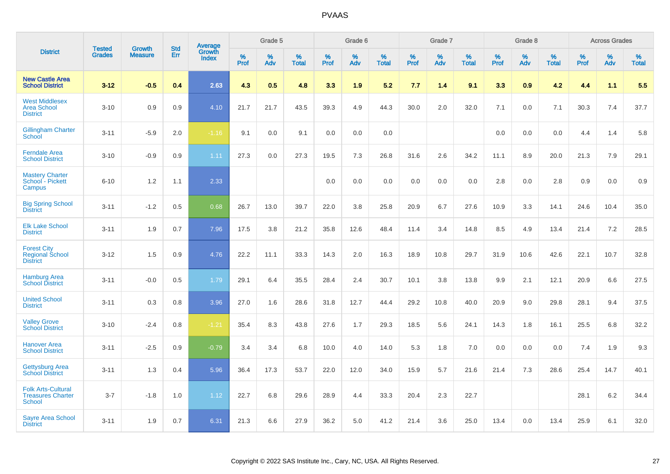|                                                                 |                         |                                 |                   | Average                |                     | Grade 5     |                   |                  | Grade 6     |                   |                  | Grade 7  |                   |                     | Grade 8  |                   |              | <b>Across Grades</b> |                   |
|-----------------------------------------------------------------|-------------------------|---------------------------------|-------------------|------------------------|---------------------|-------------|-------------------|------------------|-------------|-------------------|------------------|----------|-------------------|---------------------|----------|-------------------|--------------|----------------------|-------------------|
| <b>District</b>                                                 | <b>Tested</b><br>Grades | <b>Growth</b><br><b>Measure</b> | <b>Std</b><br>Err | Growth<br><b>Index</b> | $\%$<br><b>Prof</b> | $\%$<br>Adv | %<br><b>Total</b> | %<br><b>Prof</b> | $\%$<br>Adv | %<br><b>Total</b> | %<br><b>Prof</b> | %<br>Adv | %<br><b>Total</b> | $\%$<br><b>Prof</b> | %<br>Adv | %<br><b>Total</b> | $\%$<br>Prof | $\%$<br>Adv          | %<br><b>Total</b> |
| <b>New Castle Area</b><br><b>School District</b>                | $3 - 12$                | $-0.5$                          | 0.4               | 2.63                   | 4.3                 | 0.5         | 4.8               | 3.3              | 1.9         | 5.2               | 7.7              | 1.4      | 9.1               | 3.3                 | 0.9      | 4.2               | 4.4          | 1.1                  | 5.5               |
| <b>West Middlesex</b><br><b>Area School</b><br><b>District</b>  | $3 - 10$                | 0.9                             | 0.9               | 4.10                   | 21.7                | 21.7        | 43.5              | 39.3             | 4.9         | 44.3              | 30.0             | 2.0      | 32.0              | 7.1                 | 0.0      | 7.1               | 30.3         | 7.4                  | 37.7              |
| <b>Gillingham Charter</b><br>School                             | $3 - 11$                | $-5.9$                          | 2.0               | $-1.16$                | 9.1                 | 0.0         | 9.1               | 0.0              | 0.0         | 0.0               |                  |          |                   | 0.0                 | 0.0      | 0.0               | 4.4          | 1.4                  | 5.8               |
| <b>Ferndale Area</b><br><b>School District</b>                  | $3 - 10$                | $-0.9$                          | 0.9               | 1.11                   | 27.3                | 0.0         | 27.3              | 19.5             | 7.3         | 26.8              | 31.6             | 2.6      | 34.2              | 11.1                | 8.9      | 20.0              | 21.3         | 7.9                  | 29.1              |
| <b>Mastery Charter</b><br>School - Pickett<br>Campus            | $6 - 10$                | 1.2                             | 1.1               | 2.33                   |                     |             |                   | 0.0              | 0.0         | 0.0               | 0.0              | 0.0      | 0.0               | 2.8                 | 0.0      | 2.8               | 0.9          | 0.0                  | 0.9               |
| <b>Big Spring School</b><br><b>District</b>                     | $3 - 11$                | $-1.2$                          | 0.5               | 0.68                   | 26.7                | 13.0        | 39.7              | 22.0             | 3.8         | 25.8              | 20.9             | 6.7      | 27.6              | 10.9                | 3.3      | 14.1              | 24.6         | 10.4                 | 35.0              |
| <b>Elk Lake School</b><br><b>District</b>                       | $3 - 11$                | 1.9                             | 0.7               | 7.96                   | 17.5                | 3.8         | 21.2              | 35.8             | 12.6        | 48.4              | 11.4             | 3.4      | 14.8              | 8.5                 | 4.9      | 13.4              | 21.4         | 7.2                  | 28.5              |
| <b>Forest City</b><br><b>Regional School</b><br><b>District</b> | $3 - 12$                | 1.5                             | 0.9               | 4.76                   | 22.2                | 11.1        | 33.3              | 14.3             | 2.0         | 16.3              | 18.9             | 10.8     | 29.7              | 31.9                | 10.6     | 42.6              | 22.1         | 10.7                 | 32.8              |
| <b>Hamburg Area</b><br><b>School District</b>                   | $3 - 11$                | $-0.0$                          | 0.5               | 1.79                   | 29.1                | 6.4         | 35.5              | 28.4             | 2.4         | 30.7              | 10.1             | 3.8      | 13.8              | 9.9                 | 2.1      | 12.1              | 20.9         | 6.6                  | 27.5              |
| <b>United School</b><br><b>District</b>                         | $3 - 11$                | 0.3                             | 0.8               | 3.96                   | 27.0                | 1.6         | 28.6              | 31.8             | 12.7        | 44.4              | 29.2             | 10.8     | 40.0              | 20.9                | 9.0      | 29.8              | 28.1         | 9.4                  | 37.5              |
| <b>Valley Grove</b><br><b>School District</b>                   | $3 - 10$                | $-2.4$                          | 0.8               | $-1.21$                | 35.4                | 8.3         | 43.8              | 27.6             | 1.7         | 29.3              | 18.5             | 5.6      | 24.1              | 14.3                | 1.8      | 16.1              | 25.5         | 6.8                  | 32.2              |
| <b>Hanover Area</b><br><b>School District</b>                   | $3 - 11$                | $-2.5$                          | 0.9               | $-0.79$                | 3.4                 | 3.4         | 6.8               | 10.0             | 4.0         | 14.0              | 5.3              | 1.8      | 7.0               | 0.0                 | 0.0      | 0.0               | 7.4          | 1.9                  | 9.3               |
| <b>Gettysburg Area</b><br><b>School District</b>                | $3 - 11$                | 1.3                             | 0.4               | 5.96                   | 36.4                | 17.3        | 53.7              | 22.0             | 12.0        | 34.0              | 15.9             | 5.7      | 21.6              | 21.4                | 7.3      | 28.6              | 25.4         | 14.7                 | 40.1              |
| <b>Folk Arts-Cultural</b><br><b>Treasures Charter</b><br>School | $3 - 7$                 | $-1.8$                          | 1.0               | 1.12                   | 22.7                | 6.8         | 29.6              | 28.9             | 4.4         | 33.3              | 20.4             | 2.3      | 22.7              |                     |          |                   | 28.1         | 6.2                  | 34.4              |
| <b>Sayre Area School</b><br><b>District</b>                     | $3 - 11$                | 1.9                             | 0.7               | 6.31                   | 21.3                | 6.6         | 27.9              | 36.2             | 5.0         | 41.2              | 21.4             | 3.6      | 25.0              | 13.4                | 0.0      | 13.4              | 25.9         | 6.1                  | 32.0              |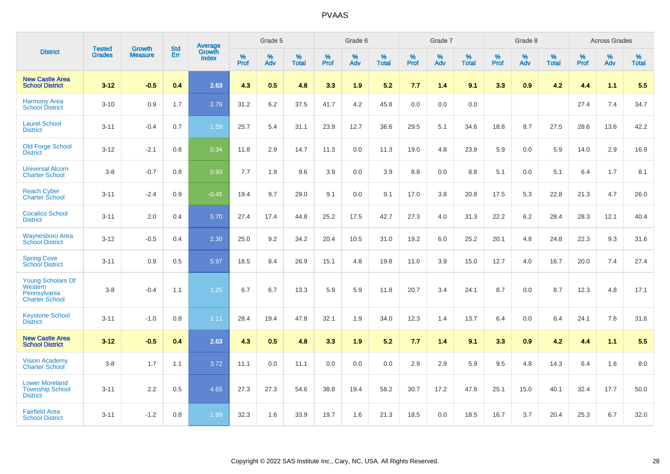|                                                                              | <b>Tested</b> | <b>Growth</b>  | <b>Std</b> | Average                       |           | Grade 5  |                   |           | Grade 6  |                   |           | Grade 7  |                   |           | Grade 8  |                   |           | <b>Across Grades</b> |                   |
|------------------------------------------------------------------------------|---------------|----------------|------------|-------------------------------|-----------|----------|-------------------|-----------|----------|-------------------|-----------|----------|-------------------|-----------|----------|-------------------|-----------|----------------------|-------------------|
| <b>District</b>                                                              | <b>Grades</b> | <b>Measure</b> | Err        | <b>Growth</b><br><b>Index</b> | %<br>Prof | %<br>Adv | %<br><b>Total</b> | %<br>Prof | %<br>Adv | %<br><b>Total</b> | %<br>Prof | %<br>Adv | %<br><b>Total</b> | %<br>Prof | %<br>Adv | %<br><b>Total</b> | %<br>Prof | %<br>Adv             | %<br><b>Total</b> |
| <b>New Castle Area</b><br><b>School District</b>                             | $3 - 12$      | $-0.5$         | 0.4        | 2.63                          | 4.3       | 0.5      | 4.8               | 3.3       | 1.9      | 5.2               | 7.7       | 1.4      | 9.1               | 3.3       | 0.9      | 4.2               | 4.4       | 1.1                  | 5.5               |
| <b>Harmony Area</b><br><b>School District</b>                                | $3 - 10$      | 0.9            | 1.7        | 2.79                          | 31.2      | 6.2      | 37.5              | 41.7      | 4.2      | 45.8              | 0.0       | 0.0      | 0.0               |           |          |                   | 27.4      | 7.4                  | 34.7              |
| <b>Laurel School</b><br><b>District</b>                                      | $3 - 11$      | $-0.4$         | 0.7        | 1.59                          | 25.7      | 5.4      | 31.1              | 23.9      | 12.7     | 36.6              | 29.5      | 5.1      | 34.6              | 18.8      | 8.7      | 27.5              | 28.6      | 13.6                 | 42.2              |
| <b>Old Forge School</b><br><b>District</b>                                   | $3 - 12$      | $-2.1$         | 0.8        | 0.34                          | 11.8      | 2.9      | 14.7              | 11.3      | 0.0      | 11.3              | 19.0      | 4.8      | 23.8              | 5.9       | 0.0      | 5.9               | 14.0      | 2.9                  | 16.9              |
| <b>Universal Alcorn</b><br><b>Charter School</b>                             | $3 - 8$       | $-0.7$         | 0.8        | 0.93                          | 7.7       | 1.9      | 9.6               | 3.9       | 0.0      | 3.9               | 8.8       | 0.0      | 8.8               | 5.1       | 0.0      | 5.1               | 6.4       | 1.7                  | 8.1               |
| <b>Reach Cyber</b><br><b>Charter School</b>                                  | $3 - 11$      | $-2.4$         | 0.9        | $-0.45$                       | 19.4      | 9.7      | 29.0              | 9.1       | 0.0      | 9.1               | 17.0      | 3.8      | 20.8              | 17.5      | 5.3      | 22.8              | 21.3      | 4.7                  | 26.0              |
| <b>Cocalico School</b><br><b>District</b>                                    | $3 - 11$      | 2.0            | 0.4        | 5.70                          | 27.4      | 17.4     | 44.8              | 25.2      | 17.5     | 42.7              | 27.3      | 4.0      | 31.3              | 22.2      | $6.2\,$  | 28.4              | 28.3      | 12.1                 | 40.4              |
| <b>Waynesboro Area</b><br><b>School District</b>                             | $3 - 12$      | $-0.5$         | 0.4        | 2.30                          | 25.0      | 9.2      | 34.2              | 20.4      | 10.5     | 31.0              | 19.2      | 6.0      | 25.2              | 20.1      | 4.8      | 24.8              | 22.3      | 9.3                  | 31.6              |
| <b>Spring Cove</b><br><b>School District</b>                                 | $3 - 11$      | 0.9            | 0.5        | 5.97                          | 18.5      | 8.4      | 26.9              | 15.1      | 4.8      | 19.8              | 11.0      | 3.9      | 15.0              | 12.7      | 4.0      | 16.7              | 20.0      | 7.4                  | 27.4              |
| <b>Young Scholars Of</b><br>Western<br>Pennsylvania<br><b>Charter School</b> | $3 - 8$       | $-0.4$         | 1.1        | 1.25                          | 6.7       | 6.7      | 13.3              | 5.9       | 5.9      | 11.8              | 20.7      | 3.4      | 24.1              | 8.7       | 0.0      | 8.7               | 12.3      | 4.8                  | 17.1              |
| <b>Keystone School</b><br><b>District</b>                                    | $3 - 11$      | $-1.0$         | 0.8        | 1.11                          | 28.4      | 19.4     | 47.8              | 32.1      | 1.9      | 34.0              | 12.3      | 1.4      | 13.7              | 6.4       | 0.0      | 6.4               | 24.1      | 7.6                  | 31.6              |
| <b>New Castle Area</b><br><b>School District</b>                             | $3 - 12$      | $-0.5$         | 0.4        | 2.63                          | 4.3       | 0.5      | 4.8               | 3.3       | 1.9      | 5.2               | 7.7       | 1.4      | 9.1               | 3.3       | 0.9      | 4.2               | 4.4       | 1.1                  | 5.5               |
| <b>Vision Academy</b><br>Charter School                                      | $3 - 8$       | 1.7            | 1.1        | 3.72                          | 11.1      | 0.0      | 11.1              | 0.0       | 0.0      | 0.0               | 2.9       | 2.9      | 5.9               | 9.5       | 4.8      | 14.3              | 6.4       | 1.6                  | 8.0               |
| <b>Lower Moreland</b><br><b>Township School</b><br><b>District</b>           | $3 - 11$      | 2.2            | 0.5        | 4.65                          | 27.3      | 27.3     | 54.6              | 38.8      | 19.4     | 58.2              | 30.7      | 17.2     | 47.8              | 25.1      | 15.0     | 40.1              | 32.4      | 17.7                 | 50.0              |
| <b>Fairfield Area</b><br><b>School District</b>                              | $3 - 11$      | $-1.2$         | 0.8        | 1.99                          | 32.3      | 1.6      | 33.9              | 19.7      | 1.6      | 21.3              | 18.5      | 0.0      | 18.5              | 16.7      | 3.7      | 20.4              | 25.3      | 6.7                  | 32.0              |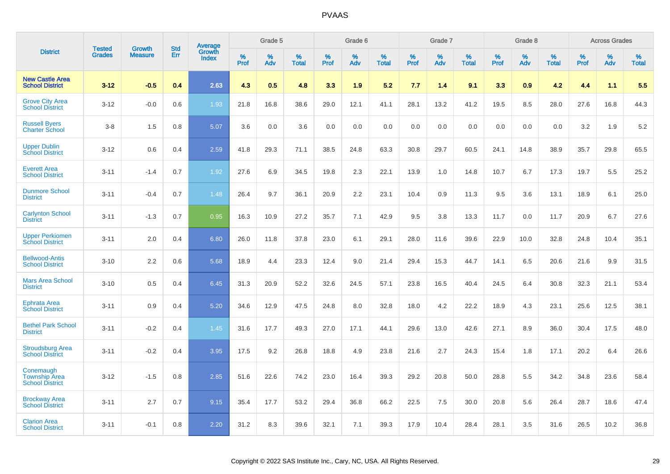|                                                             |                                |                          | <b>Std</b> |                                          |                     | Grade 5  |                      |              | Grade 6     |                      |              | Grade 7  |                      |              | Grade 8     |                      |              | <b>Across Grades</b> |                      |
|-------------------------------------------------------------|--------------------------------|--------------------------|------------|------------------------------------------|---------------------|----------|----------------------|--------------|-------------|----------------------|--------------|----------|----------------------|--------------|-------------|----------------------|--------------|----------------------|----------------------|
| <b>District</b>                                             | <b>Tested</b><br><b>Grades</b> | Growth<br><b>Measure</b> | Err        | <b>Average</b><br>Growth<br><b>Index</b> | $\%$<br><b>Prof</b> | %<br>Adv | $\%$<br><b>Total</b> | $\%$<br>Prof | $\%$<br>Adv | $\%$<br><b>Total</b> | $\%$<br>Prof | %<br>Adv | $\%$<br><b>Total</b> | $\%$<br>Prof | $\%$<br>Adv | $\%$<br><b>Total</b> | $\%$<br>Prof | $\%$<br>Adv          | $\%$<br><b>Total</b> |
| <b>New Castle Area</b><br><b>School District</b>            | $3 - 12$                       | $-0.5$                   | 0.4        | 2.63                                     | 4.3                 | 0.5      | 4.8                  | 3.3          | 1.9         | 5.2                  | 7.7          | 1.4      | 9.1                  | 3.3          | 0.9         | 4.2                  | 4.4          | 1.1                  | 5.5                  |
| <b>Grove City Area</b><br><b>School District</b>            | $3 - 12$                       | $-0.0$                   | 0.6        | 1.93                                     | 21.8                | 16.8     | 38.6                 | 29.0         | 12.1        | 41.1                 | 28.1         | 13.2     | 41.2                 | 19.5         | 8.5         | 28.0                 | 27.6         | 16.8                 | 44.3                 |
| <b>Russell Byers</b><br><b>Charter School</b>               | $3 - 8$                        | 1.5                      | 0.8        | 5.07                                     | 3.6                 | 0.0      | 3.6                  | 0.0          | 0.0         | 0.0                  | 0.0          | 0.0      | 0.0                  | 0.0          | 0.0         | 0.0                  | 3.2          | 1.9                  | 5.2                  |
| <b>Upper Dublin</b><br><b>School District</b>               | $3 - 12$                       | 0.6                      | 0.4        | 2.59                                     | 41.8                | 29.3     | 71.1                 | 38.5         | 24.8        | 63.3                 | 30.8         | 29.7     | 60.5                 | 24.1         | 14.8        | 38.9                 | 35.7         | 29.8                 | 65.5                 |
| <b>Everett Area</b><br><b>School District</b>               | $3 - 11$                       | $-1.4$                   | 0.7        | 1.92                                     | 27.6                | 6.9      | 34.5                 | 19.8         | 2.3         | 22.1                 | 13.9         | 1.0      | 14.8                 | 10.7         | 6.7         | 17.3                 | 19.7         | 5.5                  | 25.2                 |
| <b>Dunmore School</b><br><b>District</b>                    | $3 - 11$                       | $-0.4$                   | 0.7        | 1.48                                     | 26.4                | 9.7      | 36.1                 | 20.9         | 2.2         | 23.1                 | 10.4         | 0.9      | 11.3                 | 9.5          | 3.6         | 13.1                 | 18.9         | 6.1                  | 25.0                 |
| <b>Carlynton School</b><br><b>District</b>                  | $3 - 11$                       | $-1.3$                   | 0.7        | 0.95                                     | 16.3                | 10.9     | 27.2                 | 35.7         | 7.1         | 42.9                 | 9.5          | 3.8      | 13.3                 | 11.7         | 0.0         | 11.7                 | 20.9         | 6.7                  | 27.6                 |
| <b>Upper Perkiomen</b><br><b>School District</b>            | $3 - 11$                       | 2.0                      | 0.4        | 6.80                                     | 26.0                | 11.8     | 37.8                 | 23.0         | 6.1         | 29.1                 | 28.0         | 11.6     | 39.6                 | 22.9         | 10.0        | 32.8                 | 24.8         | 10.4                 | 35.1                 |
| <b>Bellwood-Antis</b><br><b>School District</b>             | $3 - 10$                       | 2.2                      | 0.6        | 5.68                                     | 18.9                | 4.4      | 23.3                 | 12.4         | 9.0         | 21.4                 | 29.4         | 15.3     | 44.7                 | 14.1         | 6.5         | 20.6                 | 21.6         | 9.9                  | 31.5                 |
| <b>Mars Area School</b><br><b>District</b>                  | $3 - 10$                       | 0.5                      | 0.4        | 6.45                                     | 31.3                | 20.9     | 52.2                 | 32.6         | 24.5        | 57.1                 | 23.8         | 16.5     | 40.4                 | 24.5         | 6.4         | 30.8                 | 32.3         | 21.1                 | 53.4                 |
| <b>Ephrata Area</b><br><b>School District</b>               | $3 - 11$                       | 0.9                      | 0.4        | 5.20                                     | 34.6                | 12.9     | 47.5                 | 24.8         | 8.0         | 32.8                 | 18.0         | 4.2      | 22.2                 | 18.9         | 4.3         | 23.1                 | 25.6         | 12.5                 | 38.1                 |
| <b>Bethel Park School</b><br><b>District</b>                | $3 - 11$                       | $-0.2$                   | 0.4        | 1.45                                     | 31.6                | 17.7     | 49.3                 | 27.0         | 17.1        | 44.1                 | 29.6         | 13.0     | 42.6                 | 27.1         | 8.9         | 36.0                 | 30.4         | 17.5                 | 48.0                 |
| <b>Stroudsburg Area</b><br><b>School District</b>           | $3 - 11$                       | $-0.2$                   | 0.4        | 3.95                                     | 17.5                | 9.2      | 26.8                 | 18.8         | 4.9         | 23.8                 | 21.6         | 2.7      | 24.3                 | 15.4         | 1.8         | 17.1                 | 20.2         | 6.4                  | 26.6                 |
| Conemaugh<br><b>Township Area</b><br><b>School District</b> | $3 - 12$                       | $-1.5$                   | 0.8        | 2.85                                     | 51.6                | 22.6     | 74.2                 | 23.0         | 16.4        | 39.3                 | 29.2         | 20.8     | 50.0                 | 28.8         | 5.5         | 34.2                 | 34.8         | 23.6                 | 58.4                 |
| <b>Brockway Area</b><br><b>School District</b>              | $3 - 11$                       | 2.7                      | 0.7        | 9.15                                     | 35.4                | 17.7     | 53.2                 | 29.4         | 36.8        | 66.2                 | 22.5         | 7.5      | 30.0                 | 20.8         | 5.6         | 26.4                 | 28.7         | 18.6                 | 47.4                 |
| <b>Clarion Area</b><br><b>School District</b>               | $3 - 11$                       | $-0.1$                   | 0.8        | 2.20                                     | 31.2                | 8.3      | 39.6                 | 32.1         | 7.1         | 39.3                 | 17.9         | 10.4     | 28.4                 | 28.1         | 3.5         | 31.6                 | 26.5         | 10.2                 | 36.8                 |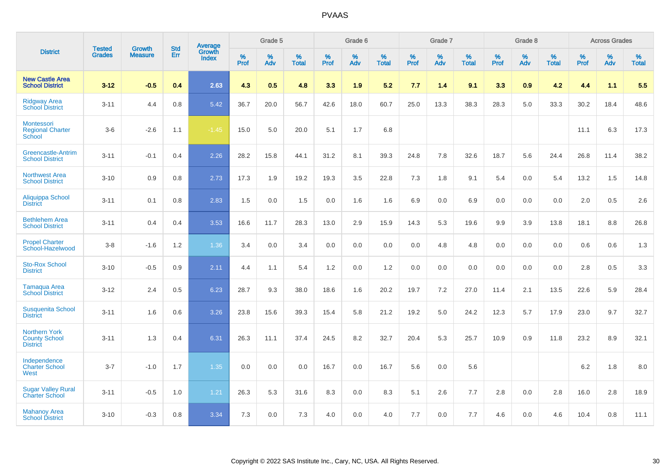|                                                                 | <b>Tested</b> | <b>Growth</b>  | <b>Std</b> | Average                |              | Grade 5  |                   |           | Grade 6  |                   |           | Grade 7  |                   |           | Grade 8  |                   |           | <b>Across Grades</b> |                   |
|-----------------------------------------------------------------|---------------|----------------|------------|------------------------|--------------|----------|-------------------|-----------|----------|-------------------|-----------|----------|-------------------|-----------|----------|-------------------|-----------|----------------------|-------------------|
| <b>District</b>                                                 | <b>Grades</b> | <b>Measure</b> | Err        | Growth<br><b>Index</b> | $\%$<br>Prof | %<br>Adv | %<br><b>Total</b> | %<br>Prof | %<br>Adv | %<br><b>Total</b> | %<br>Prof | %<br>Adv | %<br><b>Total</b> | %<br>Prof | %<br>Adv | %<br><b>Total</b> | %<br>Prof | %<br>Adv             | %<br><b>Total</b> |
| <b>New Castle Area</b><br><b>School District</b>                | $3 - 12$      | $-0.5$         | 0.4        | 2.63                   | 4.3          | 0.5      | 4.8               | 3.3       | 1.9      | 5.2               | 7.7       | 1.4      | 9.1               | 3.3       | 0.9      | 4.2               | 4.4       | 1.1                  | 5.5               |
| <b>Ridgway Area</b><br><b>School District</b>                   | $3 - 11$      | 4.4            | 0.8        | 5.42                   | 36.7         | 20.0     | 56.7              | 42.6      | 18.0     | 60.7              | 25.0      | 13.3     | 38.3              | 28.3      | 5.0      | 33.3              | 30.2      | 18.4                 | 48.6              |
| Montessori<br><b>Regional Charter</b><br>School                 | $3-6$         | $-2.6$         | 1.1        | $-1.45$                | 15.0         | 5.0      | 20.0              | 5.1       | 1.7      | 6.8               |           |          |                   |           |          |                   | 11.1      | 6.3                  | 17.3              |
| Greencastle-Antrim<br><b>School District</b>                    | $3 - 11$      | $-0.1$         | 0.4        | 2.26                   | 28.2         | 15.8     | 44.1              | 31.2      | 8.1      | 39.3              | 24.8      | 7.8      | 32.6              | 18.7      | 5.6      | 24.4              | 26.8      | 11.4                 | 38.2              |
| <b>Northwest Area</b><br><b>School District</b>                 | $3 - 10$      | 0.9            | 0.8        | 2.73                   | 17.3         | 1.9      | 19.2              | 19.3      | 3.5      | 22.8              | 7.3       | 1.8      | 9.1               | 5.4       | 0.0      | 5.4               | 13.2      | 1.5                  | 14.8              |
| Aliquippa School<br><b>District</b>                             | $3 - 11$      | 0.1            | 0.8        | 2.83                   | 1.5          | 0.0      | 1.5               | 0.0       | 1.6      | 1.6               | 6.9       | 0.0      | 6.9               | 0.0       | 0.0      | 0.0               | 2.0       | 0.5                  | 2.6               |
| <b>Bethlehem Area</b><br><b>School District</b>                 | $3 - 11$      | 0.4            | 0.4        | 3.53                   | 16.6         | 11.7     | 28.3              | 13.0      | 2.9      | 15.9              | 14.3      | 5.3      | 19.6              | 9.9       | 3.9      | 13.8              | 18.1      | 8.8                  | 26.8              |
| <b>Propel Charter</b><br>School-Hazelwood                       | $3 - 8$       | $-1.6$         | $1.2$      | 1.36                   | 3.4          | 0.0      | 3.4               | 0.0       | 0.0      | 0.0               | 0.0       | 4.8      | 4.8               | 0.0       | 0.0      | 0.0               | 0.6       | 0.6                  | 1.3               |
| <b>Sto-Rox School</b><br><b>District</b>                        | $3 - 10$      | $-0.5$         | 0.9        | 2.11                   | 4.4          | 1.1      | 5.4               | 1.2       | 0.0      | 1.2               | 0.0       | 0.0      | 0.0               | 0.0       | 0.0      | 0.0               | 2.8       | 0.5                  | 3.3               |
| Tamaqua Area<br><b>School District</b>                          | $3 - 12$      | 2.4            | 0.5        | 6.23                   | 28.7         | 9.3      | 38.0              | 18.6      | 1.6      | 20.2              | 19.7      | $7.2\,$  | 27.0              | 11.4      | 2.1      | 13.5              | 22.6      | 5.9                  | 28.4              |
| <b>Susquenita School</b><br><b>District</b>                     | $3 - 11$      | 1.6            | 0.6        | 3.26                   | 23.8         | 15.6     | 39.3              | 15.4      | 5.8      | 21.2              | 19.2      | 5.0      | 24.2              | 12.3      | 5.7      | 17.9              | 23.0      | 9.7                  | 32.7              |
| <b>Northern York</b><br><b>County School</b><br><b>District</b> | $3 - 11$      | 1.3            | 0.4        | 6.31                   | 26.3         | 11.1     | 37.4              | 24.5      | 8.2      | 32.7              | 20.4      | 5.3      | 25.7              | 10.9      | 0.9      | 11.8              | 23.2      | 8.9                  | 32.1              |
| Independence<br><b>Charter School</b><br>West                   | $3 - 7$       | $-1.0$         | 1.7        | 1.35                   | 0.0          | 0.0      | 0.0               | 16.7      | 0.0      | 16.7              | 5.6       | 0.0      | 5.6               |           |          |                   | $6.2\,$   | 1.8                  | $8.0\,$           |
| <b>Sugar Valley Rural</b><br><b>Charter School</b>              | $3 - 11$      | $-0.5$         | 1.0        | 1.21                   | 26.3         | 5.3      | 31.6              | 8.3       | 0.0      | 8.3               | 5.1       | 2.6      | 7.7               | 2.8       | 0.0      | 2.8               | 16.0      | 2.8                  | 18.9              |
| <b>Mahanoy Area</b><br><b>School District</b>                   | $3 - 10$      | $-0.3$         | 0.8        | 3.34                   | 7.3          | 0.0      | 7.3               | 4.0       | 0.0      | 4.0               | 7.7       | 0.0      | 7.7               | 4.6       | 0.0      | 4.6               | 10.4      | 0.8                  | 11.1              |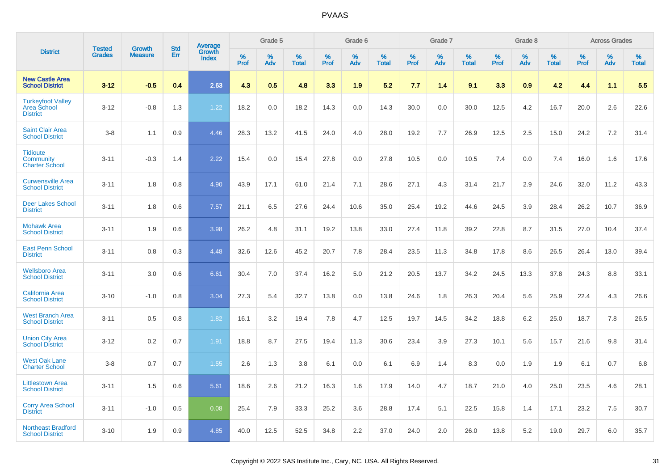|                                                                   |                                |                                 |                   |                                   |           | Grade 5  |                   |           | Grade 6  |                   |           | Grade 7  |                   |           | Grade 8  |                   |           | <b>Across Grades</b> |                   |
|-------------------------------------------------------------------|--------------------------------|---------------------------------|-------------------|-----------------------------------|-----------|----------|-------------------|-----------|----------|-------------------|-----------|----------|-------------------|-----------|----------|-------------------|-----------|----------------------|-------------------|
| <b>District</b>                                                   | <b>Tested</b><br><b>Grades</b> | <b>Growth</b><br><b>Measure</b> | <b>Std</b><br>Err | Average<br>Growth<br><b>Index</b> | %<br>Prof | %<br>Adv | %<br><b>Total</b> | %<br>Prof | %<br>Adv | %<br><b>Total</b> | %<br>Prof | %<br>Adv | %<br><b>Total</b> | %<br>Prof | %<br>Adv | %<br><b>Total</b> | %<br>Prof | %<br>Adv             | %<br><b>Total</b> |
| <b>New Castle Area</b><br><b>School District</b>                  | $3 - 12$                       | $-0.5$                          | 0.4               | 2.63                              | 4.3       | 0.5      | 4.8               | 3.3       | 1.9      | 5.2               | 7.7       | 1.4      | 9.1               | 3.3       | 0.9      | 4.2               | 4.4       | 1.1                  | 5.5               |
| <b>Turkeyfoot Valley</b><br><b>Area School</b><br><b>District</b> | $3 - 12$                       | $-0.8$                          | 1.3               | 1.22                              | 18.2      | 0.0      | 18.2              | 14.3      | 0.0      | 14.3              | 30.0      | 0.0      | 30.0              | 12.5      | 4.2      | 16.7              | 20.0      | 2.6                  | 22.6              |
| <b>Saint Clair Area</b><br><b>School District</b>                 | $3 - 8$                        | 1.1                             | 0.9               | 4.46                              | 28.3      | 13.2     | 41.5              | 24.0      | 4.0      | 28.0              | 19.2      | 7.7      | 26.9              | 12.5      | 2.5      | 15.0              | 24.2      | $7.2\,$              | 31.4              |
| <b>Tidioute</b><br>Community<br><b>Charter School</b>             | $3 - 11$                       | $-0.3$                          | 1.4               | 2.22                              | 15.4      | 0.0      | 15.4              | 27.8      | 0.0      | 27.8              | 10.5      | 0.0      | 10.5              | 7.4       | 0.0      | 7.4               | 16.0      | 1.6                  | 17.6              |
| <b>Curwensville Area</b><br><b>School District</b>                | $3 - 11$                       | 1.8                             | 0.8               | 4.90                              | 43.9      | 17.1     | 61.0              | 21.4      | 7.1      | 28.6              | 27.1      | 4.3      | 31.4              | 21.7      | 2.9      | 24.6              | 32.0      | 11.2                 | 43.3              |
| <b>Deer Lakes School</b><br><b>District</b>                       | $3 - 11$                       | 1.8                             | 0.6               | 7.57                              | 21.1      | 6.5      | 27.6              | 24.4      | 10.6     | 35.0              | 25.4      | 19.2     | 44.6              | 24.5      | 3.9      | 28.4              | 26.2      | 10.7                 | 36.9              |
| <b>Mohawk Area</b><br><b>School District</b>                      | $3 - 11$                       | 1.9                             | 0.6               | 3.98                              | 26.2      | 4.8      | 31.1              | 19.2      | 13.8     | 33.0              | 27.4      | 11.8     | 39.2              | 22.8      | 8.7      | 31.5              | 27.0      | 10.4                 | 37.4              |
| <b>East Penn School</b><br><b>District</b>                        | $3 - 11$                       | 0.8                             | 0.3               | 4.48                              | 32.6      | 12.6     | 45.2              | 20.7      | 7.8      | 28.4              | 23.5      | 11.3     | 34.8              | 17.8      | 8.6      | 26.5              | 26.4      | 13.0                 | 39.4              |
| <b>Wellsboro Area</b><br><b>School District</b>                   | $3 - 11$                       | 3.0                             | 0.6               | 6.61                              | 30.4      | 7.0      | 37.4              | 16.2      | 5.0      | 21.2              | 20.5      | 13.7     | 34.2              | 24.5      | 13.3     | 37.8              | 24.3      | 8.8                  | 33.1              |
| <b>California Area</b><br><b>School District</b>                  | $3 - 10$                       | $-1.0$                          | 0.8               | 3.04                              | 27.3      | 5.4      | 32.7              | 13.8      | 0.0      | 13.8              | 24.6      | 1.8      | 26.3              | 20.4      | 5.6      | 25.9              | 22.4      | 4.3                  | 26.6              |
| <b>West Branch Area</b><br><b>School District</b>                 | $3 - 11$                       | 0.5                             | 0.8               | 1.82                              | 16.1      | 3.2      | 19.4              | 7.8       | 4.7      | 12.5              | 19.7      | 14.5     | 34.2              | 18.8      | 6.2      | 25.0              | 18.7      | 7.8                  | 26.5              |
| <b>Union City Area</b><br><b>School District</b>                  | $3 - 12$                       | 0.2                             | 0.7               | 1.91                              | 18.8      | 8.7      | 27.5              | 19.4      | 11.3     | 30.6              | 23.4      | 3.9      | 27.3              | 10.1      | 5.6      | 15.7              | 21.6      | 9.8                  | 31.4              |
| <b>West Oak Lane</b><br><b>Charter School</b>                     | $3 - 8$                        | 0.7                             | 0.7               | 1.55                              | 2.6       | 1.3      | 3.8               | 6.1       | 0.0      | 6.1               | 6.9       | 1.4      | 8.3               | 0.0       | 1.9      | 1.9               | 6.1       | 0.7                  | 6.8               |
| <b>Littlestown Area</b><br><b>School District</b>                 | $3 - 11$                       | 1.5                             | 0.6               | 5.61                              | 18.6      | 2.6      | 21.2              | 16.3      | 1.6      | 17.9              | 14.0      | 4.7      | 18.7              | 21.0      | 4.0      | 25.0              | 23.5      | 4.6                  | 28.1              |
| <b>Corry Area School</b><br><b>District</b>                       | $3 - 11$                       | $-1.0$                          | 0.5               | 0.08                              | 25.4      | 7.9      | 33.3              | 25.2      | 3.6      | 28.8              | 17.4      | 5.1      | 22.5              | 15.8      | 1.4      | 17.1              | 23.2      | 7.5                  | 30.7              |
| <b>Northeast Bradford</b><br><b>School District</b>               | $3 - 10$                       | 1.9                             | 0.9               | 4.85                              | 40.0      | 12.5     | 52.5              | 34.8      | 2.2      | 37.0              | 24.0      | 2.0      | 26.0              | 13.8      | 5.2      | 19.0              | 29.7      | 6.0                  | 35.7              |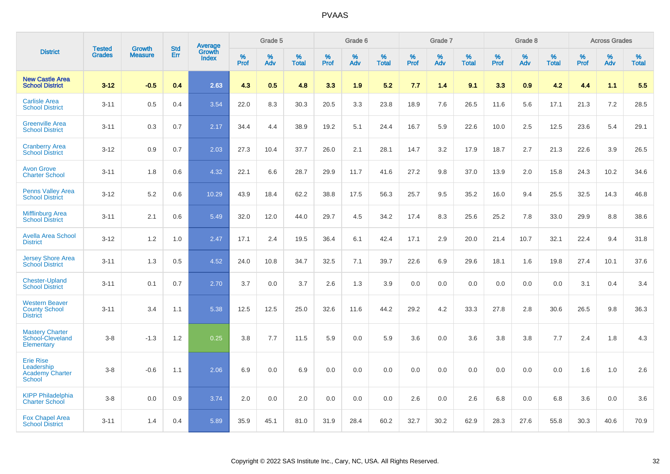|                                                                           |                                | <b>Growth</b>  | <b>Std</b> | <b>Average</b>         |              | Grade 5  |                   |           | Grade 6  |                   |              | Grade 7  |                   |              | Grade 8  |                   |              | <b>Across Grades</b> |                   |
|---------------------------------------------------------------------------|--------------------------------|----------------|------------|------------------------|--------------|----------|-------------------|-----------|----------|-------------------|--------------|----------|-------------------|--------------|----------|-------------------|--------------|----------------------|-------------------|
| <b>District</b>                                                           | <b>Tested</b><br><b>Grades</b> | <b>Measure</b> | <b>Err</b> | Growth<br><b>Index</b> | $\%$<br>Prof | %<br>Adv | %<br><b>Total</b> | %<br>Prof | %<br>Adv | %<br><b>Total</b> | $\%$<br>Prof | %<br>Adv | %<br><b>Total</b> | $\%$<br>Prof | %<br>Adv | %<br><b>Total</b> | $\%$<br>Prof | %<br>Adv             | %<br><b>Total</b> |
| <b>New Castle Area</b><br><b>School District</b>                          | $3 - 12$                       | $-0.5$         | 0.4        | 2.63                   | 4.3          | 0.5      | 4.8               | 3.3       | 1.9      | 5.2               | 7.7          | 1.4      | 9.1               | 3.3          | 0.9      | 4.2               | 4.4          | 1.1                  | 5.5               |
| <b>Carlisle Area</b><br><b>School District</b>                            | $3 - 11$                       | 0.5            | 0.4        | 3.54                   | 22.0         | 8.3      | 30.3              | 20.5      | 3.3      | 23.8              | 18.9         | 7.6      | 26.5              | 11.6         | 5.6      | 17.1              | 21.3         | 7.2                  | 28.5              |
| <b>Greenville Area</b><br><b>School District</b>                          | $3 - 11$                       | 0.3            | 0.7        | 2.17                   | 34.4         | 4.4      | 38.9              | 19.2      | 5.1      | 24.4              | 16.7         | 5.9      | 22.6              | 10.0         | 2.5      | 12.5              | 23.6         | 5.4                  | 29.1              |
| <b>Cranberry Area</b><br><b>School District</b>                           | $3 - 12$                       | 0.9            | 0.7        | 2.03                   | 27.3         | 10.4     | 37.7              | 26.0      | 2.1      | 28.1              | 14.7         | 3.2      | 17.9              | 18.7         | 2.7      | 21.3              | 22.6         | 3.9                  | 26.5              |
| <b>Avon Grove</b><br><b>Charter School</b>                                | $3 - 11$                       | 1.8            | 0.6        | 4.32                   | 22.1         | 6.6      | 28.7              | 29.9      | 11.7     | 41.6              | 27.2         | 9.8      | 37.0              | 13.9         | 2.0      | 15.8              | 24.3         | 10.2                 | 34.6              |
| <b>Penns Valley Area</b><br><b>School District</b>                        | $3 - 12$                       | 5.2            | 0.6        | 10.29                  | 43.9         | 18.4     | 62.2              | 38.8      | 17.5     | 56.3              | 25.7         | 9.5      | 35.2              | 16.0         | 9.4      | 25.5              | 32.5         | 14.3                 | 46.8              |
| <b>Mifflinburg Area</b><br><b>School District</b>                         | $3 - 11$                       | 2.1            | 0.6        | 5.49                   | 32.0         | 12.0     | 44.0              | 29.7      | 4.5      | 34.2              | 17.4         | 8.3      | 25.6              | 25.2         | 7.8      | 33.0              | 29.9         | 8.8                  | 38.6              |
| <b>Avella Area School</b><br><b>District</b>                              | $3 - 12$                       | 1.2            | 1.0        | 2.47                   | 17.1         | 2.4      | 19.5              | 36.4      | 6.1      | 42.4              | 17.1         | 2.9      | 20.0              | 21.4         | 10.7     | 32.1              | 22.4         | 9.4                  | 31.8              |
| <b>Jersey Shore Area</b><br><b>School District</b>                        | $3 - 11$                       | 1.3            | 0.5        | 4.52                   | 24.0         | 10.8     | 34.7              | 32.5      | 7.1      | 39.7              | 22.6         | 6.9      | 29.6              | 18.1         | 1.6      | 19.8              | 27.4         | 10.1                 | 37.6              |
| <b>Chester-Upland</b><br><b>School District</b>                           | $3 - 11$                       | 0.1            | 0.7        | 2.70                   | 3.7          | 0.0      | 3.7               | 2.6       | 1.3      | 3.9               | 0.0          | 0.0      | 0.0               | 0.0          | 0.0      | 0.0               | 3.1          | 0.4                  | 3.4               |
| <b>Western Beaver</b><br><b>County School</b><br><b>District</b>          | $3 - 11$                       | 3.4            | 1.1        | 5.38                   | 12.5         | 12.5     | 25.0              | 32.6      | 11.6     | 44.2              | 29.2         | 4.2      | 33.3              | 27.8         | 2.8      | 30.6              | 26.5         | 9.8                  | 36.3              |
| <b>Mastery Charter</b><br>School-Cleveland<br>Elementary                  | $3 - 8$                        | $-1.3$         | 1.2        | 0.25                   | 3.8          | 7.7      | 11.5              | 5.9       | 0.0      | 5.9               | 3.6          | 0.0      | 3.6               | 3.8          | 3.8      | 7.7               | 2.4          | 1.8                  | 4.3               |
| <b>Erie Rise</b><br>Leadership<br><b>Academy Charter</b><br><b>School</b> | $3 - 8$                        | $-0.6$         | 1.1        | 2.06                   | 6.9          | 0.0      | 6.9               | 0.0       | 0.0      | 0.0               | 0.0          | 0.0      | 0.0               | 0.0          | 0.0      | 0.0               | 1.6          | 1.0                  | 2.6               |
| <b>KIPP Philadelphia</b><br><b>Charter School</b>                         | $3 - 8$                        | 0.0            | 0.9        | 3.74                   | 2.0          | 0.0      | 2.0               | 0.0       | 0.0      | 0.0               | 2.6          | 0.0      | 2.6               | 6.8          | 0.0      | 6.8               | 3.6          | 0.0                  | 3.6               |
| <b>Fox Chapel Area</b><br><b>School District</b>                          | $3 - 11$                       | 1.4            | 0.4        | 5.89                   | 35.9         | 45.1     | 81.0              | 31.9      | 28.4     | 60.2              | 32.7         | 30.2     | 62.9              | 28.3         | 27.6     | 55.8              | 30.3         | 40.6                 | 70.9              |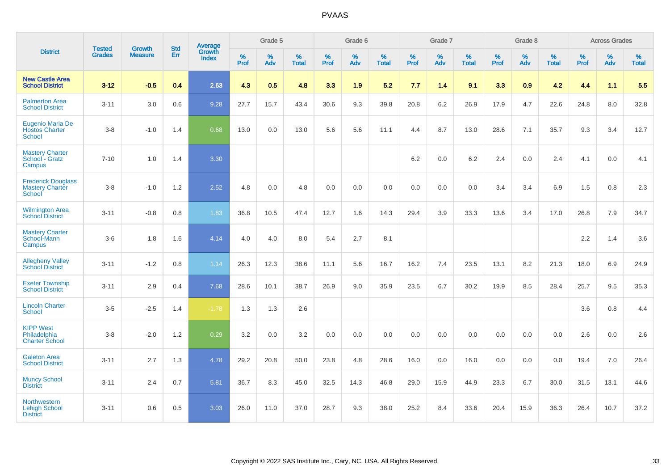|                                                               | <b>Tested</b> | <b>Growth</b>  | <b>Std</b> | Average                |              | Grade 5  |                   |              | Grade 6  |                   |              | Grade 7  |                   |              | Grade 8  |                   |              | <b>Across Grades</b> |                   |
|---------------------------------------------------------------|---------------|----------------|------------|------------------------|--------------|----------|-------------------|--------------|----------|-------------------|--------------|----------|-------------------|--------------|----------|-------------------|--------------|----------------------|-------------------|
| <b>District</b>                                               | <b>Grades</b> | <b>Measure</b> | Err        | Growth<br><b>Index</b> | $\%$<br>Prof | %<br>Adv | %<br><b>Total</b> | $\%$<br>Prof | %<br>Adv | %<br><b>Total</b> | $\%$<br>Prof | %<br>Adv | %<br><b>Total</b> | $\%$<br>Prof | %<br>Adv | %<br><b>Total</b> | $\%$<br>Prof | %<br>Adv             | %<br><b>Total</b> |
| <b>New Castle Area</b><br><b>School District</b>              | $3 - 12$      | $-0.5$         | 0.4        | 2.63                   | 4.3          | 0.5      | 4.8               | 3.3          | 1.9      | 5.2               | 7.7          | 1.4      | 9.1               | 3.3          | 0.9      | 4.2               | 4.4          | 1.1                  | 5.5               |
| <b>Palmerton Area</b><br><b>School District</b>               | $3 - 11$      | 3.0            | 0.6        | 9.28                   | 27.7         | 15.7     | 43.4              | 30.6         | 9.3      | 39.8              | 20.8         | 6.2      | 26.9              | 17.9         | 4.7      | 22.6              | 24.8         | 8.0                  | 32.8              |
| Eugenio Maria De<br><b>Hostos Charter</b><br><b>School</b>    | $3 - 8$       | $-1.0$         | 1.4        | 0.68                   | 13.0         | 0.0      | 13.0              | 5.6          | 5.6      | 11.1              | 4.4          | 8.7      | 13.0              | 28.6         | 7.1      | 35.7              | 9.3          | 3.4                  | 12.7              |
| <b>Mastery Charter</b><br>School - Gratz<br>Campus            | $7 - 10$      | 1.0            | 1.4        | 3.30                   |              |          |                   |              |          |                   | 6.2          | 0.0      | 6.2               | 2.4          | 0.0      | 2.4               | 4.1          | 0.0                  | 4.1               |
| <b>Frederick Douglass</b><br><b>Mastery Charter</b><br>School | $3 - 8$       | $-1.0$         | 1.2        | 2.52                   | 4.8          | 0.0      | 4.8               | 0.0          | 0.0      | 0.0               | 0.0          | 0.0      | 0.0               | 3.4          | 3.4      | 6.9               | 1.5          | 0.8                  | 2.3               |
| <b>Wilmington Area</b><br><b>School District</b>              | $3 - 11$      | $-0.8$         | 0.8        | 1.83                   | 36.8         | 10.5     | 47.4              | 12.7         | 1.6      | 14.3              | 29.4         | 3.9      | 33.3              | 13.6         | 3.4      | 17.0              | 26.8         | 7.9                  | 34.7              |
| <b>Mastery Charter</b><br>School-Mann<br>Campus               | $3-6$         | 1.8            | 1.6        | 4.14                   | 4.0          | 4.0      | 8.0               | 5.4          | 2.7      | 8.1               |              |          |                   |              |          |                   | 2.2          | 1.4                  | 3.6               |
| <b>Allegheny Valley</b><br><b>School District</b>             | $3 - 11$      | $-1.2$         | 0.8        | 1.14                   | 26.3         | 12.3     | 38.6              | 11.1         | 5.6      | 16.7              | 16.2         | 7.4      | 23.5              | 13.1         | 8.2      | 21.3              | 18.0         | 6.9                  | 24.9              |
| <b>Exeter Township</b><br><b>School District</b>              | $3 - 11$      | 2.9            | 0.4        | 7.68                   | 28.6         | 10.1     | 38.7              | 26.9         | 9.0      | 35.9              | 23.5         | 6.7      | 30.2              | 19.9         | 8.5      | 28.4              | 25.7         | 9.5                  | 35.3              |
| <b>Lincoln Charter</b><br><b>School</b>                       | $3-5$         | $-2.5$         | 1.4        | $-1.78$                | 1.3          | 1.3      | 2.6               |              |          |                   |              |          |                   |              |          |                   | 3.6          | 0.8                  | 4.4               |
| <b>KIPP West</b><br>Philadelphia<br><b>Charter School</b>     | $3 - 8$       | $-2.0$         | $1.2\,$    | 0.29                   | 3.2          | $0.0\,$  | 3.2               | $0.0\,$      | 0.0      | 0.0               | $0.0\,$      | 0.0      | 0.0               | 0.0          | 0.0      | 0.0               | 2.6          | $0.0\,$              | 2.6               |
| <b>Galeton Area</b><br><b>School District</b>                 | $3 - 11$      | 2.7            | 1.3        | 4.78                   | 29.2         | 20.8     | 50.0              | 23.8         | 4.8      | 28.6              | 16.0         | 0.0      | 16.0              | 0.0          | 0.0      | 0.0               | 19.4         | 7.0                  | 26.4              |
| <b>Muncy School</b><br><b>District</b>                        | $3 - 11$      | 2.4            | 0.7        | 5.81                   | 36.7         | 8.3      | 45.0              | 32.5         | 14.3     | 46.8              | 29.0         | 15.9     | 44.9              | 23.3         | 6.7      | 30.0              | 31.5         | 13.1                 | 44.6              |
| Northwestern<br><b>Lehigh School</b><br><b>District</b>       | $3 - 11$      | 0.6            | 0.5        | 3.03                   | 26.0         | 11.0     | 37.0              | 28.7         | 9.3      | 38.0              | 25.2         | 8.4      | 33.6              | 20.4         | 15.9     | 36.3              | 26.4         | 10.7                 | 37.2              |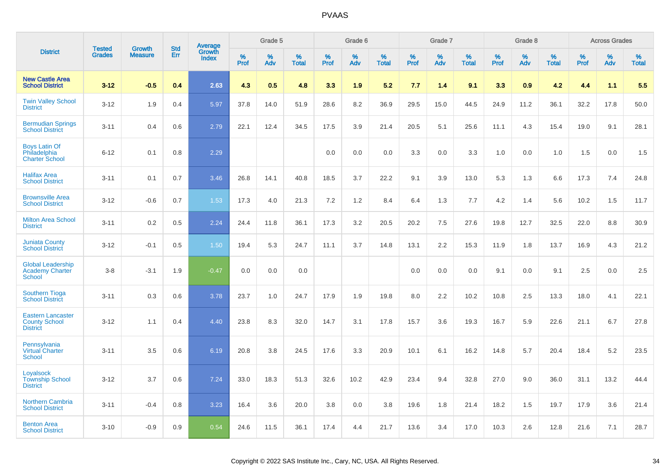|                                                                     | <b>Tested</b> | <b>Growth</b>  | <b>Std</b> |                                   |              | Grade 5  |                   |           | Grade 6  |                   |           | Grade 7  |                   |           | Grade 8  |                   |              | <b>Across Grades</b> |                   |
|---------------------------------------------------------------------|---------------|----------------|------------|-----------------------------------|--------------|----------|-------------------|-----------|----------|-------------------|-----------|----------|-------------------|-----------|----------|-------------------|--------------|----------------------|-------------------|
| <b>District</b>                                                     | <b>Grades</b> | <b>Measure</b> | <b>Err</b> | Average<br>Growth<br><b>Index</b> | $\%$<br>Prof | %<br>Adv | %<br><b>Total</b> | %<br>Prof | %<br>Adv | %<br><b>Total</b> | %<br>Prof | %<br>Adv | %<br><b>Total</b> | %<br>Prof | %<br>Adv | %<br><b>Total</b> | $\%$<br>Prof | %<br>Adv             | %<br><b>Total</b> |
| <b>New Castle Area</b><br><b>School District</b>                    | $3 - 12$      | $-0.5$         | 0.4        | 2.63                              | 4.3          | 0.5      | 4.8               | 3.3       | 1.9      | 5.2               | 7.7       | 1.4      | 9.1               | 3.3       | 0.9      | 4.2               | 4.4          | 1.1                  | 5.5               |
| <b>Twin Valley School</b><br><b>District</b>                        | $3 - 12$      | 1.9            | 0.4        | 5.97                              | 37.8         | 14.0     | 51.9              | 28.6      | 8.2      | 36.9              | 29.5      | 15.0     | 44.5              | 24.9      | 11.2     | 36.1              | 32.2         | 17.8                 | 50.0              |
| <b>Bermudian Springs</b><br><b>School District</b>                  | $3 - 11$      | 0.4            | 0.6        | 2.79                              | 22.1         | 12.4     | 34.5              | 17.5      | 3.9      | 21.4              | 20.5      | 5.1      | 25.6              | 11.1      | 4.3      | 15.4              | 19.0         | 9.1                  | 28.1              |
| <b>Boys Latin Of</b><br>Philadelphia<br><b>Charter School</b>       | $6 - 12$      | 0.1            | 0.8        | 2.29                              |              |          |                   | 0.0       | 0.0      | 0.0               | 3.3       | 0.0      | 3.3               | 1.0       | 0.0      | 1.0               | 1.5          | 0.0                  | 1.5               |
| <b>Halifax Area</b><br><b>School District</b>                       | $3 - 11$      | 0.1            | 0.7        | 3.46                              | 26.8         | 14.1     | 40.8              | 18.5      | 3.7      | 22.2              | 9.1       | 3.9      | 13.0              | 5.3       | 1.3      | 6.6               | 17.3         | 7.4                  | 24.8              |
| <b>Brownsville Area</b><br><b>School District</b>                   | $3 - 12$      | $-0.6$         | 0.7        | 1.53                              | 17.3         | 4.0      | 21.3              | 7.2       | 1.2      | 8.4               | 6.4       | 1.3      | 7.7               | 4.2       | 1.4      | 5.6               | 10.2         | 1.5                  | 11.7              |
| <b>Milton Area School</b><br><b>District</b>                        | $3 - 11$      | 0.2            | 0.5        | 2.24                              | 24.4         | 11.8     | 36.1              | 17.3      | 3.2      | 20.5              | 20.2      | 7.5      | 27.6              | 19.8      | 12.7     | 32.5              | 22.0         | 8.8                  | 30.9              |
| <b>Juniata County</b><br><b>School District</b>                     | $3 - 12$      | $-0.1$         | 0.5        | 1.50                              | 19.4         | 5.3      | 24.7              | 11.1      | 3.7      | 14.8              | 13.1      | 2.2      | 15.3              | 11.9      | 1.8      | 13.7              | 16.9         | 4.3                  | 21.2              |
| <b>Global Leadership</b><br>Academy Charter<br>School               | $3 - 8$       | $-3.1$         | 1.9        | $-0.47$                           | 0.0          | 0.0      | 0.0               |           |          |                   | 0.0       | 0.0      | 0.0               | 9.1       | 0.0      | 9.1               | 2.5          | 0.0                  | 2.5               |
| <b>Southern Tioga</b><br><b>School District</b>                     | $3 - 11$      | 0.3            | 0.6        | 3.78                              | 23.7         | 1.0      | 24.7              | 17.9      | 1.9      | 19.8              | 8.0       | 2.2      | 10.2              | 10.8      | 2.5      | 13.3              | 18.0         | 4.1                  | 22.1              |
| <b>Eastern Lancaster</b><br><b>County School</b><br><b>District</b> | $3 - 12$      | 1.1            | 0.4        | 4.40                              | 23.8         | 8.3      | 32.0              | 14.7      | 3.1      | 17.8              | 15.7      | 3.6      | 19.3              | 16.7      | 5.9      | 22.6              | 21.1         | 6.7                  | 27.8              |
| Pennsylvania<br><b>Virtual Charter</b><br><b>School</b>             | $3 - 11$      | 3.5            | 0.6        | 6.19                              | 20.8         | 3.8      | 24.5              | 17.6      | 3.3      | 20.9              | 10.1      | 6.1      | 16.2              | 14.8      | 5.7      | 20.4              | 18.4         | 5.2                  | 23.5              |
| Loyalsock<br><b>Township School</b><br><b>District</b>              | $3 - 12$      | 3.7            | 0.6        | 7.24                              | 33.0         | 18.3     | 51.3              | 32.6      | 10.2     | 42.9              | 23.4      | 9.4      | 32.8              | 27.0      | 9.0      | 36.0              | 31.1         | 13.2                 | 44.4              |
| <b>Northern Cambria</b><br><b>School District</b>                   | $3 - 11$      | $-0.4$         | 0.8        | 3.23                              | 16.4         | 3.6      | 20.0              | 3.8       | 0.0      | 3.8               | 19.6      | 1.8      | 21.4              | 18.2      | 1.5      | 19.7              | 17.9         | 3.6                  | 21.4              |
| <b>Benton Area</b><br><b>School District</b>                        | $3 - 10$      | $-0.9$         | 0.9        | 0.54                              | 24.6         | 11.5     | 36.1              | 17.4      | 4.4      | 21.7              | 13.6      | 3.4      | 17.0              | 10.3      | 2.6      | 12.8              | 21.6         | 7.1                  | 28.7              |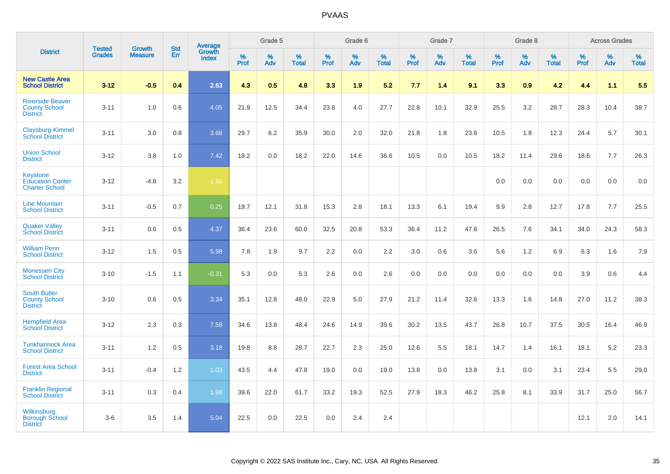|                                                                     |                                | <b>Growth</b>  | <b>Std</b> | <b>Average</b>         |                  | Grade 5  |                   |                  | Grade 6  |                   |                  | Grade 7  |                   |                  | Grade 8  |                   |                  | <b>Across Grades</b> |                   |
|---------------------------------------------------------------------|--------------------------------|----------------|------------|------------------------|------------------|----------|-------------------|------------------|----------|-------------------|------------------|----------|-------------------|------------------|----------|-------------------|------------------|----------------------|-------------------|
| <b>District</b>                                                     | <b>Tested</b><br><b>Grades</b> | <b>Measure</b> | Err        | <b>Growth</b><br>Index | %<br><b>Prof</b> | %<br>Adv | %<br><b>Total</b> | %<br><b>Prof</b> | %<br>Adv | %<br><b>Total</b> | %<br><b>Prof</b> | %<br>Adv | %<br><b>Total</b> | %<br><b>Prof</b> | %<br>Adv | %<br><b>Total</b> | %<br><b>Prof</b> | %<br>Adv             | %<br><b>Total</b> |
| <b>New Castle Area</b><br><b>School District</b>                    | $3 - 12$                       | $-0.5$         | 0.4        | 2.63                   | 4.3              | 0.5      | 4.8               | 3.3              | 1.9      | 5.2               | 7.7              | 1.4      | 9.1               | 3.3              | 0.9      | 4.2               | 4.4              | 1.1                  | 5.5               |
| <b>Riverside Beaver</b><br><b>County School</b><br><b>District</b>  | $3 - 11$                       | 1.0            | 0.6        | 4.05                   | 21.9             | 12.5     | 34.4              | 23.8             | 4.0      | 27.7              | 22.8             | 10.1     | 32.9              | 25.5             | 3.2      | 28.7              | 28.3             | 10.4                 | 38.7              |
| Claysburg-Kimmel<br><b>School District</b>                          | $3 - 11$                       | 3.0            | 0.8        | 3.68                   | 29.7             | 6.2      | 35.9              | 30.0             | 2.0      | 32.0              | 21.8             | 1.8      | 23.6              | 10.5             | 1.8      | 12.3              | 24.4             | 5.7                  | 30.1              |
| <b>Union School</b><br><b>District</b>                              | $3 - 12$                       | 3.8            | 1.0        | 7.42                   | 18.2             | 0.0      | 18.2              | 22.0             | 14.6     | 36.6              | 10.5             | 0.0      | 10.5              | 18.2             | 11.4     | 29.6              | 18.6             | 7.7                  | 26.3              |
| <b>Keystone</b><br><b>Education Center</b><br><b>Charter School</b> | $3 - 12$                       | $-4.8$         | 3.2        | $-1.50$                |                  |          |                   |                  |          |                   |                  |          |                   | 0.0              | 0.0      | 0.0               | 0.0              | 0.0                  | 0.0               |
| <b>Line Mountain</b><br><b>School District</b>                      | $3 - 11$                       | $-0.5$         | 0.7        | 0.25                   | 19.7             | 12.1     | 31.8              | 15.3             | 2.8      | 18.1              | 13.3             | 6.1      | 19.4              | 9.9              | 2.8      | 12.7              | 17.8             | 7.7                  | 25.5              |
| <b>Quaker Valley</b><br><b>School District</b>                      | $3 - 11$                       | 0.6            | 0.5        | 4.37                   | 36.4             | 23.6     | 60.0              | 32.5             | 20.8     | 53.3              | 36.4             | 11.2     | 47.6              | 26.5             | 7.6      | 34.1              | 34.0             | 24.3                 | 58.3              |
| <b>William Penn</b><br><b>School District</b>                       | $3 - 12$                       | 1.5            | 0.5        | 5.98                   | 7.8              | 1.9      | 9.7               | 2.2              | 0.0      | 2.2               | 3.0              | 0.6      | 3.6               | 5.6              | 1.2      | 6.9               | 6.3              | 1.6                  | 7.9               |
| <b>Monessen City</b><br><b>School District</b>                      | $3 - 10$                       | $-1.5$         | 1.1        | $-0.31$                | 5.3              | 0.0      | 5.3               | 2.6              | 0.0      | 2.6               | 0.0              | 0.0      | 0.0               | 0.0              | 0.0      | 0.0               | 3.9              | 0.6                  | 4.4               |
| <b>South Butler</b><br><b>County School</b><br><b>District</b>      | $3 - 10$                       | 0.6            | 0.5        | 3.34                   | 35.1             | 12.8     | 48.0              | 22.9             | 5.0      | 27.9              | 21.2             | 11.4     | 32.6              | 13.3             | 1.6      | 14.8              | 27.0             | 11.2                 | 38.3              |
| <b>Hempfield Area</b><br><b>School District</b>                     | $3 - 12$                       | 2.3            | 0.3        | 7.58                   | 34.6             | 13.8     | 48.4              | 24.6             | 14.9     | 39.6              | 30.2             | 13.5     | 43.7              | 26.8             | 10.7     | 37.5              | 30.5             | 16.4                 | 46.9              |
| <b>Tunkhannock Area</b><br><b>School District</b>                   | $3 - 11$                       | 1.2            | 0.5        | 3.18                   | 19.8             | 8.8      | 28.7              | 22.7             | 2.3      | 25.0              | 12.6             | 5.5      | 18.1              | 14.7             | 1.4      | 16.1              | 18.1             | 5.2                  | 23.3              |
| <b>Forest Area School</b><br><b>District</b>                        | $3 - 11$                       | $-0.4$         | 1.2        | 1.03                   | 43.5             | 4.4      | 47.8              | 19.0             | 0.0      | 19.0              | 13.8             | 0.0      | 13.8              | 3.1              | 0.0      | 3.1               | 23.4             | 5.5                  | 29.0              |
| <b>Franklin Regional</b><br><b>School District</b>                  | $3 - 11$                       | 0.3            | 0.4        | 1.98                   | 39.6             | 22.0     | 61.7              | 33.2             | 19.3     | 52.5              | 27.9             | 18.3     | 46.2              | 25.8             | 8.1      | 33.9              | 31.7             | 25.0                 | 56.7              |
| <b>Wilkinsburg</b><br><b>Borough School</b><br><b>District</b>      | $3-6$                          | 3.5            | 1.4        | 5.04                   | 22.5             | 0.0      | 22.5              | 0.0              | 2.4      | 2.4               |                  |          |                   |                  |          |                   | 12.1             | 2.0                  | 14.1              |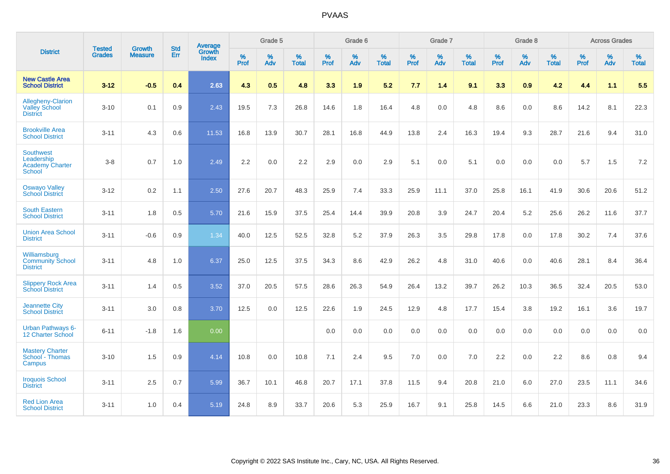|                                                                    | <b>Tested</b> | <b>Growth</b>  | <b>Std</b> | Average                |                     | Grade 5  |                   |                     | Grade 6  |                   |              | Grade 7  |                   |                     | Grade 8  |                   |                     | <b>Across Grades</b> |                   |
|--------------------------------------------------------------------|---------------|----------------|------------|------------------------|---------------------|----------|-------------------|---------------------|----------|-------------------|--------------|----------|-------------------|---------------------|----------|-------------------|---------------------|----------------------|-------------------|
| <b>District</b>                                                    | <b>Grades</b> | <b>Measure</b> | <b>Err</b> | Growth<br><b>Index</b> | $\%$<br><b>Prof</b> | %<br>Adv | %<br><b>Total</b> | $\%$<br><b>Prof</b> | %<br>Adv | %<br><b>Total</b> | $\%$<br>Prof | %<br>Adv | %<br><b>Total</b> | $\%$<br><b>Prof</b> | %<br>Adv | %<br><b>Total</b> | $\%$<br><b>Prof</b> | %<br>Adv             | %<br><b>Total</b> |
| <b>New Castle Area</b><br><b>School District</b>                   | $3 - 12$      | $-0.5$         | 0.4        | 2.63                   | 4.3                 | 0.5      | 4.8               | 3.3                 | 1.9      | 5.2               | 7.7          | 1.4      | 9.1               | 3.3                 | 0.9      | 4.2               | 4.4                 | 1.1                  | 5.5               |
| Allegheny-Clarion<br><b>Valley School</b><br><b>District</b>       | $3 - 10$      | 0.1            | 0.9        | 2.43                   | 19.5                | 7.3      | 26.8              | 14.6                | 1.8      | 16.4              | 4.8          | 0.0      | 4.8               | 8.6                 | 0.0      | 8.6               | 14.2                | 8.1                  | 22.3              |
| <b>Brookville Area</b><br><b>School District</b>                   | $3 - 11$      | 4.3            | 0.6        | 11.53                  | 16.8                | 13.9     | 30.7              | 28.1                | 16.8     | 44.9              | 13.8         | 2.4      | 16.3              | 19.4                | 9.3      | 28.7              | 21.6                | 9.4                  | 31.0              |
| <b>Southwest</b><br>Leadership<br><b>Academy Charter</b><br>School | $3 - 8$       | 0.7            | 1.0        | 2.49                   | 2.2                 | 0.0      | 2.2               | 2.9                 | 0.0      | 2.9               | 5.1          | 0.0      | 5.1               | 0.0                 | 0.0      | 0.0               | 5.7                 | 1.5                  | 7.2               |
| <b>Oswayo Valley</b><br><b>School District</b>                     | $3 - 12$      | 0.2            | 1.1        | 2.50                   | 27.6                | 20.7     | 48.3              | 25.9                | 7.4      | 33.3              | 25.9         | 11.1     | 37.0              | 25.8                | 16.1     | 41.9              | 30.6                | 20.6                 | 51.2              |
| <b>South Eastern</b><br><b>School District</b>                     | $3 - 11$      | 1.8            | 0.5        | 5.70                   | 21.6                | 15.9     | 37.5              | 25.4                | 14.4     | 39.9              | 20.8         | 3.9      | 24.7              | 20.4                | 5.2      | 25.6              | 26.2                | 11.6                 | 37.7              |
| <b>Union Area School</b><br><b>District</b>                        | $3 - 11$      | $-0.6$         | 0.9        | 1.34                   | 40.0                | 12.5     | 52.5              | 32.8                | 5.2      | 37.9              | 26.3         | 3.5      | 29.8              | 17.8                | 0.0      | 17.8              | 30.2                | 7.4                  | 37.6              |
| Williamsburg<br><b>Community School</b><br><b>District</b>         | $3 - 11$      | 4.8            | 1.0        | 6.37                   | 25.0                | 12.5     | 37.5              | 34.3                | 8.6      | 42.9              | 26.2         | 4.8      | 31.0              | 40.6                | 0.0      | 40.6              | 28.1                | 8.4                  | 36.4              |
| <b>Slippery Rock Area</b><br><b>School District</b>                | $3 - 11$      | 1.4            | 0.5        | 3.52                   | 37.0                | 20.5     | 57.5              | 28.6                | 26.3     | 54.9              | 26.4         | 13.2     | 39.7              | 26.2                | 10.3     | 36.5              | 32.4                | 20.5                 | 53.0              |
| <b>Jeannette City</b><br><b>School District</b>                    | $3 - 11$      | 3.0            | 0.8        | 3.70                   | 12.5                | 0.0      | 12.5              | 22.6                | 1.9      | 24.5              | 12.9         | 4.8      | 17.7              | 15.4                | 3.8      | 19.2              | 16.1                | 3.6                  | 19.7              |
| <b>Urban Pathways 6-</b><br>12 Charter School                      | $6 - 11$      | $-1.8$         | 1.6        | 0.00                   |                     |          |                   | 0.0                 | 0.0      | 0.0               | 0.0          | 0.0      | 0.0               | 0.0                 | 0.0      | 0.0               | 0.0                 | 0.0                  | 0.0               |
| <b>Mastery Charter</b><br>School - Thomas<br>Campus                | $3 - 10$      | 1.5            | 0.9        | 4.14                   | 10.8                | 0.0      | 10.8              | 7.1                 | 2.4      | 9.5               | 7.0          | $0.0\,$  | 7.0               | 2.2                 | $0.0\,$  | 2.2               | 8.6                 | $0.8\,$              | 9.4               |
| <b>Iroquois School</b><br><b>District</b>                          | $3 - 11$      | 2.5            | 0.7        | 5.99                   | 36.7                | 10.1     | 46.8              | 20.7                | 17.1     | 37.8              | 11.5         | 9.4      | 20.8              | 21.0                | 6.0      | 27.0              | 23.5                | 11.1                 | 34.6              |
| <b>Red Lion Area</b><br><b>School District</b>                     | $3 - 11$      | 1.0            | 0.4        | 5.19                   | 24.8                | 8.9      | 33.7              | 20.6                | 5.3      | 25.9              | 16.7         | 9.1      | 25.8              | 14.5                | 6.6      | 21.0              | 23.3                | 8.6                  | 31.9              |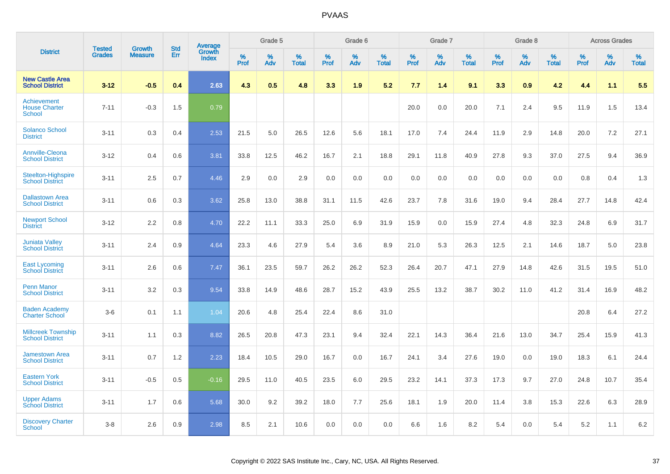|                                                      |                                |                                 | <b>Std</b> | Average                |           | Grade 5  |                      |                  | Grade 6  |                   |           | Grade 7  |                   |           | Grade 8  |                   |           | <b>Across Grades</b> |                   |
|------------------------------------------------------|--------------------------------|---------------------------------|------------|------------------------|-----------|----------|----------------------|------------------|----------|-------------------|-----------|----------|-------------------|-----------|----------|-------------------|-----------|----------------------|-------------------|
| <b>District</b>                                      | <b>Tested</b><br><b>Grades</b> | <b>Growth</b><br><b>Measure</b> | Err        | Growth<br><b>Index</b> | %<br>Prof | %<br>Adv | $\%$<br><b>Total</b> | %<br><b>Prof</b> | %<br>Adv | %<br><b>Total</b> | %<br>Prof | %<br>Adv | %<br><b>Total</b> | %<br>Prof | %<br>Adv | %<br><b>Total</b> | %<br>Prof | %<br>Adv             | %<br><b>Total</b> |
| <b>New Castle Area</b><br><b>School District</b>     | $3 - 12$                       | $-0.5$                          | 0.4        | 2.63                   | 4.3       | 0.5      | 4.8                  | 3.3              | 1.9      | 5.2               | 7.7       | 1.4      | 9.1               | 3.3       | 0.9      | 4.2               | 4.4       | 1.1                  | 5.5               |
| Achievement<br><b>House Charter</b><br><b>School</b> | $7 - 11$                       | $-0.3$                          | 1.5        | 0.79                   |           |          |                      |                  |          |                   | 20.0      | 0.0      | 20.0              | 7.1       | 2.4      | 9.5               | 11.9      | 1.5                  | 13.4              |
| <b>Solanco School</b><br><b>District</b>             | $3 - 11$                       | 0.3                             | 0.4        | 2.53                   | 21.5      | 5.0      | 26.5                 | 12.6             | 5.6      | 18.1              | 17.0      | 7.4      | 24.4              | 11.9      | 2.9      | 14.8              | 20.0      | 7.2                  | 27.1              |
| <b>Annville-Cleona</b><br><b>School District</b>     | $3 - 12$                       | 0.4                             | 0.6        | 3.81                   | 33.8      | 12.5     | 46.2                 | 16.7             | 2.1      | 18.8              | 29.1      | 11.8     | 40.9              | 27.8      | 9.3      | 37.0              | 27.5      | 9.4                  | 36.9              |
| <b>Steelton-Highspire</b><br><b>School District</b>  | $3 - 11$                       | 2.5                             | 0.7        | 4.46                   | 2.9       | 0.0      | 2.9                  | 0.0              | 0.0      | 0.0               | 0.0       | 0.0      | 0.0               | 0.0       | 0.0      | 0.0               | 0.8       | 0.4                  | 1.3               |
| <b>Dallastown Area</b><br><b>School District</b>     | $3 - 11$                       | 0.6                             | 0.3        | 3.62                   | 25.8      | 13.0     | 38.8                 | 31.1             | 11.5     | 42.6              | 23.7      | 7.8      | 31.6              | 19.0      | 9.4      | 28.4              | 27.7      | 14.8                 | 42.4              |
| <b>Newport School</b><br><b>District</b>             | $3 - 12$                       | 2.2                             | 0.8        | 4.70                   | 22.2      | 11.1     | 33.3                 | 25.0             | 6.9      | 31.9              | 15.9      | 0.0      | 15.9              | 27.4      | 4.8      | 32.3              | 24.8      | 6.9                  | 31.7              |
| <b>Juniata Valley</b><br><b>School District</b>      | $3 - 11$                       | 2.4                             | 0.9        | 4.64                   | 23.3      | 4.6      | 27.9                 | 5.4              | 3.6      | 8.9               | 21.0      | 5.3      | 26.3              | 12.5      | 2.1      | 14.6              | 18.7      | 5.0                  | 23.8              |
| <b>East Lycoming</b><br><b>School District</b>       | $3 - 11$                       | 2.6                             | 0.6        | 7.47                   | 36.1      | 23.5     | 59.7                 | 26.2             | 26.2     | 52.3              | 26.4      | 20.7     | 47.1              | 27.9      | 14.8     | 42.6              | 31.5      | 19.5                 | 51.0              |
| <b>Penn Manor</b><br><b>School District</b>          | $3 - 11$                       | 3.2                             | 0.3        | 9.54                   | 33.8      | 14.9     | 48.6                 | 28.7             | 15.2     | 43.9              | 25.5      | 13.2     | 38.7              | 30.2      | 11.0     | 41.2              | 31.4      | 16.9                 | 48.2              |
| <b>Baden Academy</b><br><b>Charter School</b>        | $3-6$                          | 0.1                             | 1.1        | 1.04                   | 20.6      | 4.8      | 25.4                 | 22.4             | 8.6      | 31.0              |           |          |                   |           |          |                   | 20.8      | 6.4                  | 27.2              |
| <b>Millcreek Township</b><br><b>School District</b>  | $3 - 11$                       | 1.1                             | 0.3        | 8.82                   | 26.5      | 20.8     | 47.3                 | 23.1             | 9.4      | 32.4              | 22.1      | 14.3     | 36.4              | 21.6      | 13.0     | 34.7              | 25.4      | 15.9                 | 41.3              |
| <b>Jamestown Area</b><br><b>School District</b>      | $3 - 11$                       | 0.7                             | 1.2        | 2.23                   | 18.4      | 10.5     | 29.0                 | 16.7             | 0.0      | 16.7              | 24.1      | 3.4      | 27.6              | 19.0      | 0.0      | 19.0              | 18.3      | 6.1                  | 24.4              |
| <b>Eastern York</b><br><b>School District</b>        | $3 - 11$                       | $-0.5$                          | 0.5        | $-0.16$                | 29.5      | 11.0     | 40.5                 | 23.5             | 6.0      | 29.5              | 23.2      | 14.1     | 37.3              | 17.3      | 9.7      | 27.0              | 24.8      | 10.7                 | 35.4              |
| <b>Upper Adams</b><br><b>School District</b>         | $3 - 11$                       | 1.7                             | 0.6        | 5.68                   | 30.0      | 9.2      | 39.2                 | 18.0             | 7.7      | 25.6              | 18.1      | 1.9      | 20.0              | 11.4      | 3.8      | 15.3              | 22.6      | 6.3                  | 28.9              |
| <b>Discovery Charter</b><br>School                   | $3 - 8$                        | 2.6                             | 0.9        | 2.98                   | 8.5       | 2.1      | 10.6                 | 0.0              | 0.0      | 0.0               | 6.6       | 1.6      | 8.2               | 5.4       | $0.0\,$  | 5.4               | 5.2       | 1.1                  | 6.2               |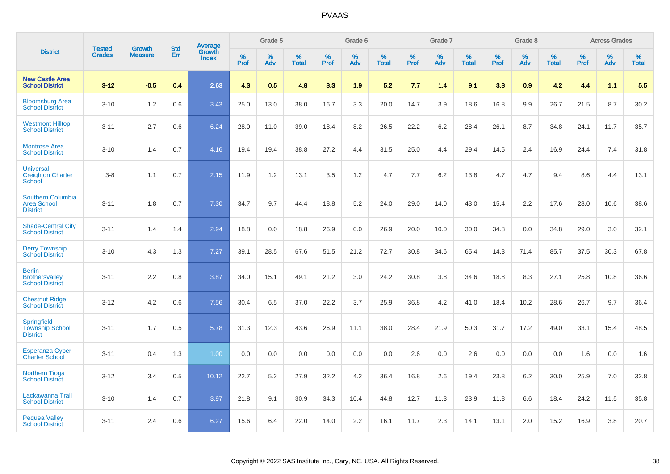|                                                                   | <b>Tested</b> | <b>Growth</b>  | <b>Std</b> | <b>Average</b>         |              | Grade 5  |                   |              | Grade 6  |                   |              | Grade 7  |                   |              | Grade 8  |                   |              | <b>Across Grades</b> |                   |
|-------------------------------------------------------------------|---------------|----------------|------------|------------------------|--------------|----------|-------------------|--------------|----------|-------------------|--------------|----------|-------------------|--------------|----------|-------------------|--------------|----------------------|-------------------|
| <b>District</b>                                                   | <b>Grades</b> | <b>Measure</b> | <b>Err</b> | Growth<br><b>Index</b> | $\%$<br>Prof | %<br>Adv | %<br><b>Total</b> | $\%$<br>Prof | %<br>Adv | %<br><b>Total</b> | $\%$<br>Prof | %<br>Adv | %<br><b>Total</b> | $\%$<br>Prof | %<br>Adv | %<br><b>Total</b> | $\%$<br>Prof | %<br>Adv             | %<br><b>Total</b> |
| <b>New Castle Area</b><br><b>School District</b>                  | $3 - 12$      | $-0.5$         | 0.4        | 2.63                   | 4.3          | 0.5      | 4.8               | 3.3          | 1.9      | 5.2               | 7.7          | 1.4      | 9.1               | 3.3          | 0.9      | 4.2               | 4.4          | 1.1                  | 5.5               |
| <b>Bloomsburg Area</b><br><b>School District</b>                  | $3 - 10$      | 1.2            | 0.6        | 3.43                   | 25.0         | 13.0     | 38.0              | 16.7         | 3.3      | 20.0              | 14.7         | 3.9      | 18.6              | 16.8         | 9.9      | 26.7              | 21.5         | 8.7                  | 30.2              |
| <b>Westmont Hilltop</b><br><b>School District</b>                 | $3 - 11$      | 2.7            | 0.6        | 6.24                   | 28.0         | 11.0     | 39.0              | 18.4         | 8.2      | 26.5              | 22.2         | 6.2      | 28.4              | 26.1         | 8.7      | 34.8              | 24.1         | 11.7                 | 35.7              |
| <b>Montrose Area</b><br><b>School District</b>                    | $3 - 10$      | 1.4            | 0.7        | 4.16                   | 19.4         | 19.4     | 38.8              | 27.2         | 4.4      | 31.5              | 25.0         | 4.4      | 29.4              | 14.5         | 2.4      | 16.9              | 24.4         | 7.4                  | 31.8              |
| <b>Universal</b><br><b>Creighton Charter</b><br>School            | $3 - 8$       | 1.1            | 0.7        | 2.15                   | 11.9         | 1.2      | 13.1              | 3.5          | 1.2      | 4.7               | 7.7          | 6.2      | 13.8              | 4.7          | 4.7      | 9.4               | 8.6          | 4.4                  | 13.1              |
| <b>Southern Columbia</b><br><b>Area School</b><br><b>District</b> | $3 - 11$      | 1.8            | 0.7        | 7.30                   | 34.7         | 9.7      | 44.4              | 18.8         | 5.2      | 24.0              | 29.0         | 14.0     | 43.0              | 15.4         | 2.2      | 17.6              | 28.0         | 10.6                 | 38.6              |
| <b>Shade-Central City</b><br><b>School District</b>               | $3 - 11$      | 1.4            | 1.4        | 2.94                   | 18.8         | 0.0      | 18.8              | 26.9         | 0.0      | 26.9              | 20.0         | 10.0     | 30.0              | 34.8         | 0.0      | 34.8              | 29.0         | 3.0                  | 32.1              |
| <b>Derry Township</b><br><b>School District</b>                   | $3 - 10$      | 4.3            | 1.3        | 7.27                   | 39.1         | 28.5     | 67.6              | 51.5         | 21.2     | 72.7              | 30.8         | 34.6     | 65.4              | 14.3         | 71.4     | 85.7              | 37.5         | 30.3                 | 67.8              |
| <b>Berlin</b><br><b>Brothersvalley</b><br><b>School District</b>  | $3 - 11$      | 2.2            | 0.8        | 3.87                   | 34.0         | 15.1     | 49.1              | 21.2         | 3.0      | 24.2              | 30.8         | 3.8      | 34.6              | 18.8         | 8.3      | 27.1              | 25.8         | 10.8                 | 36.6              |
| <b>Chestnut Ridge</b><br><b>School District</b>                   | $3 - 12$      | 4.2            | 0.6        | 7.56                   | 30.4         | 6.5      | 37.0              | 22.2         | 3.7      | 25.9              | 36.8         | 4.2      | 41.0              | 18.4         | 10.2     | 28.6              | 26.7         | 9.7                  | 36.4              |
| Springfield<br><b>Township School</b><br><b>District</b>          | $3 - 11$      | 1.7            | 0.5        | 5.78                   | 31.3         | 12.3     | 43.6              | 26.9         | 11.1     | 38.0              | 28.4         | 21.9     | 50.3              | 31.7         | 17.2     | 49.0              | 33.1         | 15.4                 | 48.5              |
| <b>Esperanza Cyber</b><br><b>Charter School</b>                   | $3 - 11$      | 0.4            | 1.3        | 1.00                   | 0.0          | 0.0      | 0.0               | 0.0          | 0.0      | 0.0               | 2.6          | 0.0      | 2.6               | 0.0          | 0.0      | 0.0               | 1.6          | 0.0                  | 1.6               |
| <b>Northern Tioga</b><br><b>School District</b>                   | $3 - 12$      | 3.4            | 0.5        | 10.12                  | 22.7         | 5.2      | 27.9              | 32.2         | 4.2      | 36.4              | 16.8         | 2.6      | 19.4              | 23.8         | 6.2      | 30.0              | 25.9         | 7.0                  | 32.8              |
| Lackawanna Trail<br><b>School District</b>                        | $3 - 10$      | 1.4            | 0.7        | 3.97                   | 21.8         | 9.1      | 30.9              | 34.3         | 10.4     | 44.8              | 12.7         | 11.3     | 23.9              | 11.8         | 6.6      | 18.4              | 24.2         | 11.5                 | 35.8              |
| <b>Pequea Valley</b><br><b>School District</b>                    | $3 - 11$      | 2.4            | 0.6        | 6.27                   | 15.6         | 6.4      | 22.0              | 14.0         | 2.2      | 16.1              | 11.7         | 2.3      | 14.1              | 13.1         | 2.0      | 15.2              | 16.9         | 3.8                  | 20.7              |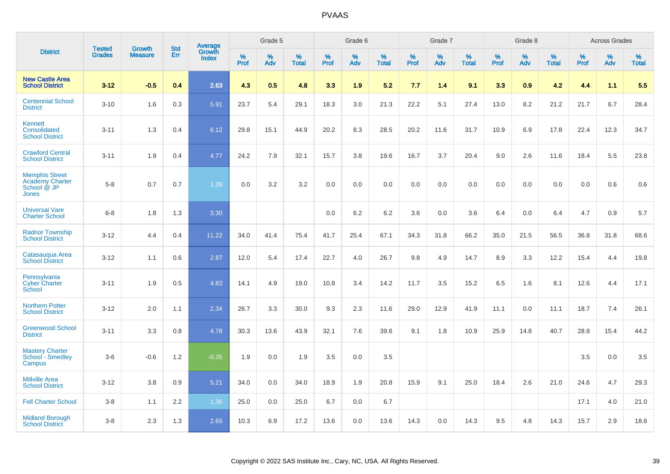|                                                                         |                                |                                 | <b>Std</b> | Average                |           | Grade 5  |                   |           | Grade 6  |                   |           | Grade 7  |                   |           | Grade 8  |                   |           | <b>Across Grades</b> |                   |
|-------------------------------------------------------------------------|--------------------------------|---------------------------------|------------|------------------------|-----------|----------|-------------------|-----------|----------|-------------------|-----------|----------|-------------------|-----------|----------|-------------------|-----------|----------------------|-------------------|
| <b>District</b>                                                         | <b>Tested</b><br><b>Grades</b> | <b>Growth</b><br><b>Measure</b> | <b>Err</b> | Growth<br><b>Index</b> | %<br>Prof | %<br>Adv | %<br><b>Total</b> | %<br>Prof | %<br>Adv | %<br><b>Total</b> | %<br>Prof | %<br>Adv | %<br><b>Total</b> | %<br>Prof | %<br>Adv | %<br><b>Total</b> | %<br>Prof | %<br>Adv             | %<br><b>Total</b> |
| <b>New Castle Area</b><br><b>School District</b>                        | $3 - 12$                       | $-0.5$                          | 0.4        | 2.63                   | 4.3       | 0.5      | 4.8               | 3.3       | 1.9      | 5.2               | 7.7       | 1.4      | 9.1               | 3.3       | 0.9      | 4.2               | 4.4       | 1.1                  | 5.5               |
| <b>Centennial School</b><br><b>District</b>                             | $3 - 10$                       | 1.6                             | 0.3        | 5.91                   | 23.7      | 5.4      | 29.1              | 18.3      | 3.0      | 21.3              | 22.2      | 5.1      | 27.4              | 13.0      | 8.2      | 21.2              | 21.7      | 6.7                  | 28.4              |
| Kennett<br>Consolidated<br><b>School District</b>                       | $3 - 11$                       | 1.3                             | 0.4        | 6.12                   | 29.8      | 15.1     | 44.9              | 20.2      | 8.3      | 28.5              | 20.2      | 11.6     | 31.7              | 10.9      | 6.9      | 17.8              | 22.4      | 12.3                 | 34.7              |
| <b>Crawford Central</b><br><b>School District</b>                       | $3 - 11$                       | 1.9                             | 0.4        | 4.77                   | 24.2      | 7.9      | 32.1              | 15.7      | 3.8      | 19.6              | 16.7      | 3.7      | 20.4              | 9.0       | 2.6      | 11.6              | 18.4      | 5.5                  | 23.8              |
| <b>Memphis Street</b><br><b>Academy Charter</b><br>School @ JP<br>Jones | $5 - 8$                        | 0.7                             | 0.7        | 1.39                   | 0.0       | 3.2      | 3.2               | 0.0       | 0.0      | 0.0               | 0.0       | 0.0      | 0.0               | 0.0       | 0.0      | 0.0               | 0.0       | 0.6                  | 0.6               |
| <b>Universal Vare</b><br><b>Charter School</b>                          | $6-8$                          | 1.8                             | 1.3        | 3.30                   |           |          |                   | 0.0       | 6.2      | 6.2               | 3.6       | 0.0      | 3.6               | 6.4       | 0.0      | 6.4               | 4.7       | 0.9                  | 5.7               |
| <b>Radnor Township</b><br><b>School District</b>                        | $3 - 12$                       | 4.4                             | 0.4        | 11.22                  | 34.0      | 41.4     | 75.4              | 41.7      | 25.4     | 67.1              | 34.3      | 31.8     | 66.2              | 35.0      | 21.5     | 56.5              | 36.8      | 31.8                 | 68.6              |
| Catasaugua Area<br><b>School District</b>                               | $3 - 12$                       | 1.1                             | 0.6        | 2.87                   | 12.0      | 5.4      | 17.4              | 22.7      | 4.0      | 26.7              | 9.8       | 4.9      | 14.7              | 8.9       | 3.3      | 12.2              | 15.4      | 4.4                  | 19.8              |
| Pennsylvania<br><b>Cyber Charter</b><br>School                          | $3 - 11$                       | 1.9                             | 0.5        | 4.83                   | 14.1      | 4.9      | 19.0              | 10.8      | 3.4      | 14.2              | 11.7      | 3.5      | 15.2              | 6.5       | 1.6      | 8.1               | 12.6      | 4.4                  | 17.1              |
| <b>Northern Potter</b><br><b>School District</b>                        | $3 - 12$                       | 2.0                             | 1.1        | 2.34                   | 26.7      | 3.3      | 30.0              | 9.3       | 2.3      | 11.6              | 29.0      | 12.9     | 41.9              | 11.1      | 0.0      | 11.1              | 18.7      | 7.4                  | 26.1              |
| <b>Greenwood School</b><br><b>District</b>                              | $3 - 11$                       | 3.3                             | 0.8        | 4.78                   | 30.3      | 13.6     | 43.9              | 32.1      | 7.6      | 39.6              | 9.1       | 1.8      | 10.9              | 25.9      | 14.8     | 40.7              | 28.8      | 15.4                 | 44.2              |
| <b>Mastery Charter</b><br>School <sup>-</sup> Smedley<br>Campus         | $3-6$                          | $-0.6$                          | 1.2        | $-0.35$                | 1.9       | 0.0      | 1.9               | 3.5       | 0.0      | 3.5               |           |          |                   |           |          |                   | 3.5       | 0.0                  | 3.5               |
| <b>Millville Area</b><br><b>School District</b>                         | $3 - 12$                       | 3.8                             | 0.9        | 5.21                   | 34.0      | 0.0      | 34.0              | 18.9      | 1.9      | 20.8              | 15.9      | 9.1      | 25.0              | 18.4      | 2.6      | 21.0              | 24.6      | 4.7                  | 29.3              |
| <b>Fell Charter School</b>                                              | $3 - 8$                        | 1.1                             | 2.2        | 1.36                   | 25.0      | 0.0      | 25.0              | 6.7       | 0.0      | 6.7               |           |          |                   |           |          |                   | 17.1      | 4.0                  | 21.0              |
| <b>Midland Borough</b><br><b>School District</b>                        | $3 - 8$                        | 2.3                             | 1.3        | 2.65                   | 10.3      | 6.9      | 17.2              | 13.6      | 0.0      | 13.6              | 14.3      | 0.0      | 14.3              | 9.5       | 4.8      | 14.3              | 15.7      | 2.9                  | 18.6              |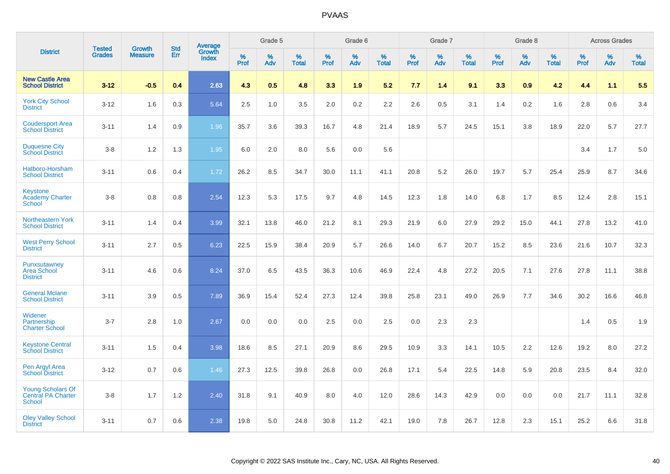|                                                          |                                | <b>Growth</b>  | <b>Std</b> |                                   |              | Grade 5  |                   |              | Grade 6  |                   |              | Grade 7  |                   |              | Grade 8  |                   |              | <b>Across Grades</b> |                   |
|----------------------------------------------------------|--------------------------------|----------------|------------|-----------------------------------|--------------|----------|-------------------|--------------|----------|-------------------|--------------|----------|-------------------|--------------|----------|-------------------|--------------|----------------------|-------------------|
| <b>District</b>                                          | <b>Tested</b><br><b>Grades</b> | <b>Measure</b> | <b>Err</b> | Average<br>Growth<br><b>Index</b> | $\%$<br>Prof | %<br>Adv | %<br><b>Total</b> | $\%$<br>Prof | %<br>Adv | %<br><b>Total</b> | $\%$<br>Prof | %<br>Adv | %<br><b>Total</b> | $\%$<br>Prof | %<br>Adv | %<br><b>Total</b> | $\%$<br>Prof | %<br>Adv             | %<br><b>Total</b> |
| <b>New Castle Area</b><br><b>School District</b>         | $3 - 12$                       | $-0.5$         | 0.4        | 2.63                              | 4.3          | 0.5      | 4.8               | 3.3          | 1.9      | 5.2               | 7.7          | 1.4      | 9.1               | 3.3          | 0.9      | 4.2               | 4.4          | 1.1                  | 5.5               |
| <b>York City School</b><br><b>District</b>               | $3 - 12$                       | 1.6            | 0.3        | 5.64                              | 2.5          | 1.0      | 3.5               | 2.0          | $0.2\,$  | 2.2               | 2.6          | 0.5      | 3.1               | 1.4          | $0.2\,$  | 1.6               | 2.8          | 0.6                  | 3.4               |
| <b>Coudersport Area</b><br><b>School District</b>        | $3 - 11$                       | 1.4            | 0.9        | 1.96                              | 35.7         | 3.6      | 39.3              | 16.7         | 4.8      | 21.4              | 18.9         | 5.7      | 24.5              | 15.1         | 3.8      | 18.9              | 22.0         | 5.7                  | 27.7              |
| <b>Duquesne City</b><br><b>School District</b>           | $3-8$                          | 1.2            | 1.3        | 1.95                              | 6.0          | 2.0      | 8.0               | 5.6          | 0.0      | 5.6               |              |          |                   |              |          |                   | 3.4          | 1.7                  | 5.0               |
| Hatboro-Horsham<br><b>School District</b>                | $3 - 11$                       | 0.6            | 0.4        | 1.72                              | 26.2         | 8.5      | 34.7              | 30.0         | 11.1     | 41.1              | 20.8         | 5.2      | 26.0              | 19.7         | 5.7      | 25.4              | 25.9         | 8.7                  | 34.6              |
| Keystone<br><b>Academy Charter</b><br>School             | $3 - 8$                        | 0.8            | 0.8        | 2.54                              | 12.3         | 5.3      | 17.5              | 9.7          | 4.8      | 14.5              | 12.3         | 1.8      | 14.0              | 6.8          | 1.7      | 8.5               | 12.4         | 2.8                  | 15.1              |
| Northeastern York<br><b>School District</b>              | $3 - 11$                       | 1.4            | 0.4        | 3.99                              | 32.1         | 13.8     | 46.0              | 21.2         | 8.1      | 29.3              | 21.9         | 6.0      | 27.9              | 29.2         | 15.0     | 44.1              | 27.8         | 13.2                 | 41.0              |
| <b>West Perry School</b><br><b>District</b>              | $3 - 11$                       | 2.7            | 0.5        | 6.23                              | 22.5         | 15.9     | 38.4              | 20.9         | 5.7      | 26.6              | 14.0         | 6.7      | 20.7              | 15.2         | 8.5      | 23.6              | 21.6         | 10.7                 | 32.3              |
| Punxsutawney<br><b>Area School</b><br><b>District</b>    | $3 - 11$                       | 4.6            | 0.6        | 8.24                              | 37.0         | 6.5      | 43.5              | 36.3         | 10.6     | 46.9              | 22.4         | 4.8      | 27.2              | 20.5         | 7.1      | 27.6              | 27.8         | 11.1                 | 38.8              |
| <b>General Mclane</b><br><b>School District</b>          | $3 - 11$                       | 3.9            | 0.5        | 7.89                              | 36.9         | 15.4     | 52.4              | 27.3         | 12.4     | 39.8              | 25.8         | 23.1     | 49.0              | 26.9         | 7.7      | 34.6              | 30.2         | 16.6                 | 46.8              |
| Widener<br>Partnership<br><b>Charter School</b>          | $3 - 7$                        | 2.8            | 1.0        | 2.67                              | 0.0          | 0.0      | 0.0               | 2.5          | 0.0      | 2.5               | 0.0          | 2.3      | 2.3               |              |          |                   | 1.4          | 0.5                  | 1.9               |
| <b>Keystone Central</b><br><b>School District</b>        | $3 - 11$                       | 1.5            | 0.4        | 3.98                              | 18.6         | 8.5      | 27.1              | 20.9         | 8.6      | 29.5              | 10.9         | 3.3      | 14.1              | 10.5         | 2.2      | 12.6              | 19.2         | 8.0                  | 27.2              |
| Pen Argyl Area<br><b>School District</b>                 | $3 - 12$                       | 0.7            | 0.6        | 1.46                              | 27.3         | 12.5     | 39.8              | 26.8         | 0.0      | 26.8              | 17.1         | 5.4      | 22.5              | 14.8         | 5.9      | 20.8              | 23.5         | 8.4                  | 32.0              |
| <b>Young Scholars Of</b><br>Central PA Charter<br>School | $3-8$                          | 1.7            | $1.2$      | 2.40                              | 31.8         | 9.1      | 40.9              | 8.0          | 4.0      | 12.0              | 28.6         | 14.3     | 42.9              | 0.0          | 0.0      | 0.0               | 21.7         | 11.1                 | 32.8              |
| <b>Oley Valley School</b><br><b>District</b>             | $3 - 11$                       | 0.7            | 0.6        | 2.38                              | 19.8         | 5.0      | 24.8              | 30.8         | 11.2     | 42.1              | 19.0         | 7.8      | 26.7              | 12.8         | 2.3      | 15.1              | 25.2         | 6.6                  | 31.8              |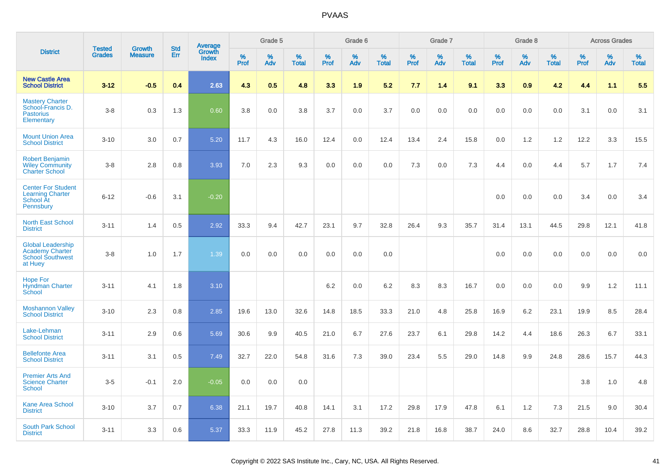|                                                                                          | <b>Tested</b> | <b>Growth</b>  | <b>Std</b> |                                   |                     | Grade 5  |                   |              | Grade 6  |                   |                     | Grade 7  |                   |              | Grade 8  |                   |              | <b>Across Grades</b> |                   |
|------------------------------------------------------------------------------------------|---------------|----------------|------------|-----------------------------------|---------------------|----------|-------------------|--------------|----------|-------------------|---------------------|----------|-------------------|--------------|----------|-------------------|--------------|----------------------|-------------------|
| <b>District</b>                                                                          | <b>Grades</b> | <b>Measure</b> | Err        | Average<br>Growth<br><b>Index</b> | $\%$<br><b>Prof</b> | %<br>Adv | %<br><b>Total</b> | $\%$<br>Prof | %<br>Adv | %<br><b>Total</b> | $\%$<br><b>Prof</b> | %<br>Adv | %<br><b>Total</b> | $\%$<br>Prof | %<br>Adv | %<br><b>Total</b> | $\%$<br>Prof | %<br>Adv             | %<br><b>Total</b> |
| <b>New Castle Area</b><br><b>School District</b>                                         | $3 - 12$      | $-0.5$         | 0.4        | 2.63                              | 4.3                 | 0.5      | 4.8               | 3.3          | 1.9      | 5.2               | 7.7                 | 1.4      | 9.1               | 3.3          | 0.9      | 4.2               | 4.4          | 1.1                  | 5.5               |
| <b>Mastery Charter</b><br>School-Francis D.<br><b>Pastorius</b><br>Elementary            | $3-8$         | 0.3            | 1.3        | 0.60                              | 3.8                 | 0.0      | 3.8               | 3.7          | 0.0      | 3.7               | 0.0                 | 0.0      | 0.0               | 0.0          | 0.0      | 0.0               | 3.1          | 0.0                  | 3.1               |
| <b>Mount Union Area</b><br><b>School District</b>                                        | $3 - 10$      | 3.0            | 0.7        | 5.20                              | 11.7                | 4.3      | 16.0              | 12.4         | 0.0      | 12.4              | 13.4                | 2.4      | 15.8              | 0.0          | 1.2      | 1.2               | 12.2         | 3.3                  | 15.5              |
| <b>Robert Benjamin</b><br><b>Wiley Community</b><br><b>Charter School</b>                | $3-8$         | 2.8            | 0.8        | 3.93                              | 7.0                 | 2.3      | 9.3               | 0.0          | 0.0      | 0.0               | 7.3                 | 0.0      | 7.3               | 4.4          | 0.0      | 4.4               | 5.7          | 1.7                  | 7.4               |
| <b>Center For Student</b><br><b>Learning Charter</b><br>School At<br>Pennsbury           | $6 - 12$      | $-0.6$         | 3.1        | $-0.20$                           |                     |          |                   |              |          |                   |                     |          |                   | 0.0          | 0.0      | 0.0               | 3.4          | 0.0                  | 3.4               |
| <b>North East School</b><br><b>District</b>                                              | $3 - 11$      | 1.4            | 0.5        | 2.92                              | 33.3                | 9.4      | 42.7              | 23.1         | 9.7      | 32.8              | 26.4                | 9.3      | 35.7              | 31.4         | 13.1     | 44.5              | 29.8         | 12.1                 | 41.8              |
| <b>Global Leadership</b><br><b>Academy Charter</b><br><b>School Southwest</b><br>at Huey | $3-8$         | 1.0            | 1.7        | 1.39                              | 0.0                 | 0.0      | 0.0               | 0.0          | 0.0      | 0.0               |                     |          |                   | 0.0          | 0.0      | 0.0               | 0.0          | 0.0                  | 0.0               |
| <b>Hope For</b><br><b>Hyndman Charter</b><br>School                                      | $3 - 11$      | 4.1            | 1.8        | 3.10                              |                     |          |                   | 6.2          | 0.0      | 6.2               | 8.3                 | 8.3      | 16.7              | 0.0          | 0.0      | 0.0               | 9.9          | $1.2$                | 11.1              |
| <b>Moshannon Valley</b><br><b>School District</b>                                        | $3 - 10$      | 2.3            | 0.8        | 2.85                              | 19.6                | 13.0     | 32.6              | 14.8         | 18.5     | 33.3              | 21.0                | 4.8      | 25.8              | 16.9         | 6.2      | 23.1              | 19.9         | 8.5                  | 28.4              |
| Lake-Lehman<br><b>School District</b>                                                    | $3 - 11$      | 2.9            | 0.6        | 5.69                              | 30.6                | 9.9      | 40.5              | 21.0         | 6.7      | 27.6              | 23.7                | 6.1      | 29.8              | 14.2         | 4.4      | 18.6              | 26.3         | 6.7                  | 33.1              |
| <b>Bellefonte Area</b><br><b>School District</b>                                         | $3 - 11$      | 3.1            | 0.5        | 7.49                              | 32.7                | 22.0     | 54.8              | 31.6         | 7.3      | 39.0              | 23.4                | 5.5      | 29.0              | 14.8         | 9.9      | 24.8              | 28.6         | 15.7                 | 44.3              |
| <b>Premier Arts And</b><br><b>Science Charter</b><br>School                              | $3-5$         | $-0.1$         | 2.0        | $-0.05$                           | 0.0                 | 0.0      | 0.0               |              |          |                   |                     |          |                   |              |          |                   | 3.8          | 1.0                  | 4.8               |
| <b>Kane Area School</b><br><b>District</b>                                               | $3 - 10$      | 3.7            | 0.7        | 6.38                              | 21.1                | 19.7     | 40.8              | 14.1         | 3.1      | 17.2              | 29.8                | 17.9     | 47.8              | 6.1          | 1.2      | 7.3               | 21.5         | 9.0                  | 30.4              |
| <b>South Park School</b><br><b>District</b>                                              | $3 - 11$      | 3.3            | 0.6        | 5.37                              | 33.3                | 11.9     | 45.2              | 27.8         | 11.3     | 39.2              | 21.8                | 16.8     | 38.7              | 24.0         | 8.6      | 32.7              | 28.8         | 10.4                 | 39.2              |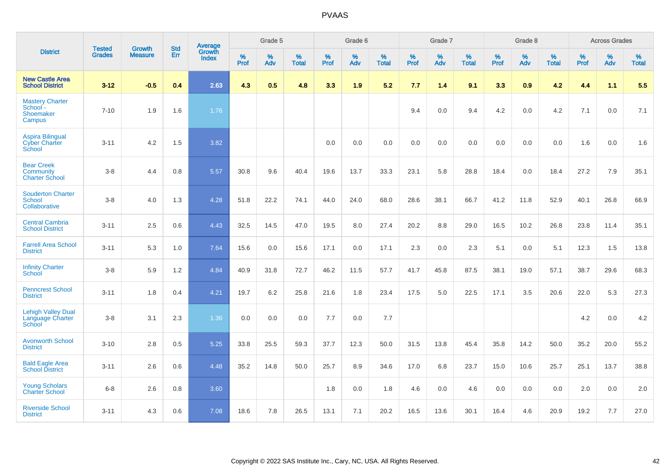|                                                                | <b>Tested</b> | <b>Growth</b>  | <b>Std</b> | <b>Average</b>         |              | Grade 5  |                   |           | Grade 6  |                   |           | Grade 7  |                   |           | Grade 8  |                   |           | <b>Across Grades</b> |                   |
|----------------------------------------------------------------|---------------|----------------|------------|------------------------|--------------|----------|-------------------|-----------|----------|-------------------|-----------|----------|-------------------|-----------|----------|-------------------|-----------|----------------------|-------------------|
| <b>District</b>                                                | <b>Grades</b> | <b>Measure</b> | Err        | Growth<br><b>Index</b> | $\%$<br>Prof | %<br>Adv | %<br><b>Total</b> | %<br>Prof | %<br>Adv | %<br><b>Total</b> | %<br>Prof | %<br>Adv | %<br><b>Total</b> | %<br>Prof | %<br>Adv | %<br><b>Total</b> | %<br>Prof | %<br>Adv             | %<br><b>Total</b> |
| <b>New Castle Area</b><br><b>School District</b>               | $3 - 12$      | $-0.5$         | 0.4        | 2.63                   | 4.3          | 0.5      | 4.8               | 3.3       | 1.9      | 5.2               | 7.7       | 1.4      | 9.1               | 3.3       | 0.9      | 4.2               | 4.4       | 1.1                  | 5.5               |
| <b>Mastery Charter</b><br>School -<br>Shoemaker<br>Campus      | $7 - 10$      | 1.9            | 1.6        | 1.76                   |              |          |                   |           |          |                   | 9.4       | 0.0      | 9.4               | 4.2       | 0.0      | 4.2               | 7.1       | 0.0                  | 7.1               |
| <b>Aspira Bilingual</b><br><b>Cyber Charter</b><br>School      | $3 - 11$      | 4.2            | 1.5        | 3.82                   |              |          |                   | 0.0       | 0.0      | 0.0               | 0.0       | 0.0      | 0.0               | 0.0       | 0.0      | 0.0               | 1.6       | 0.0                  | 1.6               |
| <b>Bear Creek</b><br><b>Community</b><br><b>Charter School</b> | $3 - 8$       | 4.4            | 0.8        | 5.57                   | 30.8         | 9.6      | 40.4              | 19.6      | 13.7     | 33.3              | 23.1      | 5.8      | 28.8              | 18.4      | 0.0      | 18.4              | 27.2      | 7.9                  | 35.1              |
| <b>Souderton Charter</b><br>School<br>Collaborative            | $3 - 8$       | 4.0            | 1.3        | 4.28                   | 51.8         | 22.2     | 74.1              | 44.0      | 24.0     | 68.0              | 28.6      | 38.1     | 66.7              | 41.2      | 11.8     | 52.9              | 40.1      | 26.8                 | 66.9              |
| <b>Central Cambria</b><br><b>School District</b>               | $3 - 11$      | 2.5            | 0.6        | 4.43                   | 32.5         | 14.5     | 47.0              | 19.5      | 8.0      | 27.4              | 20.2      | 8.8      | 29.0              | 16.5      | 10.2     | 26.8              | 23.8      | 11.4                 | 35.1              |
| <b>Farrell Area School</b><br><b>District</b>                  | $3 - 11$      | 5.3            | 1.0        | 7.64                   | 15.6         | 0.0      | 15.6              | 17.1      | 0.0      | 17.1              | 2.3       | 0.0      | 2.3               | 5.1       | 0.0      | 5.1               | 12.3      | 1.5                  | 13.8              |
| <b>Infinity Charter</b><br>School                              | $3-8$         | 5.9            | 1.2        | 4.84                   | 40.9         | 31.8     | 72.7              | 46.2      | 11.5     | 57.7              | 41.7      | 45.8     | 87.5              | 38.1      | 19.0     | 57.1              | 38.7      | 29.6                 | 68.3              |
| <b>Penncrest School</b><br><b>District</b>                     | $3 - 11$      | 1.8            | 0.4        | 4.21                   | 19.7         | 6.2      | 25.8              | 21.6      | 1.8      | 23.4              | 17.5      | 5.0      | 22.5              | 17.1      | 3.5      | 20.6              | 22.0      | 5.3                  | 27.3              |
| <b>Lehigh Valley Dual</b><br>Language Charter<br>School        | $3 - 8$       | 3.1            | 2.3        | 1.36                   | 0.0          | 0.0      | 0.0               | 7.7       | 0.0      | 7.7               |           |          |                   |           |          |                   | 4.2       | 0.0                  | 4.2               |
| <b>Avonworth School</b><br><b>District</b>                     | $3 - 10$      | 2.8            | 0.5        | 5.25                   | 33.8         | 25.5     | 59.3              | 37.7      | 12.3     | 50.0              | 31.5      | 13.8     | 45.4              | 35.8      | 14.2     | 50.0              | 35.2      | 20.0                 | 55.2              |
| <b>Bald Eagle Area</b><br><b>School District</b>               | $3 - 11$      | 2.6            | 0.6        | 4.48                   | 35.2         | 14.8     | 50.0              | 25.7      | 8.9      | 34.6              | 17.0      | 6.8      | 23.7              | 15.0      | 10.6     | 25.7              | 25.1      | 13.7                 | 38.8              |
| <b>Young Scholars</b><br><b>Charter School</b>                 | $6 - 8$       | 2.6            | 0.8        | 3.60                   |              |          |                   | 1.8       | 0.0      | 1.8               | 4.6       | 0.0      | 4.6               | 0.0       | 0.0      | 0.0               | 2.0       | 0.0                  | 2.0               |
| <b>Riverside School</b><br><b>District</b>                     | $3 - 11$      | 4.3            | 0.6        | 7.08                   | 18.6         | 7.8      | 26.5              | 13.1      | 7.1      | 20.2              | 16.5      | 13.6     | 30.1              | 16.4      | 4.6      | 20.9              | 19.2      | 7.7                  | 27.0              |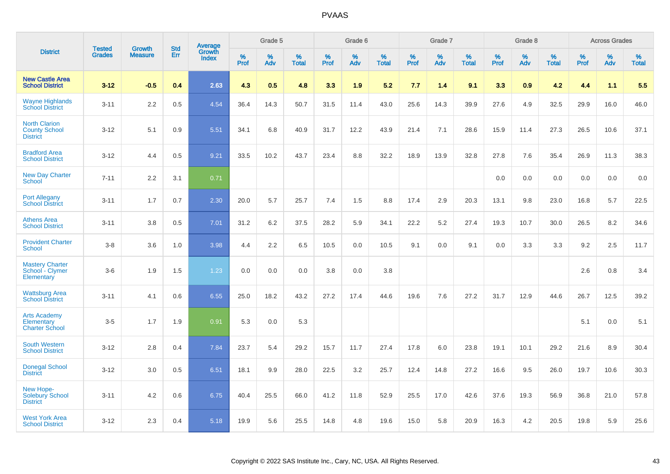|                                                                 | <b>Tested</b> | <b>Growth</b>  | <b>Std</b> | Average         |                  | Grade 5  |                   |           | Grade 6     |                   |           | Grade 7  |                   |           | Grade 8  |                   |                  | <b>Across Grades</b> |            |
|-----------------------------------------------------------------|---------------|----------------|------------|-----------------|------------------|----------|-------------------|-----------|-------------|-------------------|-----------|----------|-------------------|-----------|----------|-------------------|------------------|----------------------|------------|
| <b>District</b>                                                 | <b>Grades</b> | <b>Measure</b> | Err        | Growth<br>Index | %<br><b>Prof</b> | %<br>Adv | %<br><b>Total</b> | %<br>Prof | $\%$<br>Adv | %<br><b>Total</b> | %<br>Prof | %<br>Adv | %<br><b>Total</b> | %<br>Prof | %<br>Adv | %<br><b>Total</b> | %<br><b>Prof</b> | %<br>Adv             | %<br>Total |
| <b>New Castle Area</b><br><b>School District</b>                | $3 - 12$      | $-0.5$         | 0.4        | 2.63            | 4.3              | 0.5      | 4.8               | 3.3       | 1.9         | 5.2               | 7.7       | 1.4      | 9.1               | 3.3       | 0.9      | 4.2               | 4.4              | 1.1                  | 5.5        |
| <b>Wayne Highlands</b><br><b>School District</b>                | $3 - 11$      | 2.2            | 0.5        | 4.54            | 36.4             | 14.3     | 50.7              | 31.5      | 11.4        | 43.0              | 25.6      | 14.3     | 39.9              | 27.6      | 4.9      | 32.5              | 29.9             | 16.0                 | 46.0       |
| <b>North Clarion</b><br><b>County School</b><br><b>District</b> | $3-12$        | 5.1            | 0.9        | 5.51            | 34.1             | 6.8      | 40.9              | 31.7      | 12.2        | 43.9              | 21.4      | 7.1      | 28.6              | 15.9      | 11.4     | 27.3              | 26.5             | 10.6                 | 37.1       |
| <b>Bradford Area</b><br><b>School District</b>                  | $3 - 12$      | 4.4            | 0.5        | 9.21            | 33.5             | 10.2     | 43.7              | 23.4      | 8.8         | 32.2              | 18.9      | 13.9     | 32.8              | 27.8      | 7.6      | 35.4              | 26.9             | 11.3                 | 38.3       |
| <b>New Day Charter</b><br><b>School</b>                         | $7 - 11$      | 2.2            | 3.1        | 0.71            |                  |          |                   |           |             |                   |           |          |                   | 0.0       | 0.0      | 0.0               | 0.0              | 0.0                  | 0.0        |
| <b>Port Allegany</b><br><b>School District</b>                  | $3 - 11$      | 1.7            | 0.7        | 2.30            | 20.0             | 5.7      | 25.7              | 7.4       | 1.5         | 8.8               | 17.4      | 2.9      | 20.3              | 13.1      | 9.8      | 23.0              | 16.8             | 5.7                  | 22.5       |
| <b>Athens Area</b><br><b>School District</b>                    | $3 - 11$      | 3.8            | 0.5        | 7.01            | 31.2             | 6.2      | 37.5              | 28.2      | 5.9         | 34.1              | 22.2      | 5.2      | 27.4              | 19.3      | 10.7     | 30.0              | 26.5             | 8.2                  | 34.6       |
| <b>Provident Charter</b><br><b>School</b>                       | $3-8$         | 3.6            | 1.0        | 3.98            | 4.4              | 2.2      | 6.5               | 10.5      | 0.0         | 10.5              | 9.1       | 0.0      | 9.1               | 0.0       | 3.3      | 3.3               | 9.2              | 2.5                  | 11.7       |
| <b>Mastery Charter</b><br>School - Clymer<br>Elementary         | $3-6$         | 1.9            | 1.5        | 1.23            | 0.0              | 0.0      | 0.0               | 3.8       | 0.0         | 3.8               |           |          |                   |           |          |                   | 2.6              | 0.8                  | 3.4        |
| <b>Wattsburg Area</b><br><b>School District</b>                 | $3 - 11$      | 4.1            | 0.6        | 6.55            | 25.0             | 18.2     | 43.2              | 27.2      | 17.4        | 44.6              | 19.6      | 7.6      | 27.2              | 31.7      | 12.9     | 44.6              | 26.7             | 12.5                 | 39.2       |
| <b>Arts Academy</b><br>Elementary<br><b>Charter School</b>      | $3-5$         | 1.7            | 1.9        | 0.91            | 5.3              | 0.0      | 5.3               |           |             |                   |           |          |                   |           |          |                   | 5.1              | 0.0                  | 5.1        |
| <b>South Western</b><br><b>School District</b>                  | $3 - 12$      | 2.8            | 0.4        | 7.84            | 23.7             | 5.4      | 29.2              | 15.7      | 11.7        | 27.4              | 17.8      | 6.0      | 23.8              | 19.1      | 10.1     | 29.2              | 21.6             | 8.9                  | 30.4       |
| <b>Donegal School</b><br><b>District</b>                        | $3 - 12$      | 3.0            | 0.5        | 6.51            | 18.1             | 9.9      | 28.0              | 22.5      | 3.2         | 25.7              | 12.4      | 14.8     | 27.2              | 16.6      | 9.5      | 26.0              | 19.7             | 10.6                 | 30.3       |
| New Hope-<br>Solebury School<br><b>District</b>                 | $3 - 11$      | 4.2            | 0.6        | 6.75            | 40.4             | 25.5     | 66.0              | 41.2      | 11.8        | 52.9              | 25.5      | 17.0     | 42.6              | 37.6      | 19.3     | 56.9              | 36.8             | 21.0                 | 57.8       |
| <b>West York Area</b><br><b>School District</b>                 | $3 - 12$      | 2.3            | 0.4        | 5.18            | 19.9             | 5.6      | 25.5              | 14.8      | 4.8         | 19.6              | 15.0      | 5.8      | 20.9              | 16.3      | 4.2      | 20.5              | 19.8             | 5.9                  | 25.6       |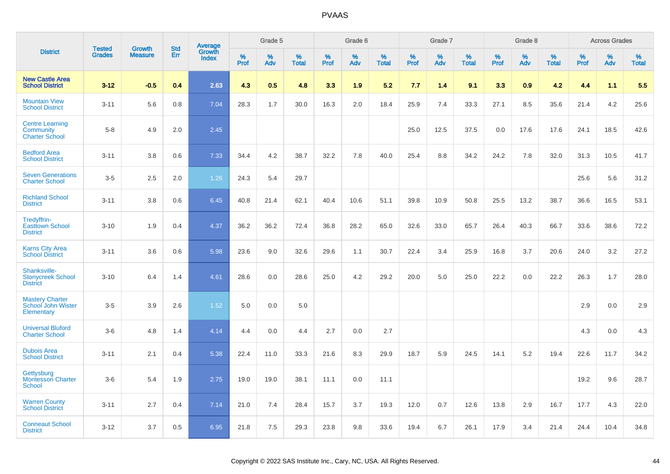|                                                              |                                |                                 | <b>Std</b> |                            |                     | Grade 5  |                      |                     | Grade 6  |                   |                     | Grade 7  |                   |              | Grade 8  |                   |              | <b>Across Grades</b> |                   |
|--------------------------------------------------------------|--------------------------------|---------------------------------|------------|----------------------------|---------------------|----------|----------------------|---------------------|----------|-------------------|---------------------|----------|-------------------|--------------|----------|-------------------|--------------|----------------------|-------------------|
| <b>District</b>                                              | <b>Tested</b><br><b>Grades</b> | <b>Growth</b><br><b>Measure</b> | Err        | Average<br>Growth<br>Index | $\%$<br><b>Prof</b> | %<br>Adv | $\%$<br><b>Total</b> | $\%$<br><b>Prof</b> | %<br>Adv | %<br><b>Total</b> | $\%$<br><b>Prof</b> | %<br>Adv | %<br><b>Total</b> | $\%$<br>Prof | %<br>Adv | %<br><b>Total</b> | $\%$<br>Prof | %<br>Adv             | %<br><b>Total</b> |
| <b>New Castle Area</b><br><b>School District</b>             | $3 - 12$                       | $-0.5$                          | 0.4        | 2.63                       | 4.3                 | 0.5      | 4.8                  | 3.3                 | 1.9      | 5.2               | 7.7                 | 1.4      | 9.1               | 3.3          | 0.9      | 4.2               | 4.4          | 1.1                  | 5.5               |
| <b>Mountain View</b><br><b>School District</b>               | $3 - 11$                       | 5.6                             | 0.8        | 7.04                       | 28.3                | 1.7      | 30.0                 | 16.3                | 2.0      | 18.4              | 25.9                | 7.4      | 33.3              | 27.1         | 8.5      | 35.6              | 21.4         | 4.2                  | 25.6              |
| <b>Centre Learning</b><br>Community<br><b>Charter School</b> | $5 - 8$                        | 4.9                             | 2.0        | 2.45                       |                     |          |                      |                     |          |                   | 25.0                | 12.5     | 37.5              | 0.0          | 17.6     | 17.6              | 24.1         | 18.5                 | 42.6              |
| <b>Bedford Area</b><br><b>School District</b>                | $3 - 11$                       | 3.8                             | 0.6        | 7.33                       | 34.4                | 4.2      | 38.7                 | 32.2                | 7.8      | 40.0              | 25.4                | 8.8      | 34.2              | 24.2         | 7.8      | 32.0              | 31.3         | 10.5                 | 41.7              |
| <b>Seven Generations</b><br><b>Charter School</b>            | $3-5$                          | 2.5                             | 2.0        | 1.26                       | 24.3                | 5.4      | 29.7                 |                     |          |                   |                     |          |                   |              |          |                   | 25.6         | 5.6                  | 31.2              |
| <b>Richland School</b><br><b>District</b>                    | $3 - 11$                       | 3.8                             | 0.6        | 6.45                       | 40.8                | 21.4     | 62.1                 | 40.4                | 10.6     | 51.1              | 39.8                | 10.9     | 50.8              | 25.5         | 13.2     | 38.7              | 36.6         | 16.5                 | 53.1              |
| Tredyffrin-<br><b>Easttown School</b><br><b>District</b>     | $3 - 10$                       | 1.9                             | 0.4        | 4.37                       | 36.2                | 36.2     | 72.4                 | 36.8                | 28.2     | 65.0              | 32.6                | 33.0     | 65.7              | 26.4         | 40.3     | 66.7              | 33.6         | 38.6                 | 72.2              |
| <b>Karns City Area</b><br><b>School District</b>             | $3 - 11$                       | 3.6                             | 0.6        | 5.98                       | 23.6                | 9.0      | 32.6                 | 29.6                | 1.1      | 30.7              | 22.4                | 3.4      | 25.9              | 16.8         | 3.7      | 20.6              | 24.0         | 3.2                  | 27.2              |
| Shanksville-<br><b>Stonycreek School</b><br><b>District</b>  | $3 - 10$                       | 6.4                             | 1.4        | 4.61                       | 28.6                | 0.0      | 28.6                 | 25.0                | 4.2      | 29.2              | 20.0                | 5.0      | 25.0              | 22.2         | 0.0      | 22.2              | 26.3         | 1.7                  | 28.0              |
| <b>Mastery Charter</b><br>School John Wister<br>Elementary   | $3-5$                          | 3.9                             | 2.6        | 1.52                       | 5.0                 | 0.0      | 5.0                  |                     |          |                   |                     |          |                   |              |          |                   | 2.9          | 0.0                  | 2.9               |
| <b>Universal Bluford</b><br><b>Charter School</b>            | $3-6$                          | 4.8                             | 1.4        | 4.14                       | 4.4                 | 0.0      | 4.4                  | 2.7                 | 0.0      | 2.7               |                     |          |                   |              |          |                   | 4.3          | 0.0                  | 4.3               |
| <b>Dubois Area</b><br><b>School District</b>                 | $3 - 11$                       | 2.1                             | 0.4        | 5.38                       | 22.4                | 11.0     | 33.3                 | 21.6                | 8.3      | 29.9              | 18.7                | 5.9      | 24.5              | 14.1         | 5.2      | 19.4              | 22.6         | 11.7                 | 34.2              |
| Gettysburg<br><b>Montessori Charter</b><br><b>School</b>     | $3-6$                          | 5.4                             | 1.9        | 2.75                       | 19.0                | 19.0     | 38.1                 | 11.1                | 0.0      | 11.1              |                     |          |                   |              |          |                   | 19.2         | 9.6                  | 28.7              |
| <b>Warren County</b><br><b>School District</b>               | $3 - 11$                       | 2.7                             | 0.4        | 7.14                       | 21.0                | 7.4      | 28.4                 | 15.7                | 3.7      | 19.3              | 12.0                | 0.7      | 12.6              | 13.8         | 2.9      | 16.7              | 17.7         | 4.3                  | 22.0              |
| <b>Conneaut School</b><br><b>District</b>                    | $3 - 12$                       | 3.7                             | 0.5        | 6.95                       | 21.8                | 7.5      | 29.3                 | 23.8                | 9.8      | 33.6              | 19.4                | 6.7      | 26.1              | 17.9         | 3.4      | 21.4              | 24.4         | 10.4                 | 34.8              |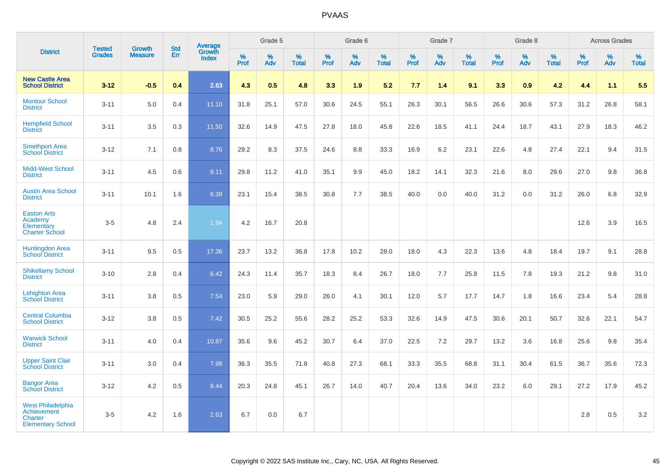|                                                                                              |                                |                                 | <b>Std</b> | Average                |              | Grade 5  |                   |           | Grade 6  |                   |           | Grade 7  |                   |           | Grade 8  |                   |           | <b>Across Grades</b> |                   |
|----------------------------------------------------------------------------------------------|--------------------------------|---------------------------------|------------|------------------------|--------------|----------|-------------------|-----------|----------|-------------------|-----------|----------|-------------------|-----------|----------|-------------------|-----------|----------------------|-------------------|
| <b>District</b>                                                                              | <b>Tested</b><br><b>Grades</b> | <b>Growth</b><br><b>Measure</b> | Err        | Growth<br><b>Index</b> | $\%$<br>Prof | %<br>Adv | %<br><b>Total</b> | %<br>Prof | %<br>Adv | %<br><b>Total</b> | %<br>Prof | %<br>Adv | %<br><b>Total</b> | %<br>Prof | %<br>Adv | %<br><b>Total</b> | %<br>Prof | %<br>Adv             | %<br><b>Total</b> |
| <b>New Castle Area</b><br><b>School District</b>                                             | $3 - 12$                       | $-0.5$                          | 0.4        | 2.63                   | 4.3          | 0.5      | 4.8               | 3.3       | 1.9      | 5.2               | 7.7       | 1.4      | 9.1               | 3.3       | 0.9      | 4.2               | 4.4       | 1.1                  | 5.5               |
| <b>Montour School</b><br><b>District</b>                                                     | $3 - 11$                       | 5.0                             | 0.4        | 11.10                  | 31.8         | 25.1     | 57.0              | 30.6      | 24.5     | 55.1              | 26.3      | 30.1     | 56.5              | 26.6      | 30.6     | 57.3              | 31.2      | 26.8                 | 58.1              |
| <b>Hempfield School</b><br><b>District</b>                                                   | $3 - 11$                       | 3.5                             | 0.3        | 11.50                  | 32.6         | 14.9     | 47.5              | 27.8      | 18.0     | 45.8              | 22.6      | 18.5     | 41.1              | 24.4      | 18.7     | 43.1              | 27.9      | 18.3                 | 46.2              |
| <b>Smethport Area</b><br><b>School District</b>                                              | $3 - 12$                       | 7.1                             | 0.8        | 8.76                   | 29.2         | 8.3      | 37.5              | 24.6      | 8.8      | 33.3              | 16.9      | 6.2      | 23.1              | 22.6      | 4.8      | 27.4              | 22.1      | 9.4                  | 31.5              |
| <b>Midd-West School</b><br><b>District</b>                                                   | $3 - 11$                       | 4.5                             | 0.6        | 8.11                   | 29.8         | 11.2     | 41.0              | 35.1      | 9.9      | 45.0              | 18.2      | 14.1     | 32.3              | 21.6      | 8.0      | 29.6              | 27.0      | 9.8                  | 36.8              |
| <b>Austin Area School</b><br><b>District</b>                                                 | $3 - 11$                       | 10.1                            | 1.6        | 6.38                   | 23.1         | 15.4     | 38.5              | 30.8      | 7.7      | 38.5              | 40.0      | 0.0      | 40.0              | 31.2      | 0.0      | 31.2              | 26.0      | 6.8                  | 32.9              |
| <b>Easton Arts</b><br>Academy<br>Elementary<br><b>Charter School</b>                         | $3-5$                          | 4.8                             | 2.4        | 1.94                   | 4.2          | 16.7     | 20.8              |           |          |                   |           |          |                   |           |          |                   | 12.6      | 3.9                  | 16.5              |
| <b>Huntingdon Area</b><br><b>School District</b>                                             | $3 - 11$                       | 9.5                             | 0.5        | 17.36                  | 23.7         | 13.2     | 36.8              | 17.8      | 10.2     | 28.0              | 18.0      | 4.3      | 22.3              | 13.6      | 4.8      | 18.4              | 19.7      | 9.1                  | 28.8              |
| <b>Shikellamy School</b><br><b>District</b>                                                  | $3 - 10$                       | 2.8                             | 0.4        | 6.42                   | 24.3         | 11.4     | 35.7              | 18.3      | 8.4      | 26.7              | 18.0      | 7.7      | 25.8              | 11.5      | 7.8      | 19.3              | 21.2      | 9.8                  | 31.0              |
| <b>Lehighton Area</b><br><b>School District</b>                                              | $3 - 11$                       | 3.8                             | 0.5        | 7.54                   | 23.0         | 5.9      | 29.0              | 26.0      | 4.1      | 30.1              | 12.0      | 5.7      | 17.7              | 14.7      | 1.8      | 16.6              | 23.4      | 5.4                  | 28.8              |
| <b>Central Columbia</b><br><b>School District</b>                                            | $3 - 12$                       | 3.8                             | 0.5        | 7.42                   | 30.5         | 25.2     | 55.6              | 28.2      | 25.2     | 53.3              | 32.6      | 14.9     | 47.5              | 30.6      | 20.1     | 50.7              | 32.6      | 22.1                 | 54.7              |
| <b>Warwick School</b><br><b>District</b>                                                     | $3 - 11$                       | 4.0                             | 0.4        | 10.87                  | 35.6         | 9.6      | 45.2              | 30.7      | 6.4      | 37.0              | 22.5      | 7.2      | 29.7              | 13.2      | 3.6      | 16.8              | 25.6      | 9.8                  | 35.4              |
| <b>Upper Saint Clair</b><br><b>School District</b>                                           | $3 - 11$                       | 3.0                             | 0.4        | 7.98                   | 36.3         | 35.5     | 71.8              | 40.8      | 27.3     | 68.1              | 33.3      | 35.5     | 68.8              | 31.1      | 30.4     | 61.5              | 36.7      | 35.6                 | 72.3              |
| <b>Bangor Area</b><br><b>School District</b>                                                 | $3 - 12$                       | 4.2                             | 0.5        | 8.44                   | 20.3         | 24.8     | 45.1              | 26.7      | 14.0     | 40.7              | 20.4      | 13.6     | 34.0              | 23.2      | 6.0      | 29.1              | 27.2      | 17.9                 | 45.2              |
| <b>West Philadelphia</b><br><b>Achievement</b><br><b>Charter</b><br><b>Elementary School</b> | $3-5$                          | 4.2                             | 1.6        | 2.63                   | 6.7          | 0.0      | 6.7               |           |          |                   |           |          |                   |           |          |                   | 2.8       | 0.5                  | $3.2\,$           |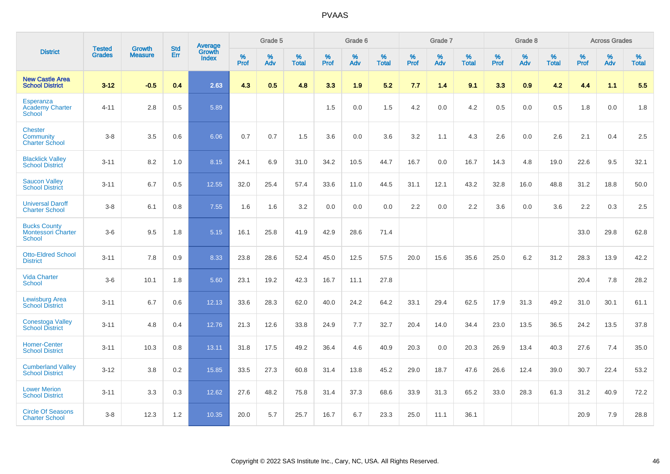|                                                             | <b>Tested</b> | <b>Growth</b>  | <b>Std</b> | Average                |              | Grade 5  |                   |           | Grade 6  |                   |           | Grade 7  |                   |           | Grade 8  |                   |           | <b>Across Grades</b> |                   |
|-------------------------------------------------------------|---------------|----------------|------------|------------------------|--------------|----------|-------------------|-----------|----------|-------------------|-----------|----------|-------------------|-----------|----------|-------------------|-----------|----------------------|-------------------|
| <b>District</b>                                             | <b>Grades</b> | <b>Measure</b> | Err        | Growth<br><b>Index</b> | $\%$<br>Prof | %<br>Adv | %<br><b>Total</b> | %<br>Prof | %<br>Adv | %<br><b>Total</b> | %<br>Prof | %<br>Adv | %<br><b>Total</b> | %<br>Prof | %<br>Adv | %<br><b>Total</b> | %<br>Prof | %<br>Adv             | %<br><b>Total</b> |
| <b>New Castle Area</b><br><b>School District</b>            | $3 - 12$      | $-0.5$         | 0.4        | 2.63                   | 4.3          | 0.5      | 4.8               | 3.3       | 1.9      | 5.2               | 7.7       | 1.4      | 9.1               | 3.3       | 0.9      | 4.2               | 4.4       | 1.1                  | 5.5               |
| Esperanza<br><b>Academy Charter</b><br><b>School</b>        | $4 - 11$      | 2.8            | 0.5        | 5.89                   |              |          |                   | 1.5       | 0.0      | 1.5               | 4.2       | 0.0      | 4.2               | 0.5       | 0.0      | 0.5               | 1.8       | 0.0                  | 1.8               |
| <b>Chester</b><br><b>Community</b><br><b>Charter School</b> | $3 - 8$       | 3.5            | 0.6        | 6.06                   | 0.7          | 0.7      | 1.5               | 3.6       | $0.0\,$  | 3.6               | 3.2       | 1.1      | 4.3               | 2.6       | 0.0      | 2.6               | 2.1       | 0.4                  | $2.5\,$           |
| <b>Blacklick Valley</b><br><b>School District</b>           | $3 - 11$      | 8.2            | 1.0        | 8.15                   | 24.1         | 6.9      | 31.0              | 34.2      | 10.5     | 44.7              | 16.7      | 0.0      | 16.7              | 14.3      | 4.8      | 19.0              | 22.6      | 9.5                  | 32.1              |
| <b>Saucon Valley</b><br><b>School District</b>              | $3 - 11$      | 6.7            | 0.5        | 12.55                  | 32.0         | 25.4     | 57.4              | 33.6      | 11.0     | 44.5              | 31.1      | 12.1     | 43.2              | 32.8      | 16.0     | 48.8              | 31.2      | 18.8                 | 50.0              |
| <b>Universal Daroff</b><br><b>Charter School</b>            | $3 - 8$       | 6.1            | 0.8        | 7.55                   | 1.6          | 1.6      | 3.2               | 0.0       | 0.0      | 0.0               | 2.2       | 0.0      | 2.2               | 3.6       | 0.0      | 3.6               | 2.2       | 0.3                  | 2.5               |
| <b>Bucks County</b><br><b>Montessori Charter</b><br>School  | $3-6$         | 9.5            | 1.8        | 5.15                   | 16.1         | 25.8     | 41.9              | 42.9      | 28.6     | 71.4              |           |          |                   |           |          |                   | 33.0      | 29.8                 | 62.8              |
| <b>Otto-Eldred School</b><br><b>District</b>                | $3 - 11$      | 7.8            | 0.9        | 8.33                   | 23.8         | 28.6     | 52.4              | 45.0      | 12.5     | 57.5              | 20.0      | 15.6     | 35.6              | 25.0      | 6.2      | 31.2              | 28.3      | 13.9                 | 42.2              |
| <b>Vida Charter</b><br>School                               | $3-6$         | 10.1           | 1.8        | 5.60                   | 23.1         | 19.2     | 42.3              | 16.7      | 11.1     | 27.8              |           |          |                   |           |          |                   | 20.4      | 7.8                  | 28.2              |
| Lewisburg Area<br><b>School District</b>                    | $3 - 11$      | 6.7            | 0.6        | 12.13                  | 33.6         | 28.3     | 62.0              | 40.0      | 24.2     | 64.2              | 33.1      | 29.4     | 62.5              | 17.9      | 31.3     | 49.2              | 31.0      | 30.1                 | 61.1              |
| <b>Conestoga Valley</b><br><b>School District</b>           | $3 - 11$      | 4.8            | 0.4        | 12.76                  | 21.3         | 12.6     | 33.8              | 24.9      | 7.7      | 32.7              | 20.4      | 14.0     | 34.4              | 23.0      | 13.5     | 36.5              | 24.2      | 13.5                 | 37.8              |
| <b>Homer-Center</b><br><b>School District</b>               | $3 - 11$      | 10.3           | 0.8        | 13.11                  | 31.8         | 17.5     | 49.2              | 36.4      | 4.6      | 40.9              | 20.3      | 0.0      | 20.3              | 26.9      | 13.4     | 40.3              | 27.6      | 7.4                  | 35.0              |
| <b>Cumberland Valley</b><br><b>School District</b>          | $3 - 12$      | 3.8            | 0.2        | 15.85                  | 33.5         | 27.3     | 60.8              | 31.4      | 13.8     | 45.2              | 29.0      | 18.7     | 47.6              | 26.6      | 12.4     | 39.0              | 30.7      | 22.4                 | 53.2              |
| <b>Lower Merion</b><br><b>School District</b>               | $3 - 11$      | 3.3            | 0.3        | 12.62                  | 27.6         | 48.2     | 75.8              | 31.4      | 37.3     | 68.6              | 33.9      | 31.3     | 65.2              | 33.0      | 28.3     | 61.3              | 31.2      | 40.9                 | 72.2              |
| <b>Circle Of Seasons</b><br><b>Charter School</b>           | $3 - 8$       | 12.3           | 1.2        | 10.35                  | 20.0         | 5.7      | 25.7              | 16.7      | 6.7      | 23.3              | 25.0      | 11.1     | 36.1              |           |          |                   | 20.9      | 7.9                  | 28.8              |